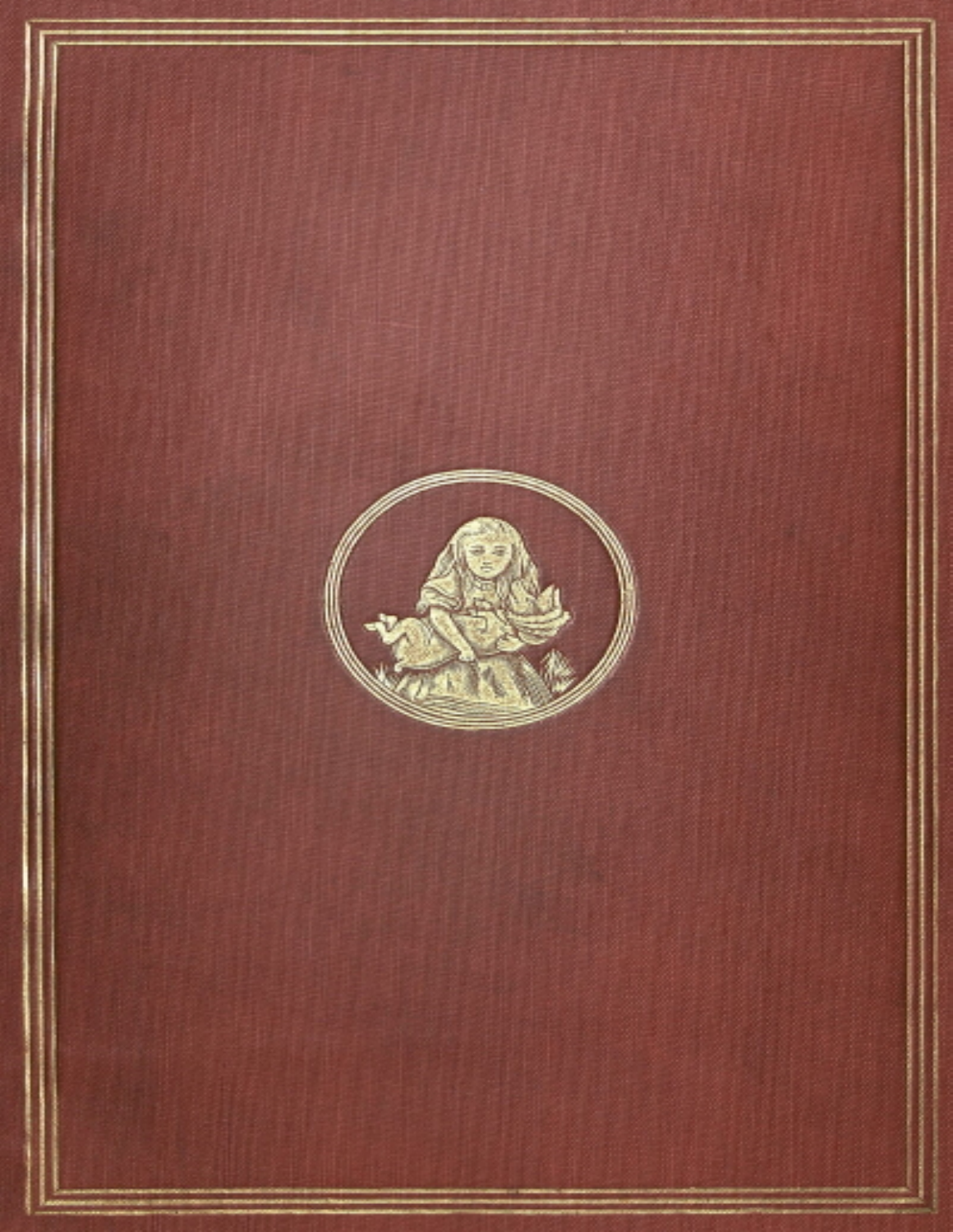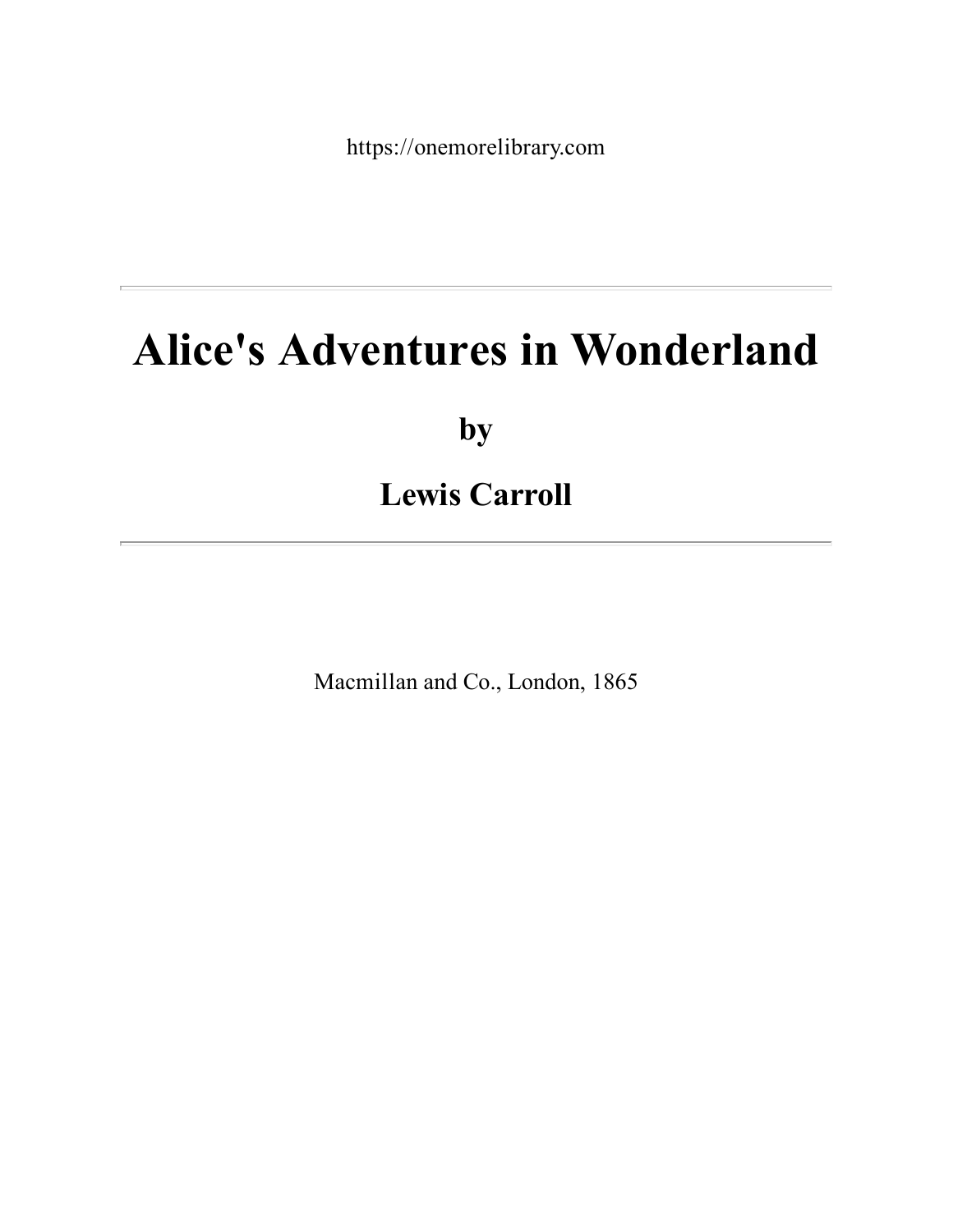https://onemorelibrary.com

#### **Alice's Adventures in Wonderland**

**by**

**Lewis Carroll**

Macmillan and Co., London, 1865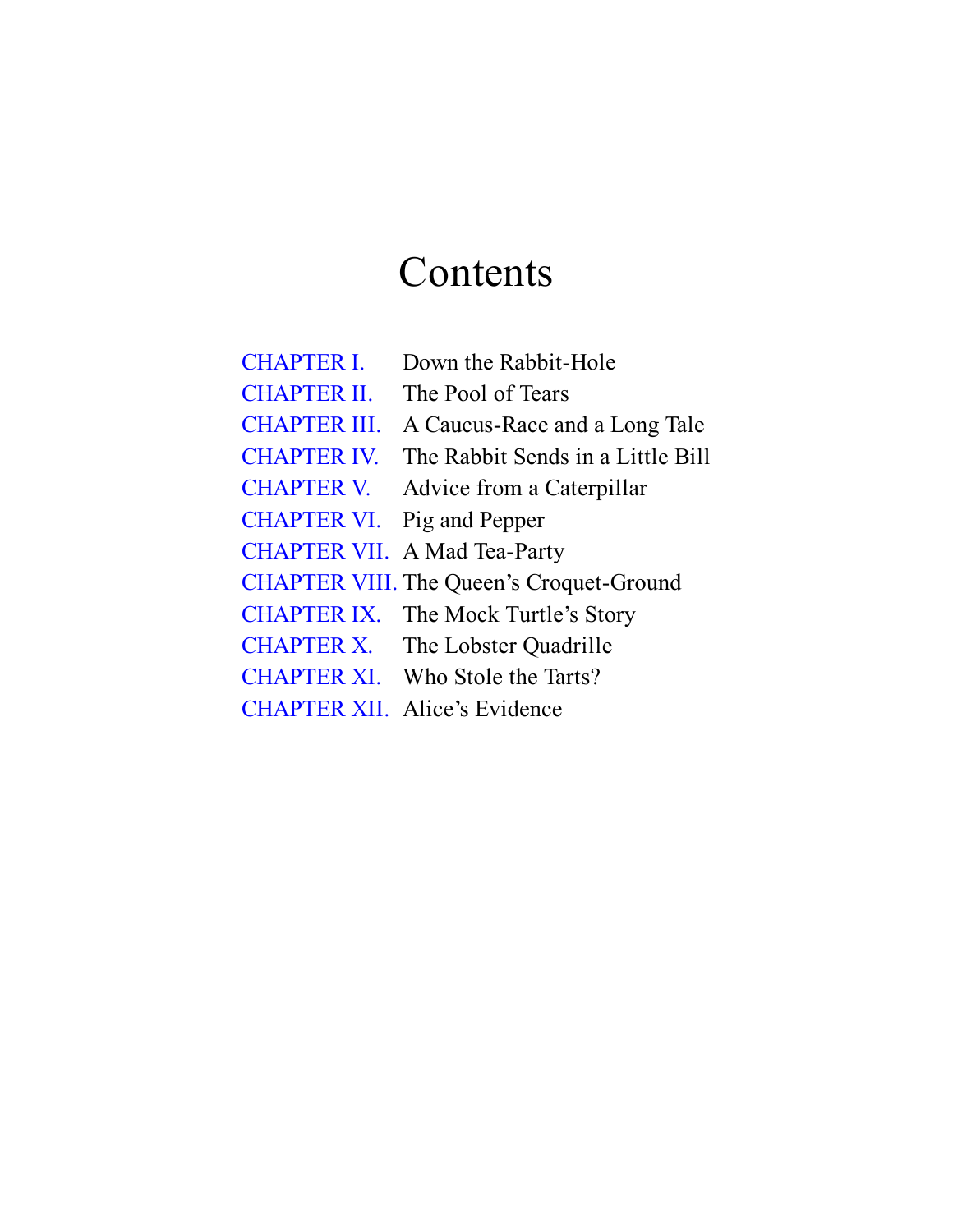#### Contents

| <b>CHAPTER I.</b>   | Down the Rabbit-Hole                            |
|---------------------|-------------------------------------------------|
| <b>CHAPTER II.</b>  | The Pool of Tears                               |
| <b>CHAPTER III.</b> | A Caucus-Race and a Long Tale                   |
| <b>CHAPTER IV.</b>  | The Rabbit Sends in a Little Bill               |
| <b>CHAPTER V.</b>   | Advice from a Caterpillar                       |
| <b>CHAPTER VI.</b>  | Pig and Pepper                                  |
|                     | <b>CHAPTER VII. A Mad Tea-Party</b>             |
|                     | <b>CHAPTER VIII. The Queen's Croquet-Ground</b> |
|                     | <b>CHAPTER IX.</b> The Mock Turtle's Story      |
|                     | <b>CHAPTER X.</b> The Lobster Quadrille         |
|                     | <b>CHAPTER XI.</b> Who Stole the Tarts?         |
|                     | <b>CHAPTER XII.</b> Alice's Evidence            |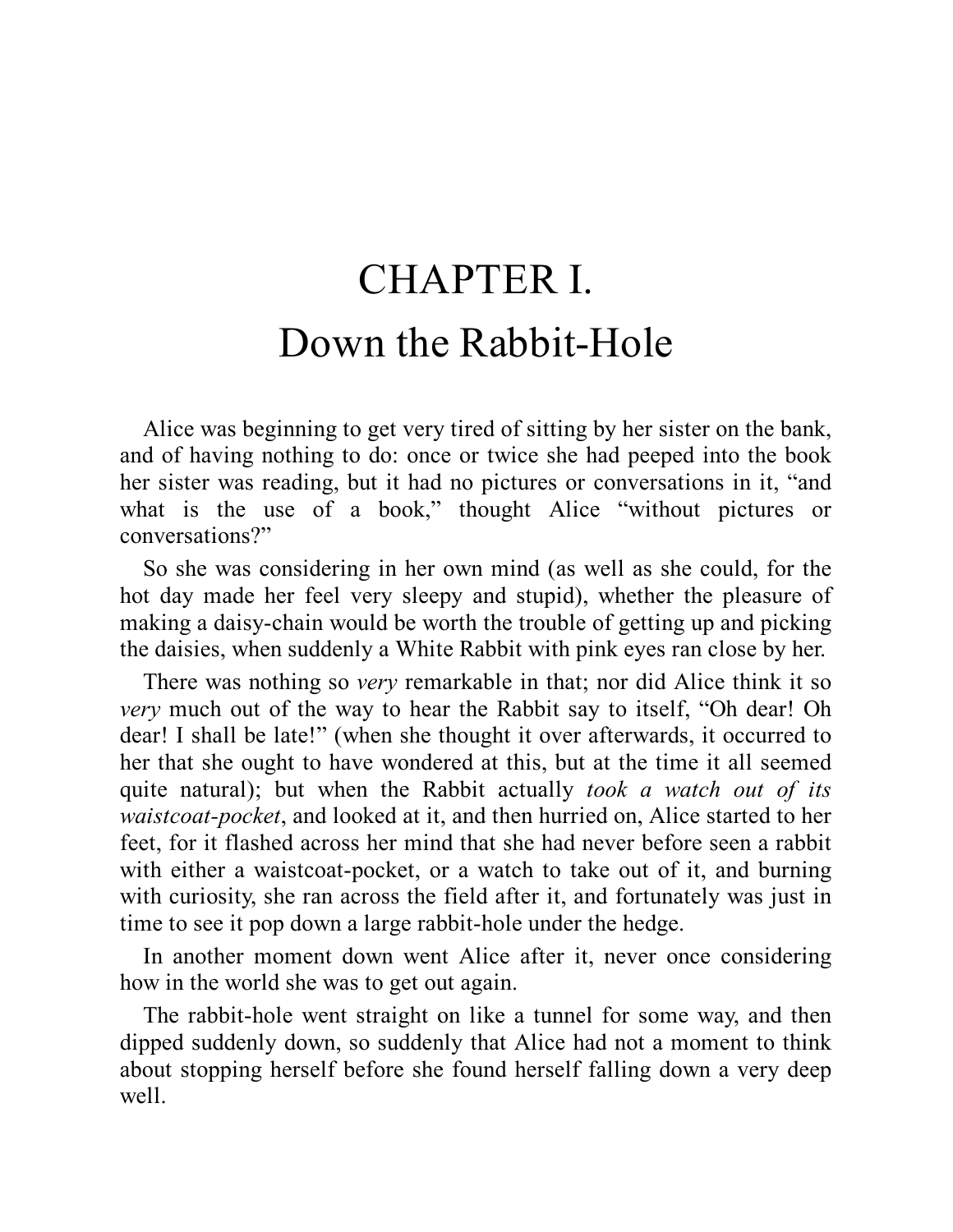# <span id="page-3-0"></span>CHAPTER I. Down the Rabbit-Hole

Alice was beginning to get very tired of sitting by her sister on the bank, and of having nothing to do: once or twice she had peeped into the book her sister was reading, but it had no pictures or conversations in it, "and what is the use of a book," thought Alice "without pictures or conversations?"

So she was considering in her own mind (as well as she could, for the hot day made her feel very sleepy and stupid), whether the pleasure of making a daisy-chain would be worth the trouble of getting up and picking the daisies, when suddenly a White Rabbit with pink eyes ran close by her.

There was nothing so *very* remarkable in that; nor did Alice think it so *very* much out of the way to hear the Rabbit say to itself, "Oh dear! Oh dear! I shall be late!" (when she thought it over afterwards, it occurred to her that she ought to have wondered at this, but at the time it all seemed quite natural); but when the Rabbit actually *took a watch out of its waistcoat-pocket*, and looked at it, and then hurried on, Alice started to her feet, for it flashed across her mind that she had never before seen a rabbit with either a waistcoat-pocket, or a watch to take out of it, and burning with curiosity, she ran across the field after it, and fortunately was just in time to see it pop down a large rabbit-hole under the hedge.

In another moment down went Alice after it, never once considering how in the world she was to get out again.

The rabbit-hole went straight on like a tunnel for some way, and then dipped suddenly down, so suddenly that Alice had not a moment to think about stopping herself before she found herself falling down a very deep well.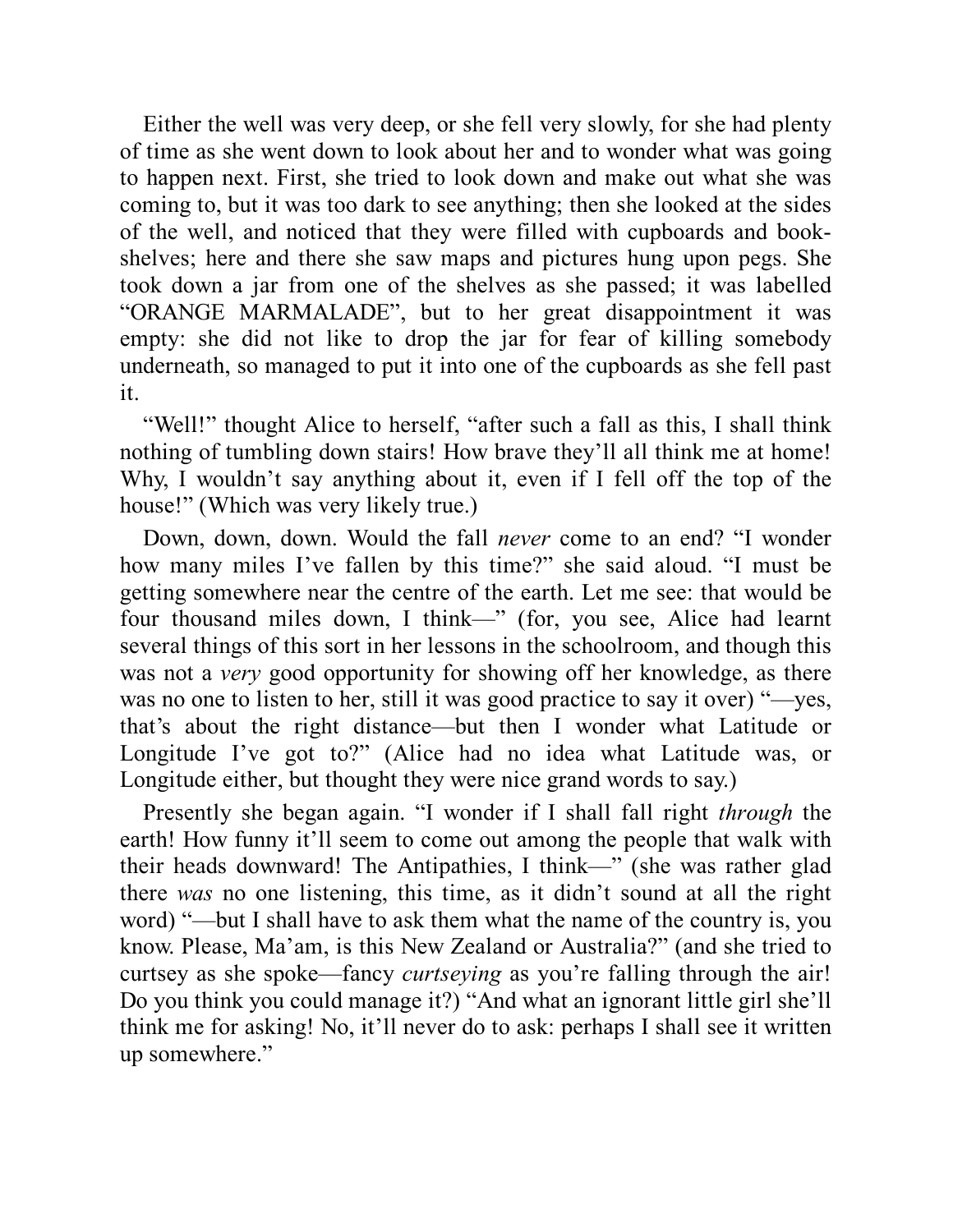Either the well was very deep, or she fell very slowly, for she had plenty of time as she went down to look about her and to wonder what was going to happen next. First, she tried to look down and make out what she was coming to, but it was too dark to see anything; then she looked at the sides of the well, and noticed that they were filled with cupboards and bookshelves; here and there she saw maps and pictures hung upon pegs. She took down a jar from one of the shelves as she passed; it was labelled "ORANGE MARMALADE", but to her great disappointment it was empty: she did not like to drop the jar for fear of killing somebody underneath, so managed to put it into one of the cupboards as she fell past it.

"Well!" thought Alice to herself, "after such a fall as this, I shall think nothing of tumbling down stairs! How brave they'll all think me at home! Why, I wouldn't say anything about it, even if I fell off the top of the house!" (Which was very likely true.)

Down, down, down. Would the fall *never* come to an end? "I wonder how many miles I've fallen by this time?" she said aloud. "I must be getting somewhere near the centre of the earth. Let me see: that would be four thousand miles down, I think—" (for, you see, Alice had learnt several things of this sort in her lessons in the schoolroom, and though this was not a *very* good opportunity for showing off her knowledge, as there was no one to listen to her, still it was good practice to say it over) "—yes, that's about the right distance—but then I wonder what Latitude or Longitude I've got to?" (Alice had no idea what Latitude was, or Longitude either, but thought they were nice grand words to say.)

Presently she began again. "I wonder if I shall fall right *through* the earth! How funny it'll seem to come out among the people that walk with their heads downward! The Antipathies, I think—" (she was rather glad there *was* no one listening, this time, as it didn't sound at all the right word) "—but I shall have to ask them what the name of the country is, you know. Please, Ma'am, is this New Zealand or Australia?" (and she tried to curtsey as she spoke—fancy *curtseying* as you're falling through the air! Do you think you could manage it?) "And what an ignorant little girl she'll think me for asking! No, it'll never do to ask: perhaps I shall see it written up somewhere."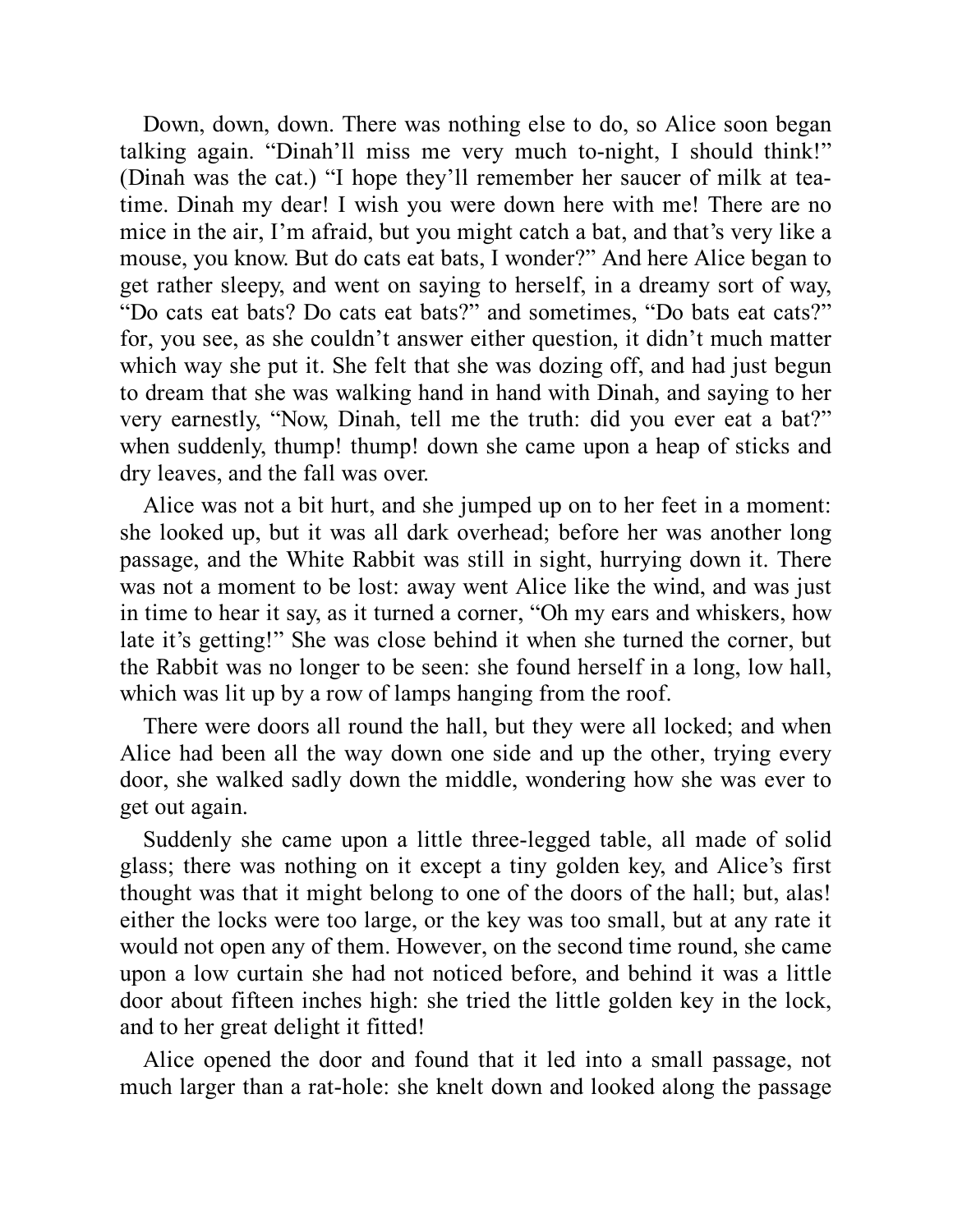Down, down, down. There was nothing else to do, so Alice soon began talking again. "Dinah'll miss me very much to-night, I should think!" (Dinah was the cat.) "I hope they'll remember her saucer of milk at teatime. Dinah my dear! I wish you were down here with me! There are no mice in the air, I'm afraid, but you might catch a bat, and that's very like a mouse, you know. But do cats eat bats, I wonder?" And here Alice began to get rather sleepy, and went on saying to herself, in a dreamy sort of way, "Do cats eat bats? Do cats eat bats?" and sometimes, "Do bats eat cats?" for, you see, as she couldn't answer either question, it didn't much matter which way she put it. She felt that she was dozing off, and had just begun to dream that she was walking hand in hand with Dinah, and saying to her very earnestly, "Now, Dinah, tell me the truth: did you ever eat a bat?" when suddenly, thump! thump! down she came upon a heap of sticks and dry leaves, and the fall was over.

Alice was not a bit hurt, and she jumped up on to her feet in a moment: she looked up, but it was all dark overhead; before her was another long passage, and the White Rabbit was still in sight, hurrying down it. There was not a moment to be lost: away went Alice like the wind, and was just in time to hear it say, as it turned a corner, "Oh my ears and whiskers, how late it's getting!" She was close behind it when she turned the corner, but the Rabbit was no longer to be seen: she found herself in a long, low hall, which was lit up by a row of lamps hanging from the roof.

There were doors all round the hall, but they were all locked; and when Alice had been all the way down one side and up the other, trying every door, she walked sadly down the middle, wondering how she was ever to get out again.

Suddenly she came upon a little three-legged table, all made of solid glass; there was nothing on it except a tiny golden key, and Alice's first thought was that it might belong to one of the doors of the hall; but, alas! either the locks were too large, or the key was too small, but at any rate it would not open any of them. However, on the second time round, she came upon a low curtain she had not noticed before, and behind it was a little door about fifteen inches high: she tried the little golden key in the lock, and to her great delight it fitted!

Alice opened the door and found that it led into a small passage, not much larger than a rat-hole: she knelt down and looked along the passage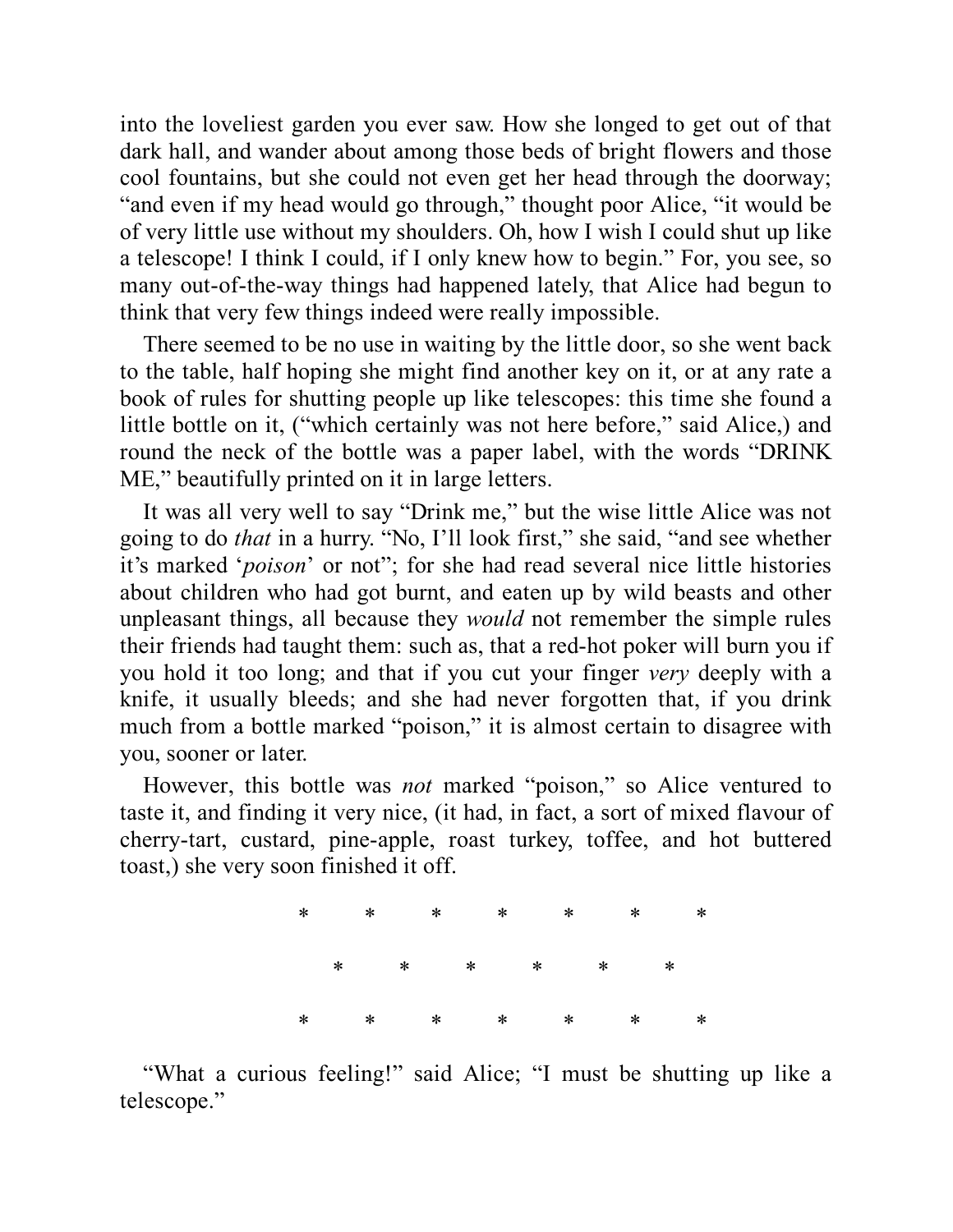into the loveliest garden you ever saw. How she longed to get out of that dark hall, and wander about among those beds of bright flowers and those cool fountains, but she could not even get her head through the doorway; "and even if my head would go through," thought poor Alice, "it would be of very little use without my shoulders. Oh, how I wish I could shut up like a telescope! I think I could, if I only knew how to begin." For, you see, so many out-of-the-way things had happened lately, that Alice had begun to think that very few things indeed were really impossible.

There seemed to be no use in waiting by the little door, so she went back to the table, half hoping she might find another key on it, or at any rate a book of rules for shutting people up like telescopes: this time she found a little bottle on it, ("which certainly was not here before," said Alice,) and round the neck of the bottle was a paper label, with the words "DRINK ME," beautifully printed on it in large letters.

It was all very well to say "Drink me," but the wise little Alice was not going to do *that* in a hurry. "No, I'll look first," she said, "and see whether it's marked '*poison*' or not"; for she had read several nice little histories about children who had got burnt, and eaten up by wild beasts and other unpleasant things, all because they *would* not remember the simple rules their friends had taught them: such as, that a red-hot poker will burn you if you hold it too long; and that if you cut your finger *very* deeply with a knife, it usually bleeds; and she had never forgotten that, if you drink much from a bottle marked "poison," it is almost certain to disagree with you, sooner or later.

However, this bottle was *not* marked "poison," so Alice ventured to taste it, and finding it very nice, (it had, in fact, a sort of mixed flavour of cherry-tart, custard, pine-apple, roast turkey, toffee, and hot buttered toast,) she very soon finished it off.



"What a curious feeling!" said Alice; "I must be shutting up like a telescope."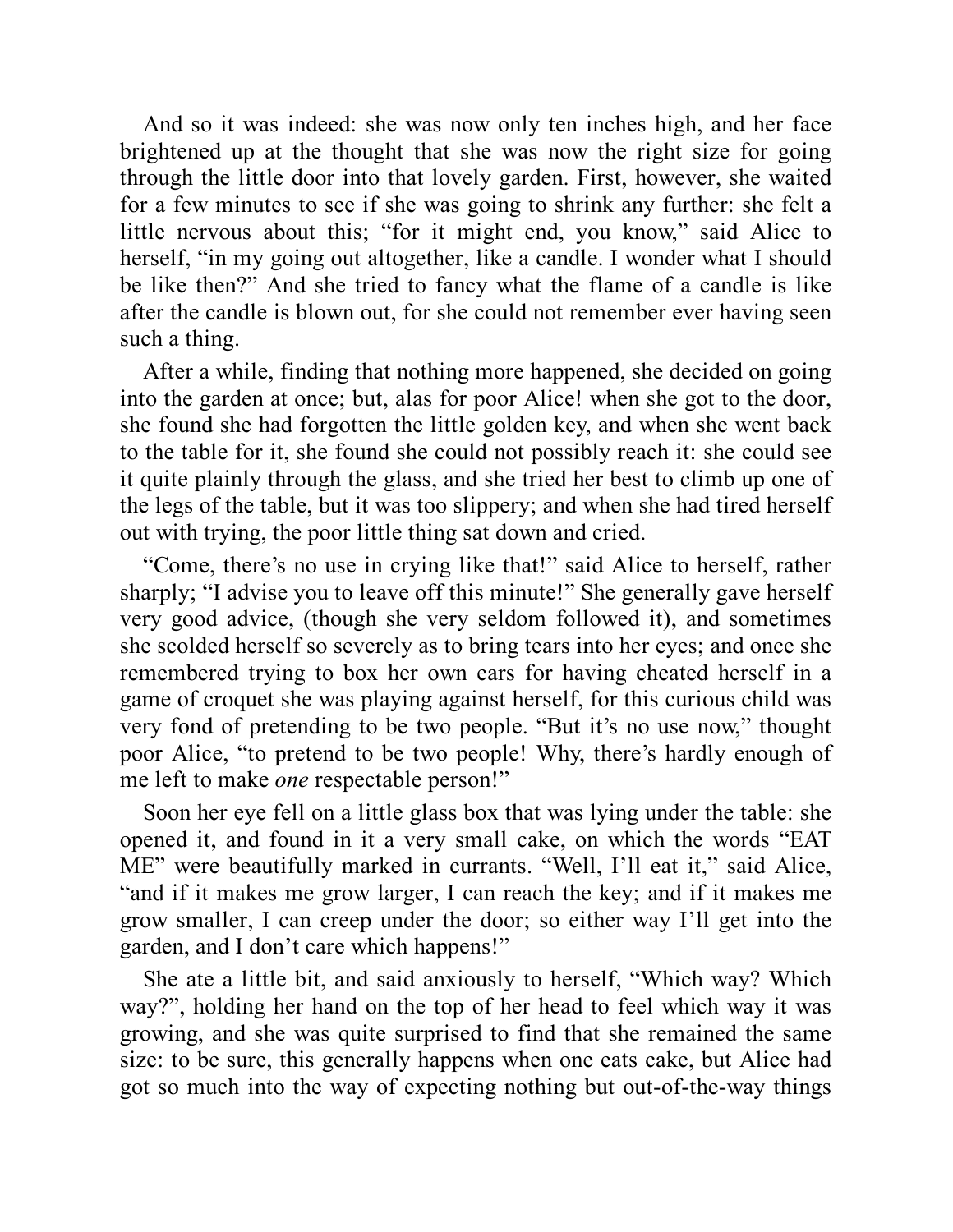And so it was indeed: she was now only ten inches high, and her face brightened up at the thought that she was now the right size for going through the little door into that lovely garden. First, however, she waited for a few minutes to see if she was going to shrink any further: she felt a little nervous about this; "for it might end, you know," said Alice to herself, "in my going out altogether, like a candle. I wonder what I should be like then?" And she tried to fancy what the flame of a candle is like after the candle is blown out, for she could not remember ever having seen such a thing.

After a while, finding that nothing more happened, she decided on going into the garden at once; but, alas for poor Alice! when she got to the door, she found she had forgotten the little golden key, and when she went back to the table for it, she found she could not possibly reach it: she could see it quite plainly through the glass, and she tried her best to climb up one of the legs of the table, but it was too slippery; and when she had tired herself out with trying, the poor little thing sat down and cried.

"Come, there's no use in crying like that!" said Alice to herself, rather sharply; "I advise you to leave off this minute!" She generally gave herself very good advice, (though she very seldom followed it), and sometimes she scolded herself so severely as to bring tears into her eyes; and once she remembered trying to box her own ears for having cheated herself in a game of croquet she was playing against herself, for this curious child was very fond of pretending to be two people. "But it's no use now," thought poor Alice, "to pretend to be two people! Why, there's hardly enough of me left to make *one* respectable person!"

Soon her eye fell on a little glass box that was lying under the table: she opened it, and found in it a very small cake, on which the words "EAT ME" were beautifully marked in currants. "Well, I'll eat it," said Alice, "and if it makes me grow larger, I can reach the key; and if it makes me grow smaller, I can creep under the door; so either way I'll get into the garden, and I don't care which happens!"

She ate a little bit, and said anxiously to herself, "Which way? Which way?", holding her hand on the top of her head to feel which way it was growing, and she was quite surprised to find that she remained the same size: to be sure, this generally happens when one eats cake, but Alice had got so much into the way of expecting nothing but out-of-the-way things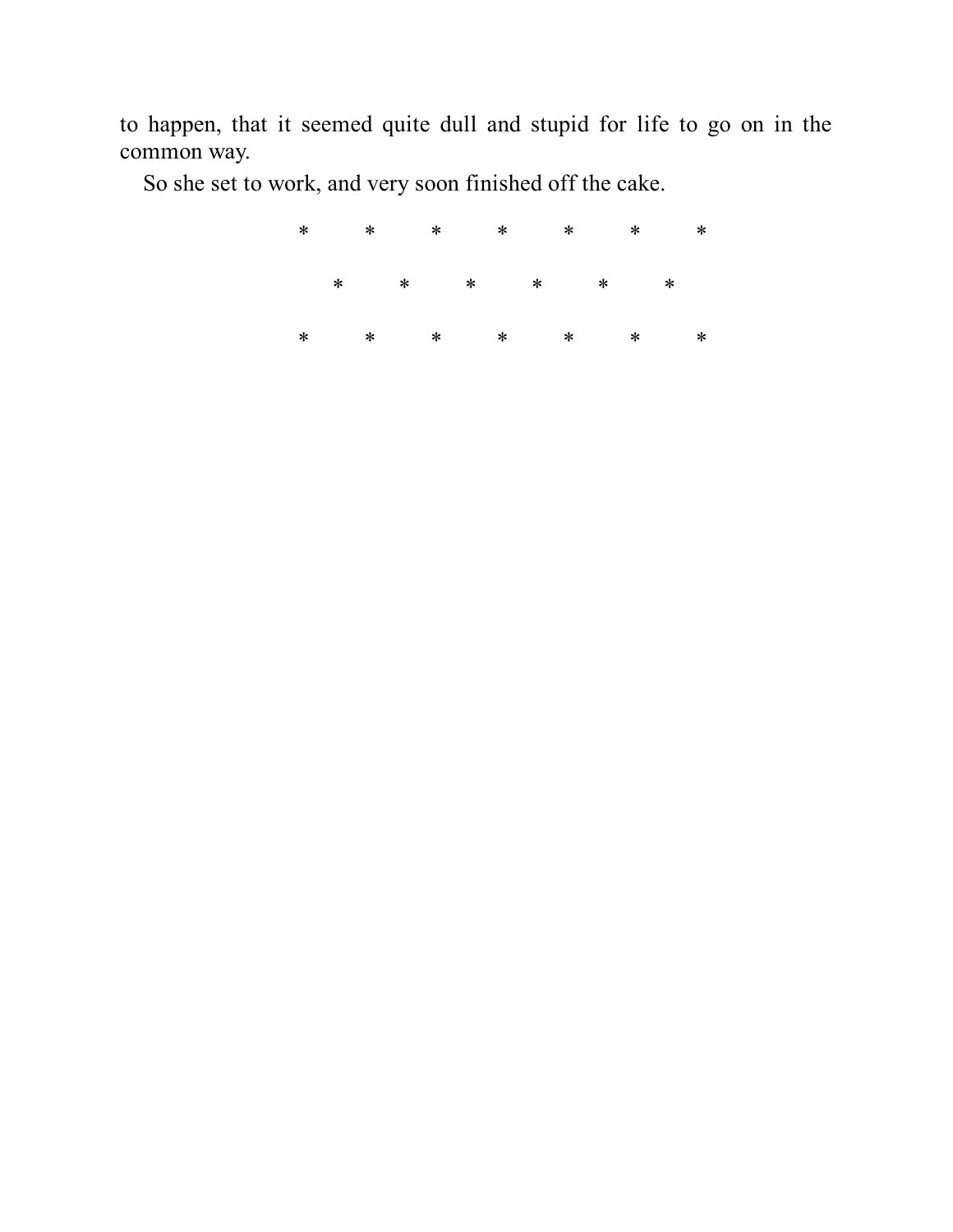to happen, that it seemed quite dull and stupid for life to go on in the common way.

So she set to work, and very soon finished off the cake.

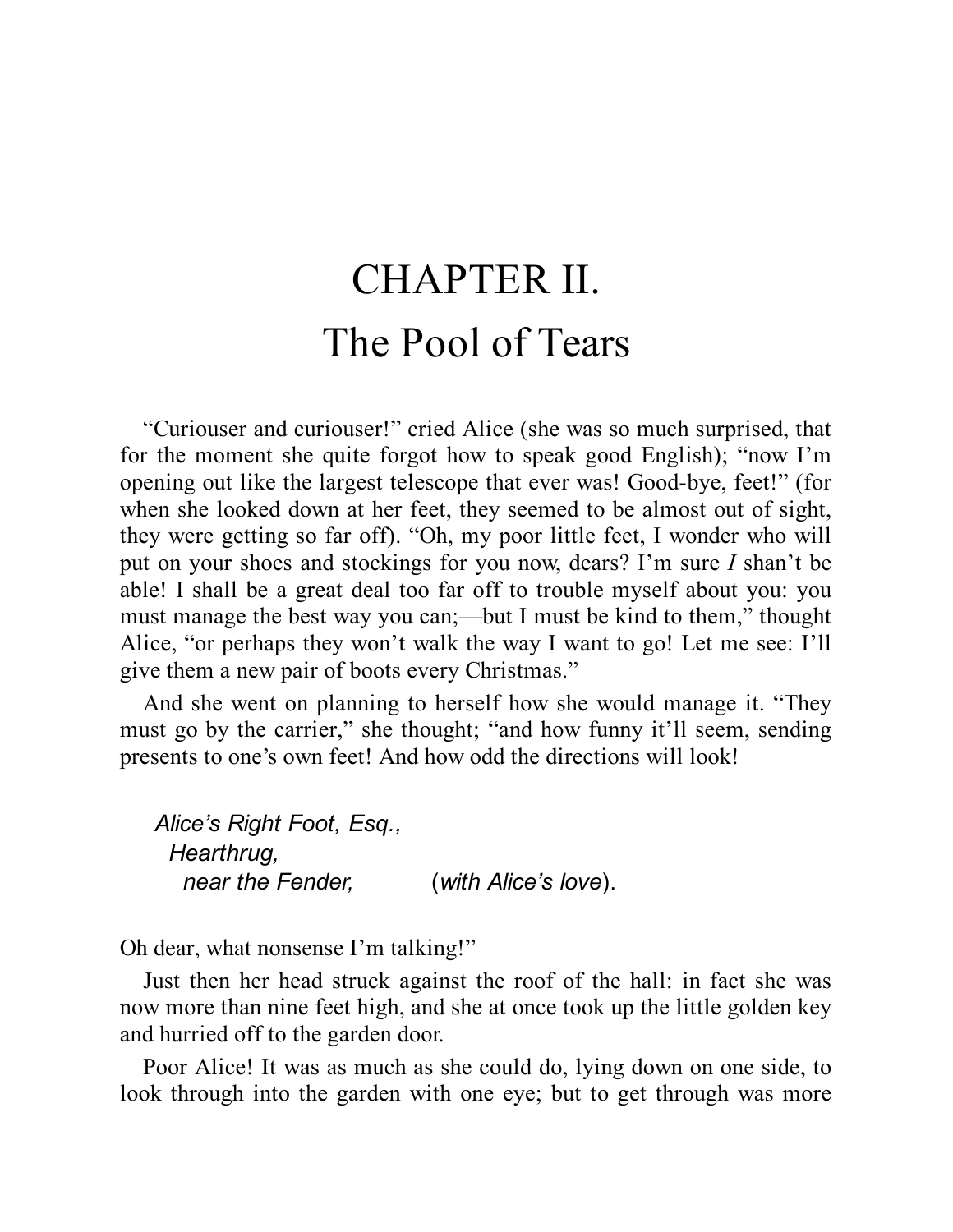# <span id="page-9-0"></span>CHAPTER II. The Pool of Tears

"Curiouser and curiouser!" cried Alice (she was so much surprised, that for the moment she quite forgot how to speak good English); "now I'm opening out like the largest telescope that ever was! Good-bye, feet!" (for when she looked down at her feet, they seemed to be almost out of sight, they were getting so far off). "Oh, my poor little feet, I wonder who will put on your shoes and stockings for you now, dears? I'm sure *I* shan't be able! I shall be a great deal too far off to trouble myself about you: you must manage the best way you can;—but I must be kind to them," thought Alice, "or perhaps they won't walk the way I want to go! Let me see: I'll give them a new pair of boots every Christmas."

And she went on planning to herself how she would manage it. "They must go by the carrier," she thought; "and how funny it'll seem, sending presents to one's own feet! And how odd the directions will look!

*Alice's Right Foot, Esq., Hearthrug, near the Fender,* (*with Alice's love*).

Oh dear, what nonsense I'm talking!"

Just then her head struck against the roof of the hall: in fact she was now more than nine feet high, and she at once took up the little golden key and hurried off to the garden door.

Poor Alice! It was as much as she could do, lying down on one side, to look through into the garden with one eye; but to get through was more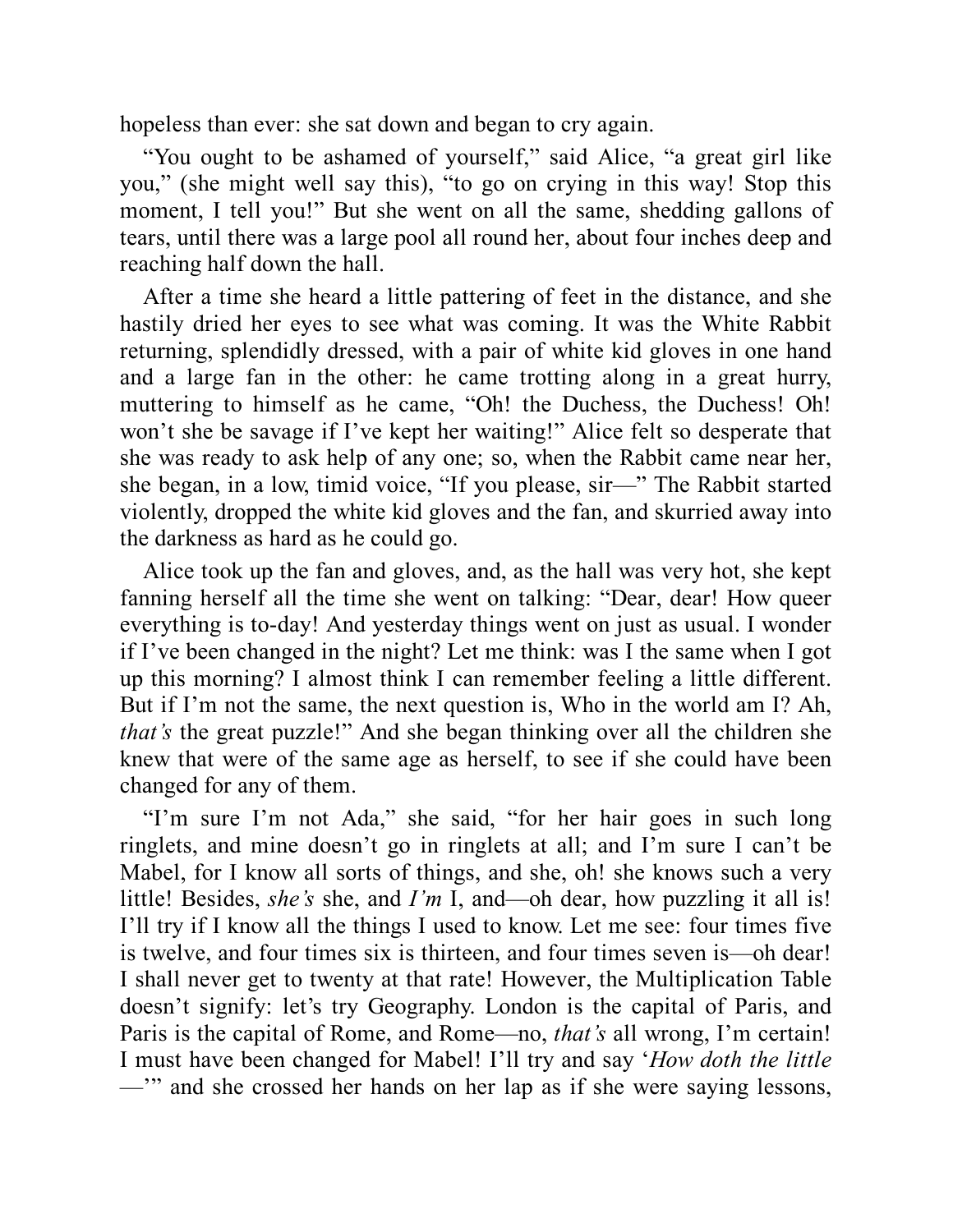hopeless than ever: she sat down and began to cry again.

"You ought to be ashamed of yourself," said Alice, "a great girl like you," (she might well say this), "to go on crying in this way! Stop this moment, I tell you!" But she went on all the same, shedding gallons of tears, until there was a large pool all round her, about four inches deep and reaching half down the hall.

After a time she heard a little pattering of feet in the distance, and she hastily dried her eyes to see what was coming. It was the White Rabbit returning, splendidly dressed, with a pair of white kid gloves in one hand and a large fan in the other: he came trotting along in a great hurry, muttering to himself as he came, "Oh! the Duchess, the Duchess! Oh! won't she be savage if I've kept her waiting!" Alice felt so desperate that she was ready to ask help of any one; so, when the Rabbit came near her, she began, in a low, timid voice, "If you please, sir—" The Rabbit started violently, dropped the white kid gloves and the fan, and skurried away into the darkness as hard as he could go.

Alice took up the fan and gloves, and, as the hall was very hot, she kept fanning herself all the time she went on talking: "Dear, dear! How queer everything is to-day! And yesterday things went on just as usual. I wonder if I've been changed in the night? Let me think: was I the same when I got up this morning? I almost think I can remember feeling a little different. But if I'm not the same, the next question is, Who in the world am I? Ah, *that's* the great puzzle!" And she began thinking over all the children she knew that were of the same age as herself, to see if she could have been changed for any of them.

"I'm sure I'm not Ada," she said, "for her hair goes in such long ringlets, and mine doesn't go in ringlets at all; and I'm sure I can't be Mabel, for I know all sorts of things, and she, oh! she knows such a very little! Besides, *she's* she, and *I'm* I, and—oh dear, how puzzling it all is! I'll try if I know all the things I used to know. Let me see: four times five is twelve, and four times six is thirteen, and four times seven is—oh dear! I shall never get to twenty at that rate! However, the Multiplication Table doesn't signify: let's try Geography. London is the capital of Paris, and Paris is the capital of Rome, and Rome—no, *that's* all wrong, I'm certain! I must have been changed for Mabel! I'll try and say '*How doth the little* —'" and she crossed her hands on her lap as if she were saying lessons,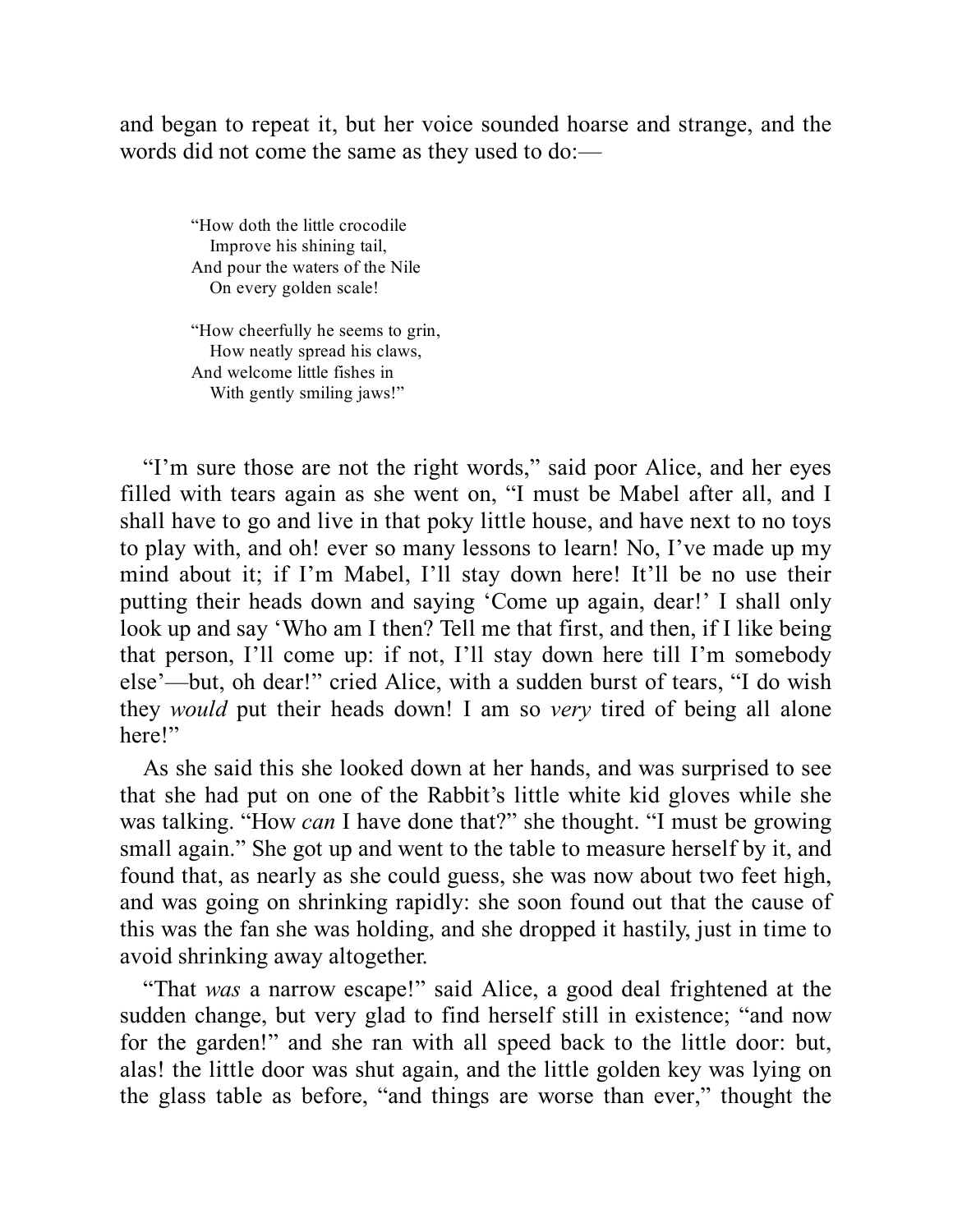and began to repeat it, but her voice sounded hoarse and strange, and the words did not come the same as they used to do:—

> "How doth the little crocodile Improve his shining tail, And pour the waters of the Nile On every golden scale!

"How cheerfully he seems to grin, How neatly spread his claws, And welcome little fishes in With gently smiling jaws!"

"I'm sure those are not the right words," said poor Alice, and her eyes filled with tears again as she went on, "I must be Mabel after all, and I shall have to go and live in that poky little house, and have next to no toys to play with, and oh! ever so many lessons to learn! No, I've made up my mind about it; if I'm Mabel, I'll stay down here! It'll be no use their putting their heads down and saying 'Come up again, dear!' I shall only look up and say 'Who am I then? Tell me that first, and then, if I like being that person, I'll come up: if not, I'll stay down here till I'm somebody else'—but, oh dear!" cried Alice, with a sudden burst of tears, "I do wish they *would* put their heads down! I am so *very* tired of being all alone here!"

As she said this she looked down at her hands, and was surprised to see that she had put on one of the Rabbit's little white kid gloves while she was talking. "How *can* I have done that?" she thought. "I must be growing small again." She got up and went to the table to measure herself by it, and found that, as nearly as she could guess, she was now about two feet high, and was going on shrinking rapidly: she soon found out that the cause of this was the fan she was holding, and she dropped it hastily, just in time to avoid shrinking away altogether.

"That *was* a narrow escape!" said Alice, a good deal frightened at the sudden change, but very glad to find herself still in existence; "and now for the garden!" and she ran with all speed back to the little door: but, alas! the little door was shut again, and the little golden key was lying on the glass table as before, "and things are worse than ever," thought the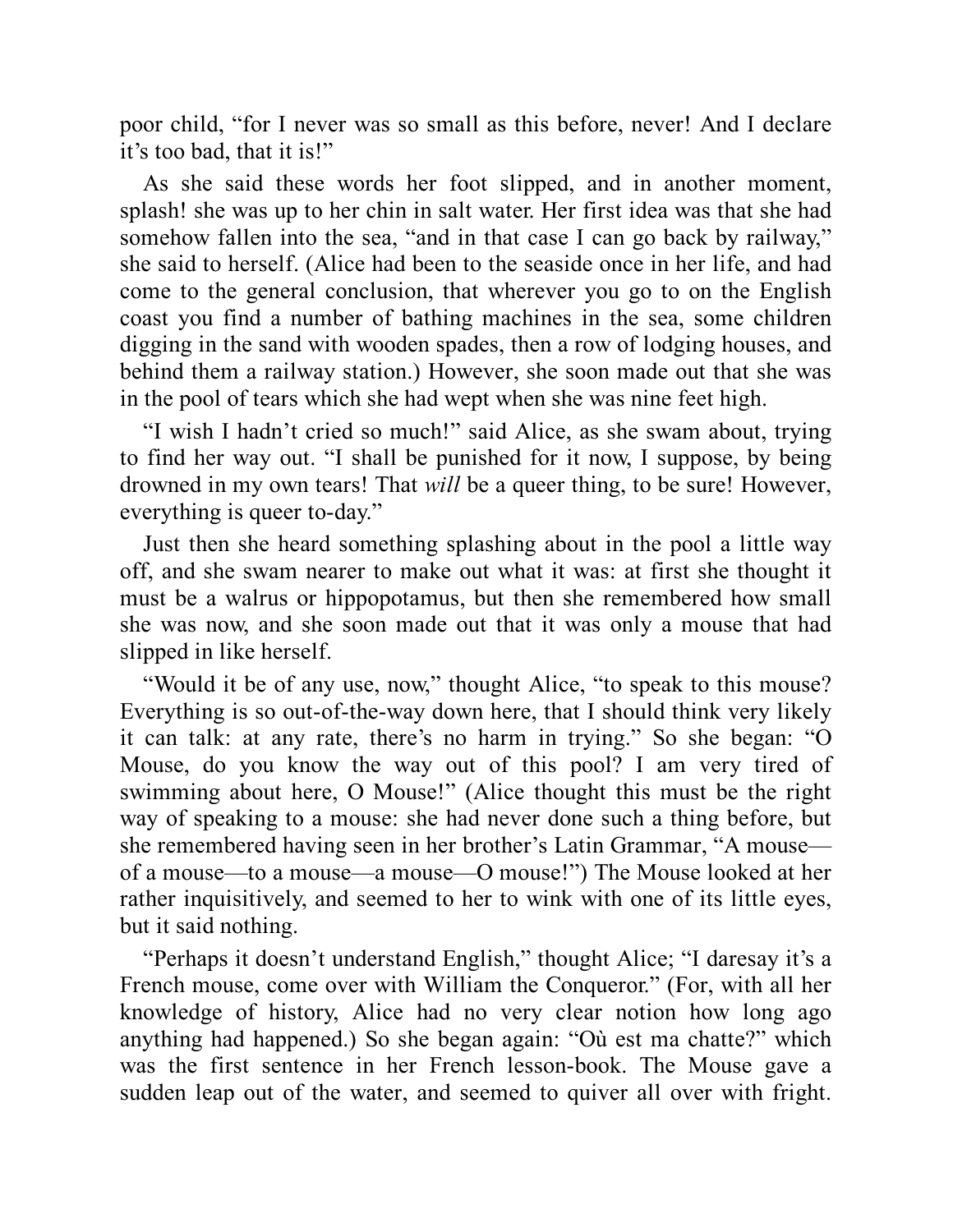poor child, "for I never was so small as this before, never! And I declare it's too bad, that it is!"

As she said these words her foot slipped, and in another moment, splash! she was up to her chin in salt water. Her first idea was that she had somehow fallen into the sea, "and in that case I can go back by railway," she said to herself. (Alice had been to the seaside once in her life, and had come to the general conclusion, that wherever you go to on the English coast you find a number of bathing machines in the sea, some children digging in the sand with wooden spades, then a row of lodging houses, and behind them a railway station.) However, she soon made out that she was in the pool of tears which she had wept when she was nine feet high.

"I wish I hadn't cried so much!" said Alice, as she swam about, trying to find her way out. "I shall be punished for it now, I suppose, by being drowned in my own tears! That *will* be a queer thing, to be sure! However, everything is queer to-day."

Just then she heard something splashing about in the pool a little way off, and she swam nearer to make out what it was: at first she thought it must be a walrus or hippopotamus, but then she remembered how small she was now, and she soon made out that it was only a mouse that had slipped in like herself.

"Would it be of any use, now," thought Alice, "to speak to this mouse? Everything is so out-of-the-way down here, that I should think very likely it can talk: at any rate, there's no harm in trying." So she began: "O Mouse, do you know the way out of this pool? I am very tired of swimming about here, O Mouse!" (Alice thought this must be the right way of speaking to a mouse: she had never done such a thing before, but she remembered having seen in her brother's Latin Grammar, "A mouse of a mouse—to a mouse—a mouse—O mouse!") The Mouse looked at her rather inquisitively, and seemed to her to wink with one of its little eyes, but it said nothing.

"Perhaps it doesn't understand English," thought Alice; "I daresay it's a French mouse, come over with William the Conqueror." (For, with all her knowledge of history, Alice had no very clear notion how long ago anything had happened.) So she began again: "Où est ma chatte?" which was the first sentence in her French lesson-book. The Mouse gave a sudden leap out of the water, and seemed to quiver all over with fright.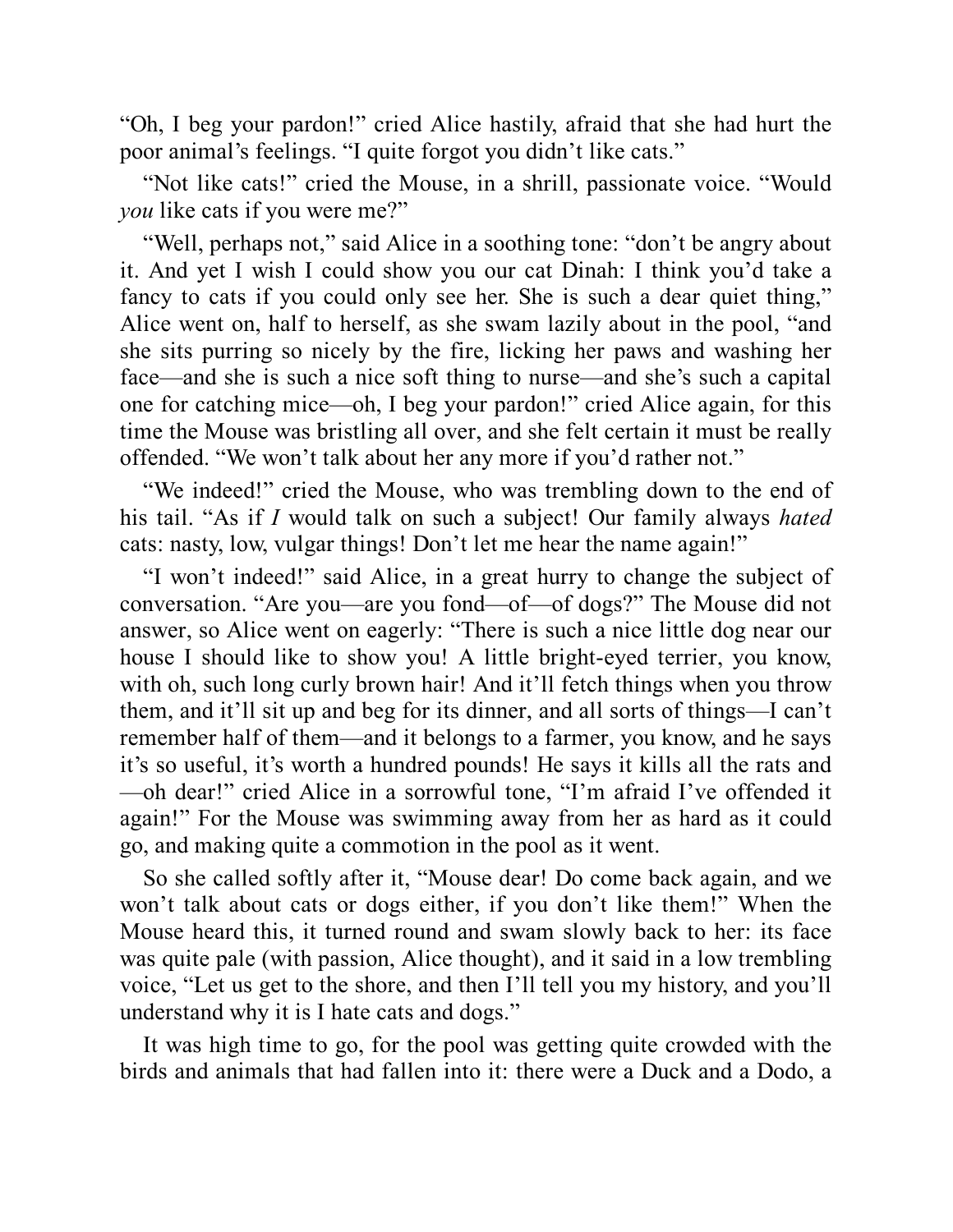"Oh, I beg your pardon!" cried Alice hastily, afraid that she had hurt the poor animal's feelings. "I quite forgot you didn't like cats."

"Not like cats!" cried the Mouse, in a shrill, passionate voice. "Would *you* like cats if you were me?"

"Well, perhaps not," said Alice in a soothing tone: "don't be angry about it. And yet I wish I could show you our cat Dinah: I think you'd take a fancy to cats if you could only see her. She is such a dear quiet thing," Alice went on, half to herself, as she swam lazily about in the pool, "and she sits purring so nicely by the fire, licking her paws and washing her face—and she is such a nice soft thing to nurse—and she's such a capital one for catching mice—oh, I beg your pardon!" cried Alice again, for this time the Mouse was bristling all over, and she felt certain it must be really offended. "We won't talk about her any more if you'd rather not."

"We indeed!" cried the Mouse, who was trembling down to the end of his tail. "As if *I* would talk on such a subject! Our family always *hated* cats: nasty, low, vulgar things! Don't let me hear the name again!"

"I won't indeed!" said Alice, in a great hurry to change the subject of conversation. "Are you—are you fond—of—of dogs?" The Mouse did not answer, so Alice went on eagerly: "There is such a nice little dog near our house I should like to show you! A little bright-eyed terrier, you know, with oh, such long curly brown hair! And it'll fetch things when you throw them, and it'll sit up and beg for its dinner, and all sorts of things—I can't remember half of them—and it belongs to a farmer, you know, and he says it's so useful, it's worth a hundred pounds! He says it kills all the rats and —oh dear!" cried Alice in a sorrowful tone, "I'm afraid I've offended it again!" For the Mouse was swimming away from her as hard as it could go, and making quite a commotion in the pool as it went.

So she called softly after it, "Mouse dear! Do come back again, and we won't talk about cats or dogs either, if you don't like them!" When the Mouse heard this, it turned round and swam slowly back to her: its face was quite pale (with passion, Alice thought), and it said in a low trembling voice, "Let us get to the shore, and then I'll tell you my history, and you'll understand why it is I hate cats and dogs."

It was high time to go, for the pool was getting quite crowded with the birds and animals that had fallen into it: there were a Duck and a Dodo, a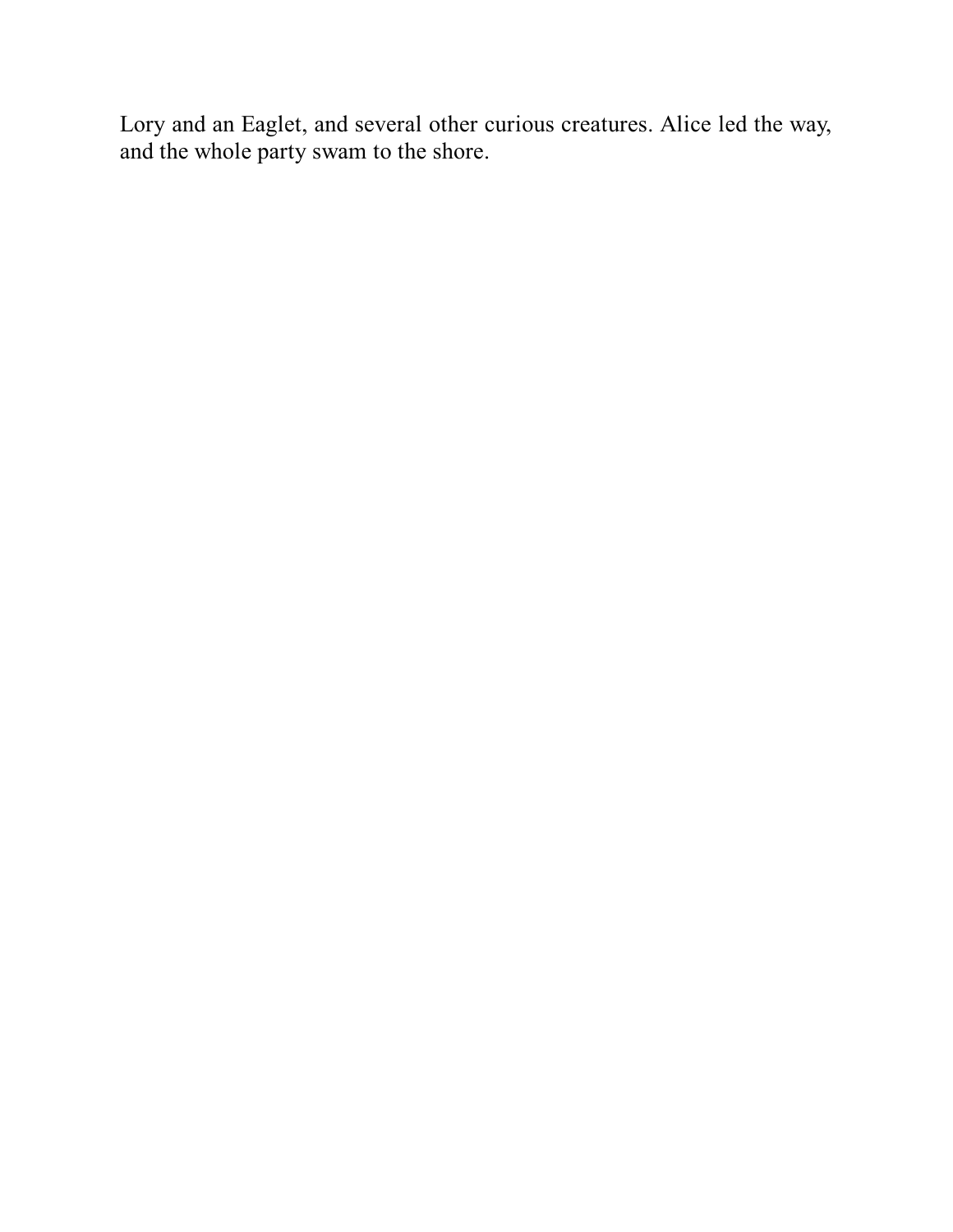Lory and an Eaglet, and several other curious creatures. Alice led the way, and the whole party swam to the shore.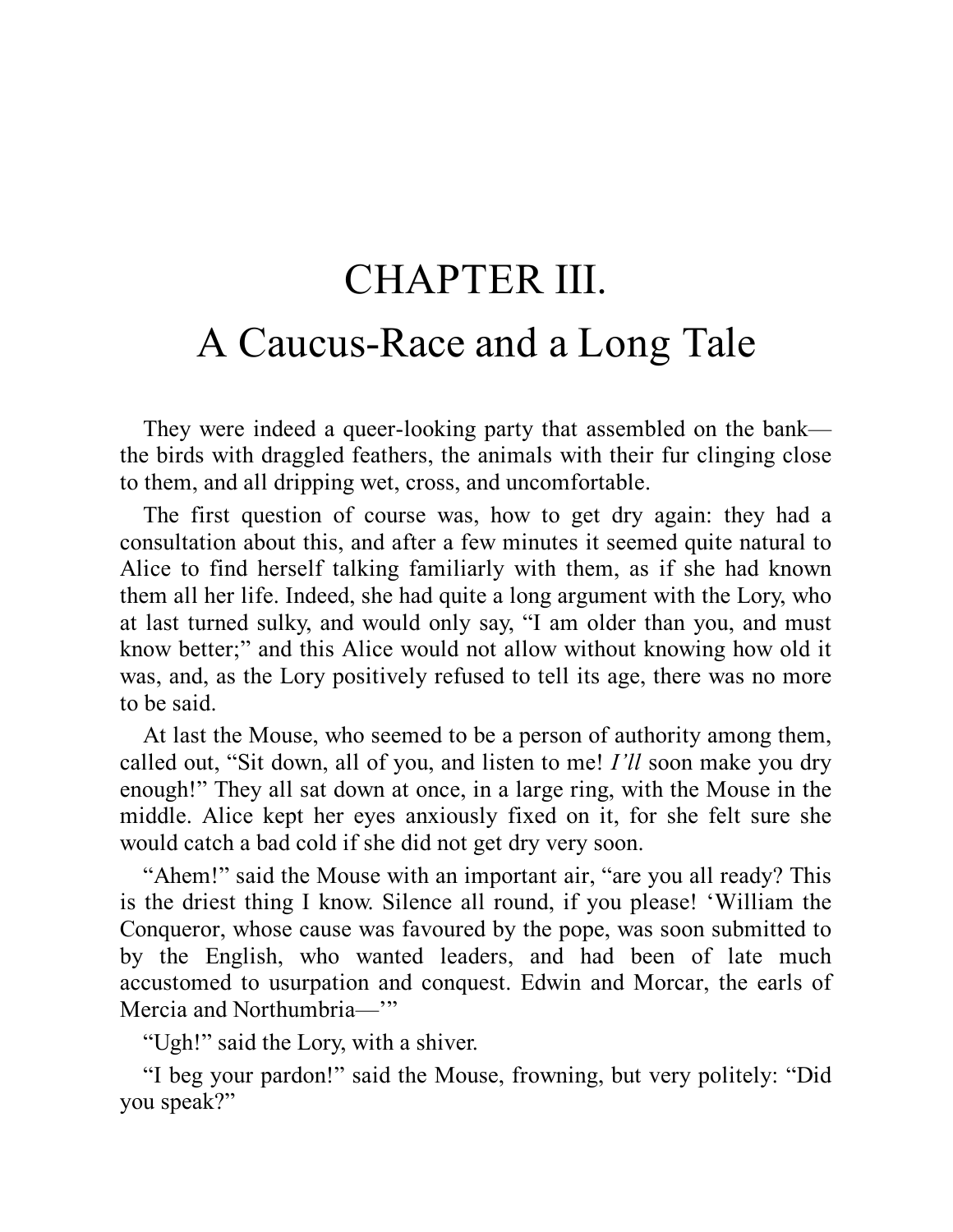# <span id="page-15-0"></span>CHAPTER III. A Caucus-Race and a Long Tale

They were indeed a queer-looking party that assembled on the bank the birds with draggled feathers, the animals with their fur clinging close to them, and all dripping wet, cross, and uncomfortable.

The first question of course was, how to get dry again: they had a consultation about this, and after a few minutes it seemed quite natural to Alice to find herself talking familiarly with them, as if she had known them all her life. Indeed, she had quite a long argument with the Lory, who at last turned sulky, and would only say, "I am older than you, and must know better;" and this Alice would not allow without knowing how old it was, and, as the Lory positively refused to tell its age, there was no more to be said.

At last the Mouse, who seemed to be a person of authority among them, called out, "Sit down, all of you, and listen to me! *I'll* soon make you dry enough!" They all sat down at once, in a large ring, with the Mouse in the middle. Alice kept her eyes anxiously fixed on it, for she felt sure she would catch a bad cold if she did not get dry very soon.

"Ahem!" said the Mouse with an important air, "are you all ready? This is the driest thing I know. Silence all round, if you please! 'William the Conqueror, whose cause was favoured by the pope, was soon submitted to by the English, who wanted leaders, and had been of late much accustomed to usurpation and conquest. Edwin and Morcar, the earls of Mercia and Northumbria—'"

"Ugh!" said the Lory, with a shiver.

"I beg your pardon!" said the Mouse, frowning, but very politely: "Did you speak?"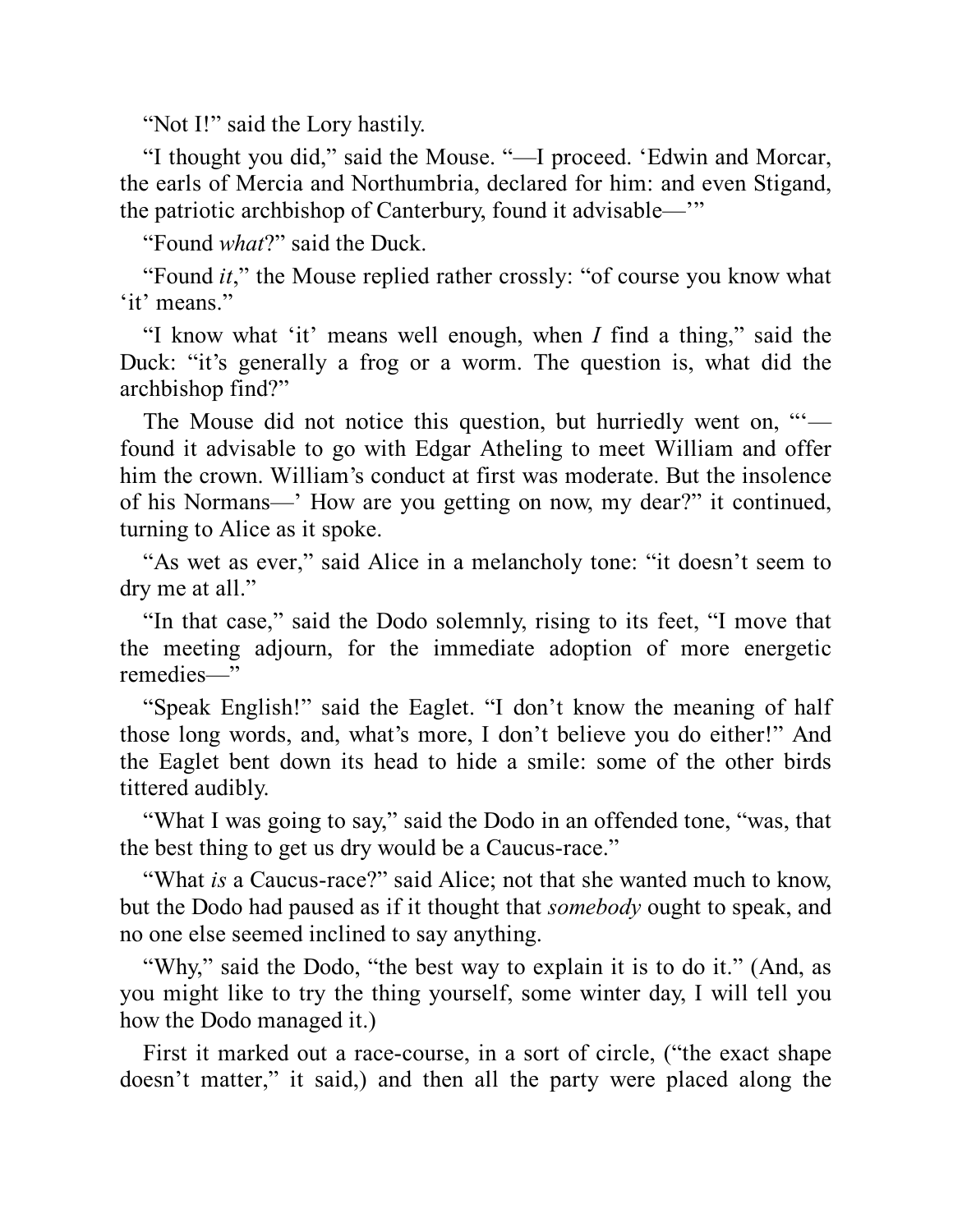"Not I!" said the Lory hastily.

"I thought you did," said the Mouse. "—I proceed. 'Edwin and Morcar, the earls of Mercia and Northumbria, declared for him: and even Stigand, the patriotic archbishop of Canterbury, found it advisable—'"

"Found *what*?" said the Duck.

"Found *it*," the Mouse replied rather crossly: "of course you know what 'it' means."

"I know what 'it' means well enough, when *I* find a thing," said the Duck: "it's generally a frog or a worm. The question is, what did the archbishop find?"

The Mouse did not notice this question, but hurriedly went on, "' found it advisable to go with Edgar Atheling to meet William and offer him the crown. William's conduct at first was moderate. But the insolence of his Normans—' How are you getting on now, my dear?" it continued, turning to Alice as it spoke.

"As wet as ever," said Alice in a melancholy tone: "it doesn't seem to dry me at all."

"In that case," said the Dodo solemnly, rising to its feet, "I move that the meeting adjourn, for the immediate adoption of more energetic remedies—"

"Speak English!" said the Eaglet. "I don't know the meaning of half those long words, and, what's more, I don't believe you do either!" And the Eaglet bent down its head to hide a smile: some of the other birds tittered audibly.

"What I was going to say," said the Dodo in an offended tone, "was, that the best thing to get us dry would be a Caucus-race."

"What *is* a Caucus-race?" said Alice; not that she wanted much to know, but the Dodo had paused as if it thought that *somebody* ought to speak, and no one else seemed inclined to say anything.

"Why," said the Dodo, "the best way to explain it is to do it." (And, as you might like to try the thing yourself, some winter day, I will tell you how the Dodo managed it.)

First it marked out a race-course, in a sort of circle, ("the exact shape doesn't matter," it said,) and then all the party were placed along the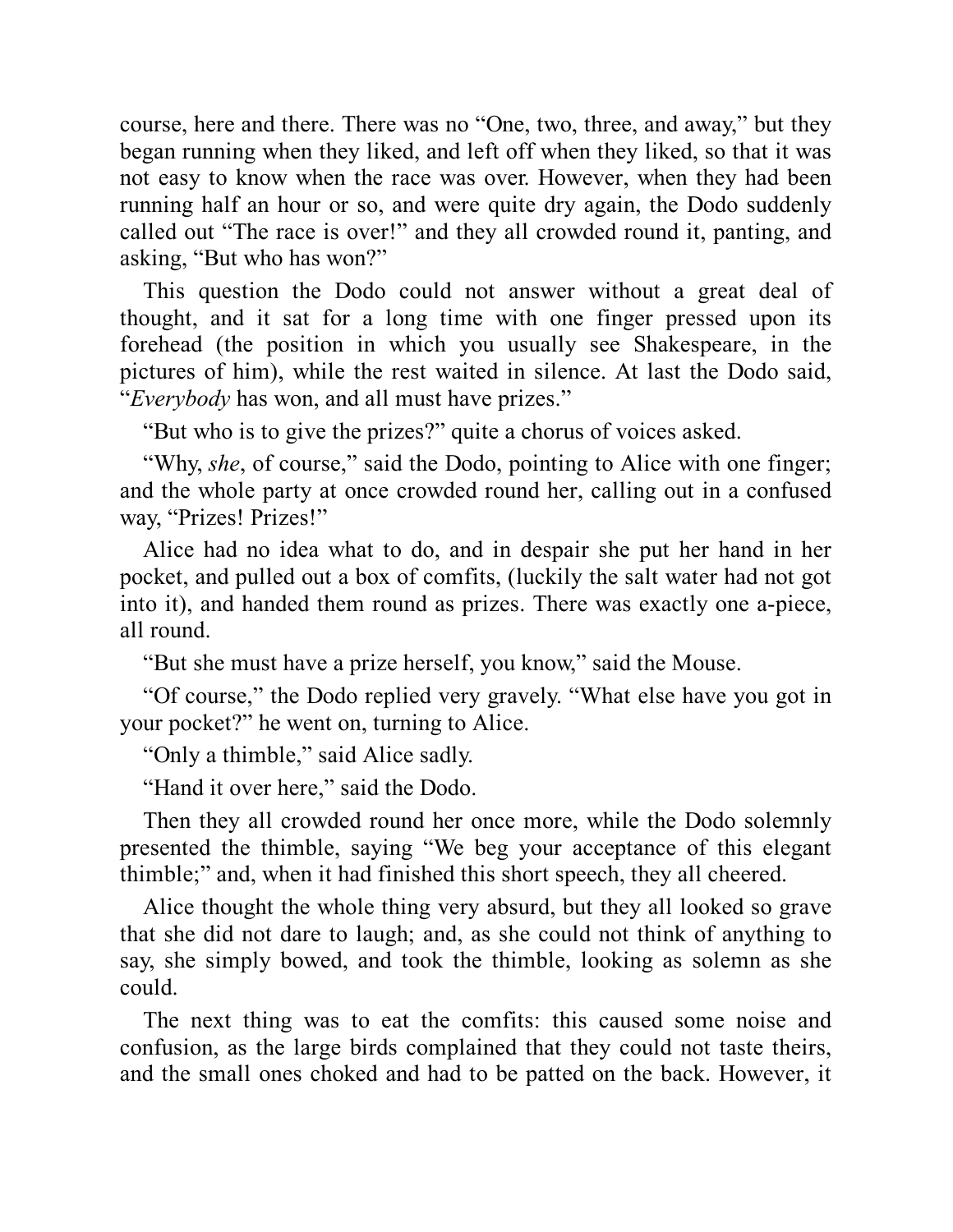course, here and there. There was no "One, two, three, and away," but they began running when they liked, and left off when they liked, so that it was not easy to know when the race was over. However, when they had been running half an hour or so, and were quite dry again, the Dodo suddenly called out "The race is over!" and they all crowded round it, panting, and asking, "But who has won?"

This question the Dodo could not answer without a great deal of thought, and it sat for a long time with one finger pressed upon its forehead (the position in which you usually see Shakespeare, in the pictures of him), while the rest waited in silence. At last the Dodo said, "*Everybody* has won, and all must have prizes."

"But who is to give the prizes?" quite a chorus of voices asked.

"Why, *she*, of course," said the Dodo, pointing to Alice with one finger; and the whole party at once crowded round her, calling out in a confused way, "Prizes! Prizes!"

Alice had no idea what to do, and in despair she put her hand in her pocket, and pulled out a box of comfits, (luckily the salt water had not got into it), and handed them round as prizes. There was exactly one a-piece, all round.

"But she must have a prize herself, you know," said the Mouse.

"Of course," the Dodo replied very gravely. "What else have you got in your pocket?" he went on, turning to Alice.

"Only a thimble," said Alice sadly.

"Hand it over here," said the Dodo.

Then they all crowded round her once more, while the Dodo solemnly presented the thimble, saying "We beg your acceptance of this elegant thimble;" and, when it had finished this short speech, they all cheered.

Alice thought the whole thing very absurd, but they all looked so grave that she did not dare to laugh; and, as she could not think of anything to say, she simply bowed, and took the thimble, looking as solemn as she could.

The next thing was to eat the comfits: this caused some noise and confusion, as the large birds complained that they could not taste theirs, and the small ones choked and had to be patted on the back. However, it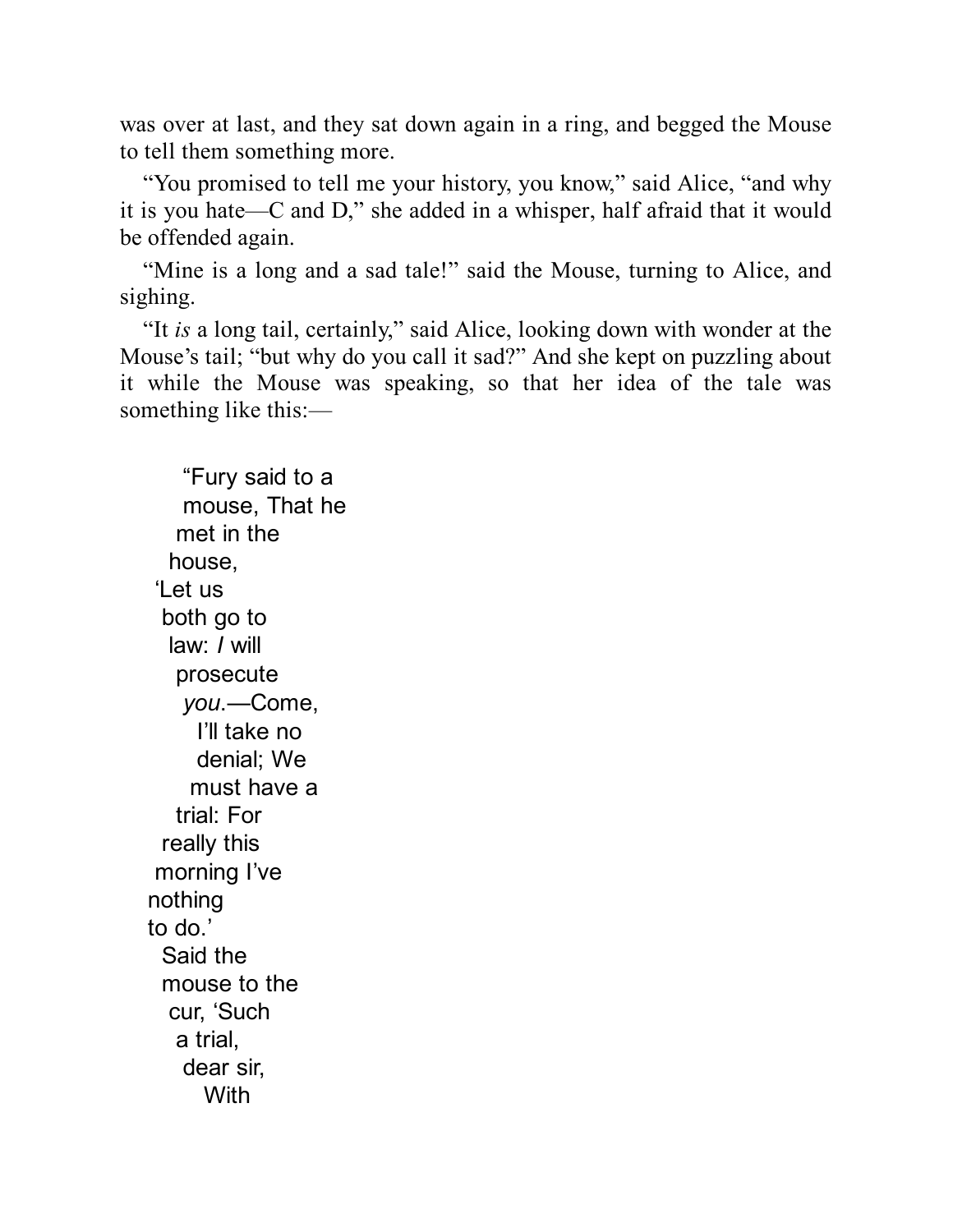was over at last, and they sat down again in a ring, and begged the Mouse to tell them something more.

"You promised to tell me your history, you know," said Alice, "and why it is you hate—C and D," she added in a whisper, half afraid that it would be offended again.

"Mine is a long and a sad tale!" said the Mouse, turning to Alice, and sighing.

"It *is* a long tail, certainly," said Alice, looking down with wonder at the Mouse's tail; "but why do you call it sad?" And she kept on puzzling about it while the Mouse was speaking, so that her idea of the tale was something like this:—

"Fury said to a mouse, That he met in the house, 'Let us both go to law: *I* will prosecute *you*.—Come, I'll take no denial; We must have a trial: For really this morning I've nothing to do.' Said the mouse to the cur, 'Such a trial, dear sir, **With**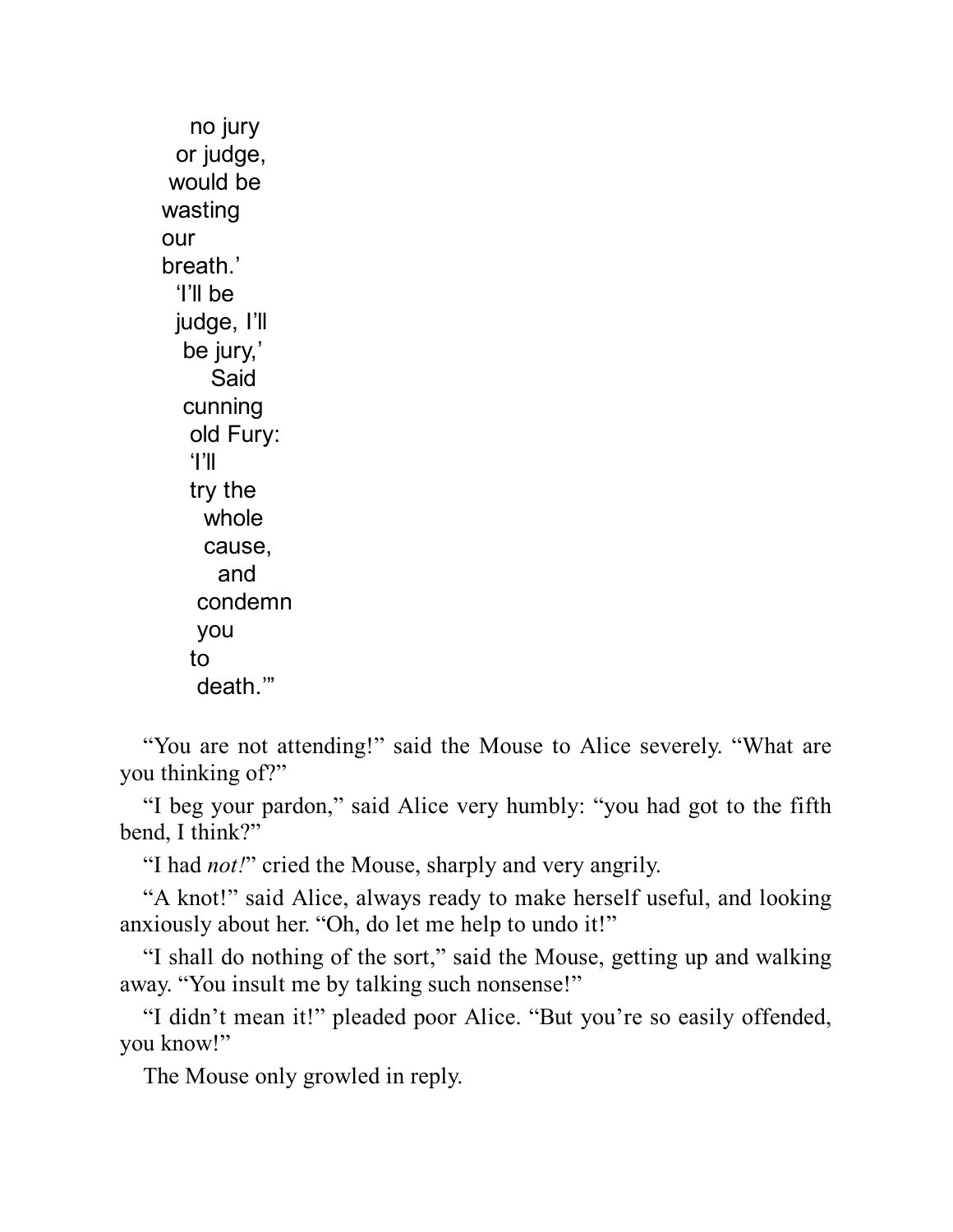no jury or judge, would be wasting our breath.' 'I'll be judge, I'll be jury,' Said cunning old Fury: 'I'll try the whole cause, and condemn you to death.'"

"You are not attending!" said the Mouse to Alice severely. "What are you thinking of?"

"I beg your pardon," said Alice very humbly: "you had got to the fifth bend, I think?"

"I had *not!*" cried the Mouse, sharply and very angrily.

"A knot!" said Alice, always ready to make herself useful, and looking anxiously about her. "Oh, do let me help to undo it!"

"I shall do nothing of the sort," said the Mouse, getting up and walking away. "You insult me by talking such nonsense!"

"I didn't mean it!" pleaded poor Alice. "But you're so easily offended, you know!"

The Mouse only growled in reply.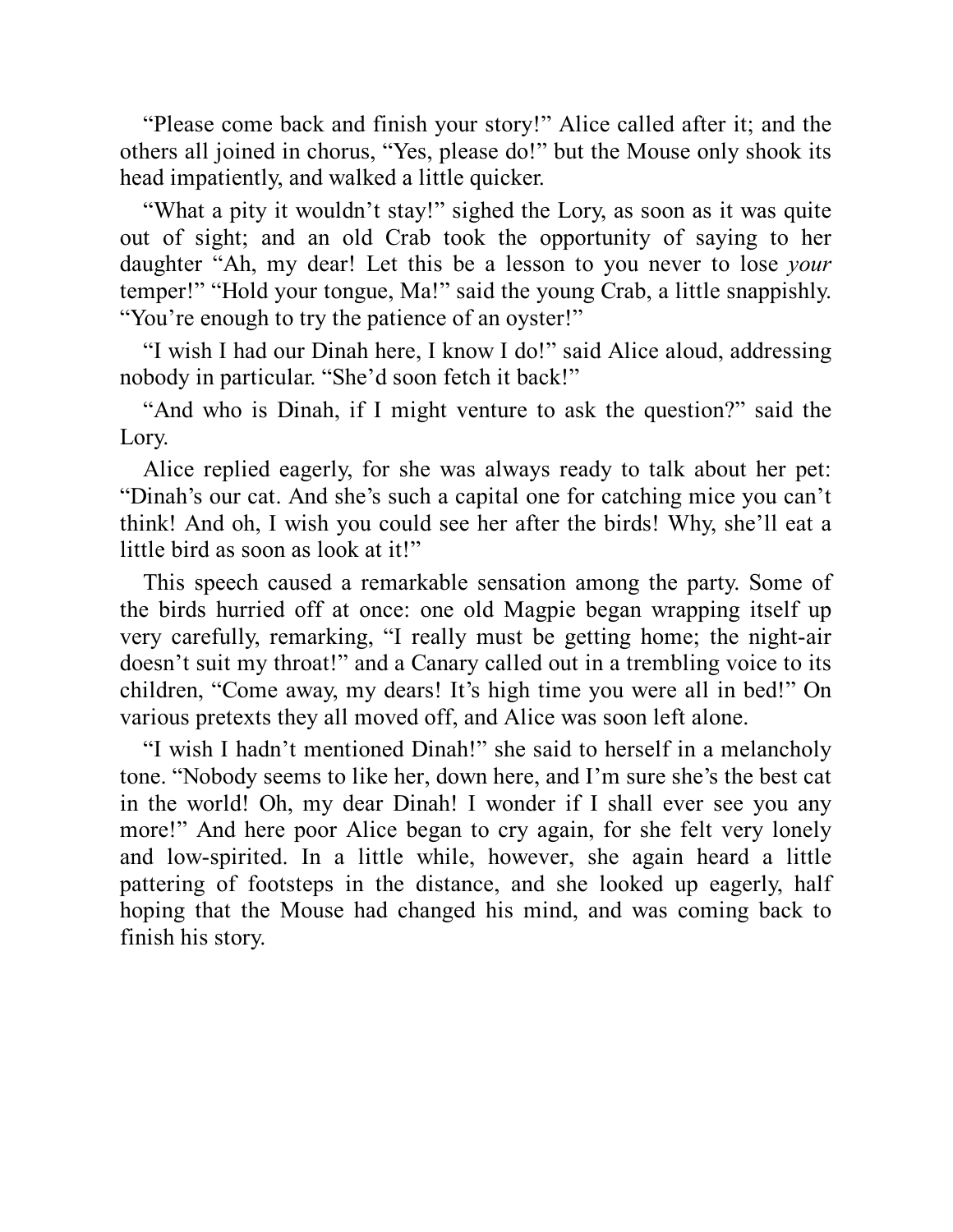"Please come back and finish your story!" Alice called after it; and the others all joined in chorus, "Yes, please do!" but the Mouse only shook its head impatiently, and walked a little quicker.

"What a pity it wouldn't stay!" sighed the Lory, as soon as it was quite out of sight; and an old Crab took the opportunity of saying to her daughter "Ah, my dear! Let this be a lesson to you never to lose *your* temper!" "Hold your tongue, Ma!" said the young Crab, a little snappishly. "You're enough to try the patience of an oyster!"

"I wish I had our Dinah here, I know I do!" said Alice aloud, addressing nobody in particular. "She'd soon fetch it back!"

"And who is Dinah, if I might venture to ask the question?" said the Lory.

Alice replied eagerly, for she was always ready to talk about her pet: "Dinah's our cat. And she's such a capital one for catching mice you can't think! And oh, I wish you could see her after the birds! Why, she'll eat a little bird as soon as look at it!"

This speech caused a remarkable sensation among the party. Some of the birds hurried off at once: one old Magpie began wrapping itself up very carefully, remarking, "I really must be getting home; the night-air doesn't suit my throat!" and a Canary called out in a trembling voice to its children, "Come away, my dears! It's high time you were all in bed!" On various pretexts they all moved off, and Alice was soon left alone.

"I wish I hadn't mentioned Dinah!" she said to herself in a melancholy tone. "Nobody seems to like her, down here, and I'm sure she's the best cat in the world! Oh, my dear Dinah! I wonder if I shall ever see you any more!" And here poor Alice began to cry again, for she felt very lonely and low-spirited. In a little while, however, she again heard a little pattering of footsteps in the distance, and she looked up eagerly, half hoping that the Mouse had changed his mind, and was coming back to finish his story.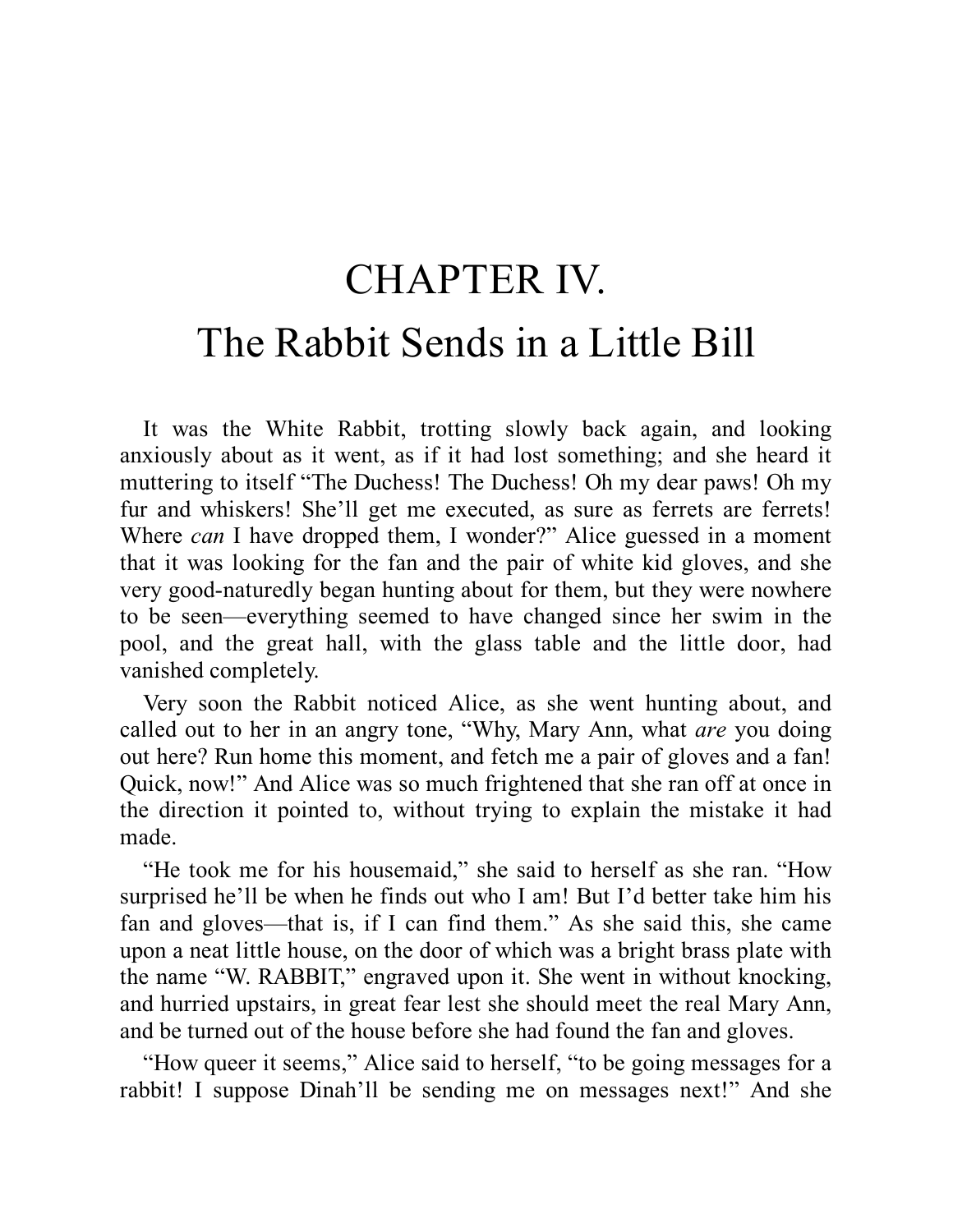# <span id="page-21-0"></span>CHAPTER IV. The Rabbit Sends in a Little Bill

It was the White Rabbit, trotting slowly back again, and looking anxiously about as it went, as if it had lost something; and she heard it muttering to itself "The Duchess! The Duchess! Oh my dear paws! Oh my fur and whiskers! She'll get me executed, as sure as ferrets are ferrets! Where *can* I have dropped them, I wonder?" Alice guessed in a moment that it was looking for the fan and the pair of white kid gloves, and she very good-naturedly began hunting about for them, but they were nowhere to be seen—everything seemed to have changed since her swim in the pool, and the great hall, with the glass table and the little door, had vanished completely.

Very soon the Rabbit noticed Alice, as she went hunting about, and called out to her in an angry tone, "Why, Mary Ann, what *are* you doing out here? Run home this moment, and fetch me a pair of gloves and a fan! Quick, now!" And Alice was so much frightened that she ran off at once in the direction it pointed to, without trying to explain the mistake it had made.

"He took me for his housemaid," she said to herself as she ran. "How surprised he'll be when he finds out who I am! But I'd better take him his fan and gloves—that is, if I can find them." As she said this, she came upon a neat little house, on the door of which was a bright brass plate with the name "W. RABBIT," engraved upon it. She went in without knocking, and hurried upstairs, in great fear lest she should meet the real Mary Ann, and be turned out of the house before she had found the fan and gloves.

"How queer it seems," Alice said to herself, "to be going messages for a rabbit! I suppose Dinah'll be sending me on messages next!" And she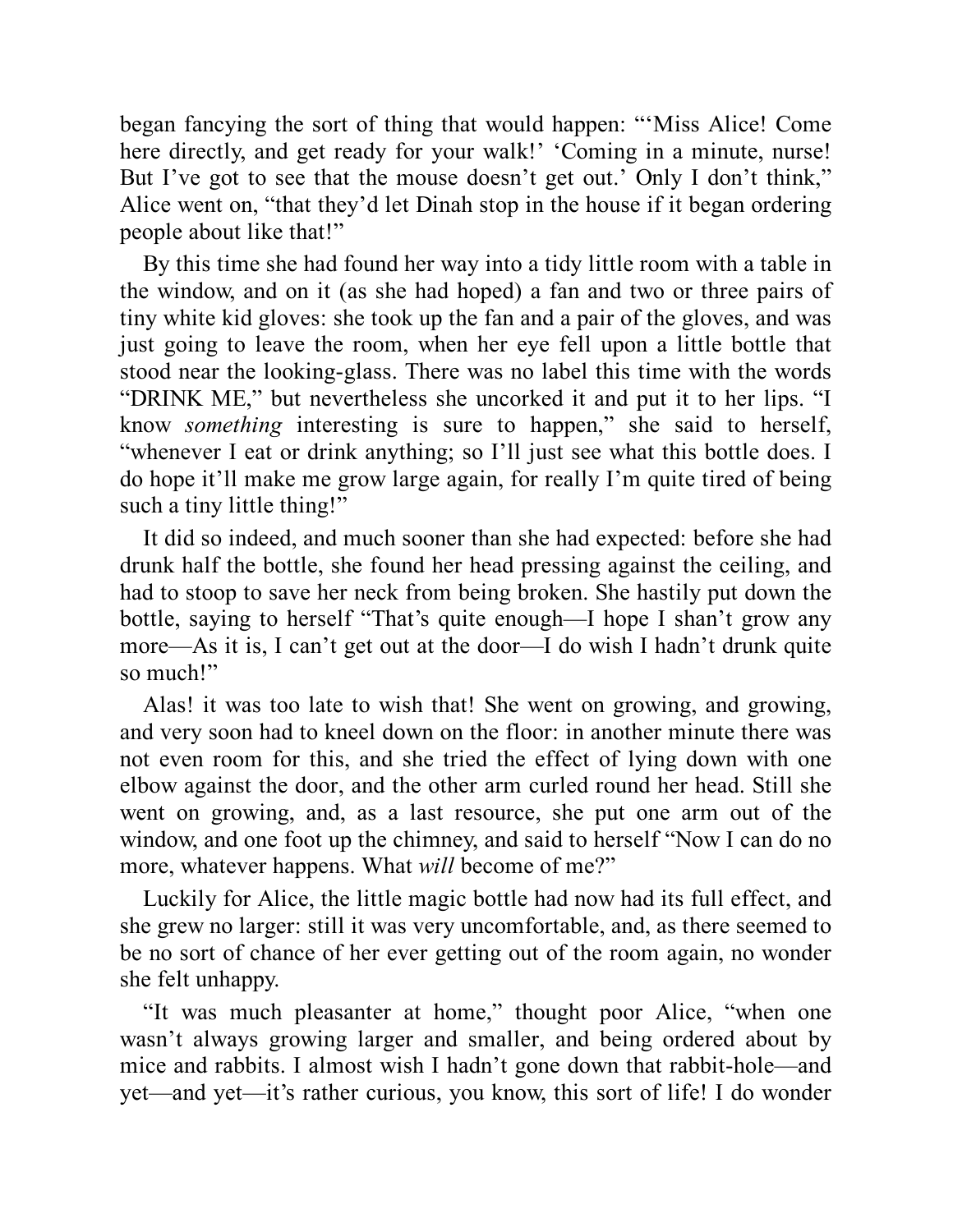began fancying the sort of thing that would happen: "'Miss Alice! Come here directly, and get ready for your walk!' 'Coming in a minute, nurse! But I've got to see that the mouse doesn't get out.' Only I don't think," Alice went on, "that they'd let Dinah stop in the house if it began ordering people about like that!"

By this time she had found her way into a tidy little room with a table in the window, and on it (as she had hoped) a fan and two or three pairs of tiny white kid gloves: she took up the fan and a pair of the gloves, and was just going to leave the room, when her eye fell upon a little bottle that stood near the looking-glass. There was no label this time with the words "DRINK ME," but nevertheless she uncorked it and put it to her lips. "I know *something* interesting is sure to happen," she said to herself, "whenever I eat or drink anything; so I'll just see what this bottle does. I do hope it'll make me grow large again, for really I'm quite tired of being such a tiny little thing!"

It did so indeed, and much sooner than she had expected: before she had drunk half the bottle, she found her head pressing against the ceiling, and had to stoop to save her neck from being broken. She hastily put down the bottle, saying to herself "That's quite enough—I hope I shan't grow any more—As it is, I can't get out at the door—I do wish I hadn't drunk quite so much!"

Alas! it was too late to wish that! She went on growing, and growing, and very soon had to kneel down on the floor: in another minute there was not even room for this, and she tried the effect of lying down with one elbow against the door, and the other arm curled round her head. Still she went on growing, and, as a last resource, she put one arm out of the window, and one foot up the chimney, and said to herself "Now I can do no more, whatever happens. What *will* become of me?"

Luckily for Alice, the little magic bottle had now had its full effect, and she grew no larger: still it was very uncomfortable, and, as there seemed to be no sort of chance of her ever getting out of the room again, no wonder she felt unhappy.

"It was much pleasanter at home," thought poor Alice, "when one wasn't always growing larger and smaller, and being ordered about by mice and rabbits. I almost wish I hadn't gone down that rabbit-hole—and yet—and yet—it's rather curious, you know, this sort of life! I do wonder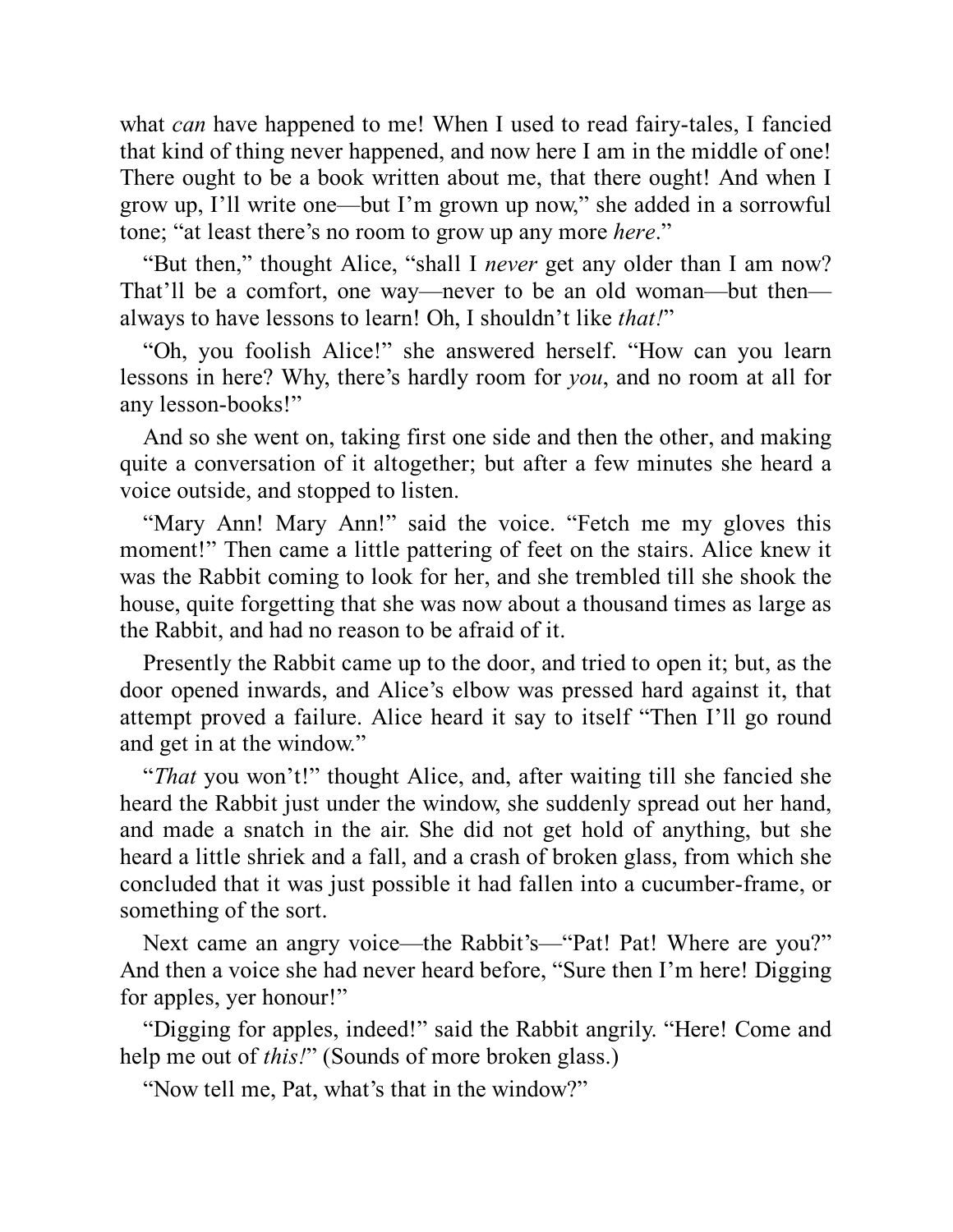what *can* have happened to me! When I used to read fairy-tales, I fancied that kind of thing never happened, and now here I am in the middle of one! There ought to be a book written about me, that there ought! And when I grow up, I'll write one—but I'm grown up now," she added in a sorrowful tone; "at least there's no room to grow up any more *here*."

"But then," thought Alice, "shall I *never* get any older than I am now? That'll be a comfort, one way—never to be an old woman—but then always to have lessons to learn! Oh, I shouldn't like *that!*"

"Oh, you foolish Alice!" she answered herself. "How can you learn lessons in here? Why, there's hardly room for *you*, and no room at all for any lesson-books!"

And so she went on, taking first one side and then the other, and making quite a conversation of it altogether; but after a few minutes she heard a voice outside, and stopped to listen.

"Mary Ann! Mary Ann!" said the voice. "Fetch me my gloves this moment!" Then came a little pattering of feet on the stairs. Alice knew it was the Rabbit coming to look for her, and she trembled till she shook the house, quite forgetting that she was now about a thousand times as large as the Rabbit, and had no reason to be afraid of it.

Presently the Rabbit came up to the door, and tried to open it; but, as the door opened inwards, and Alice's elbow was pressed hard against it, that attempt proved a failure. Alice heard it say to itself "Then I'll go round and get in at the window."

"*That* you won't!" thought Alice, and, after waiting till she fancied she heard the Rabbit just under the window, she suddenly spread out her hand, and made a snatch in the air. She did not get hold of anything, but she heard a little shriek and a fall, and a crash of broken glass, from which she concluded that it was just possible it had fallen into a cucumber-frame, or something of the sort.

Next came an angry voice—the Rabbit's—"Pat! Pat! Where are you?" And then a voice she had never heard before, "Sure then I'm here! Digging for apples, yer honour!"

"Digging for apples, indeed!" said the Rabbit angrily. "Here! Come and help me out of *this!*" (Sounds of more broken glass.)

"Now tell me, Pat, what's that in the window?"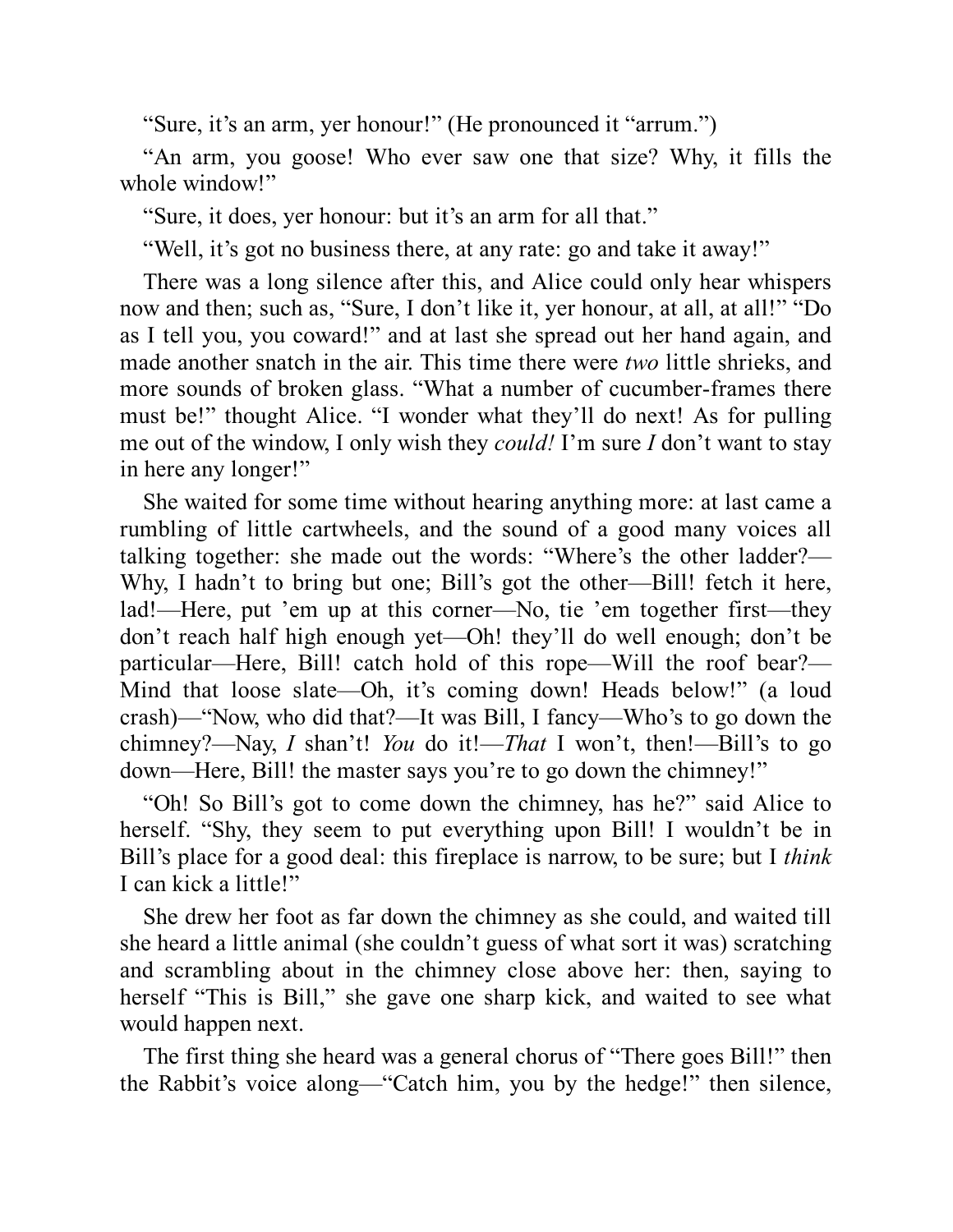"Sure, it's an arm, yer honour!" (He pronounced it "arrum.")

"An arm, you goose! Who ever saw one that size? Why, it fills the whole window!"

"Sure, it does, yer honour: but it's an arm for all that."

"Well, it's got no business there, at any rate: go and take it away!"

There was a long silence after this, and Alice could only hear whispers now and then; such as, "Sure, I don't like it, yer honour, at all, at all!" "Do as I tell you, you coward!" and at last she spread out her hand again, and made another snatch in the air. This time there were *two* little shrieks, and more sounds of broken glass. "What a number of cucumber-frames there must be!" thought Alice. "I wonder what they'll do next! As for pulling me out of the window, I only wish they *could!* I'm sure *I* don't want to stay in here any longer!"

She waited for some time without hearing anything more: at last came a rumbling of little cartwheels, and the sound of a good many voices all talking together: she made out the words: "Where's the other ladder?— Why, I hadn't to bring but one; Bill's got the other—Bill! fetch it here, lad!—Here, put 'em up at this corner—No, tie 'em together first—they don't reach half high enough yet—Oh! they'll do well enough; don't be particular—Here, Bill! catch hold of this rope—Will the roof bear?— Mind that loose slate—Oh, it's coming down! Heads below!" (a loud crash)—"Now, who did that?—It was Bill, I fancy—Who's to go down the chimney?—Nay, *I* shan't! *You* do it!—*That* I won't, then!—Bill's to go down—Here, Bill! the master says you're to go down the chimney!"

"Oh! So Bill's got to come down the chimney, has he?" said Alice to herself. "Shy, they seem to put everything upon Bill! I wouldn't be in Bill's place for a good deal: this fireplace is narrow, to be sure; but I *think* I can kick a little!"

She drew her foot as far down the chimney as she could, and waited till she heard a little animal (she couldn't guess of what sort it was) scratching and scrambling about in the chimney close above her: then, saying to herself "This is Bill," she gave one sharp kick, and waited to see what would happen next.

The first thing she heard was a general chorus of "There goes Bill!" then the Rabbit's voice along—"Catch him, you by the hedge!" then silence,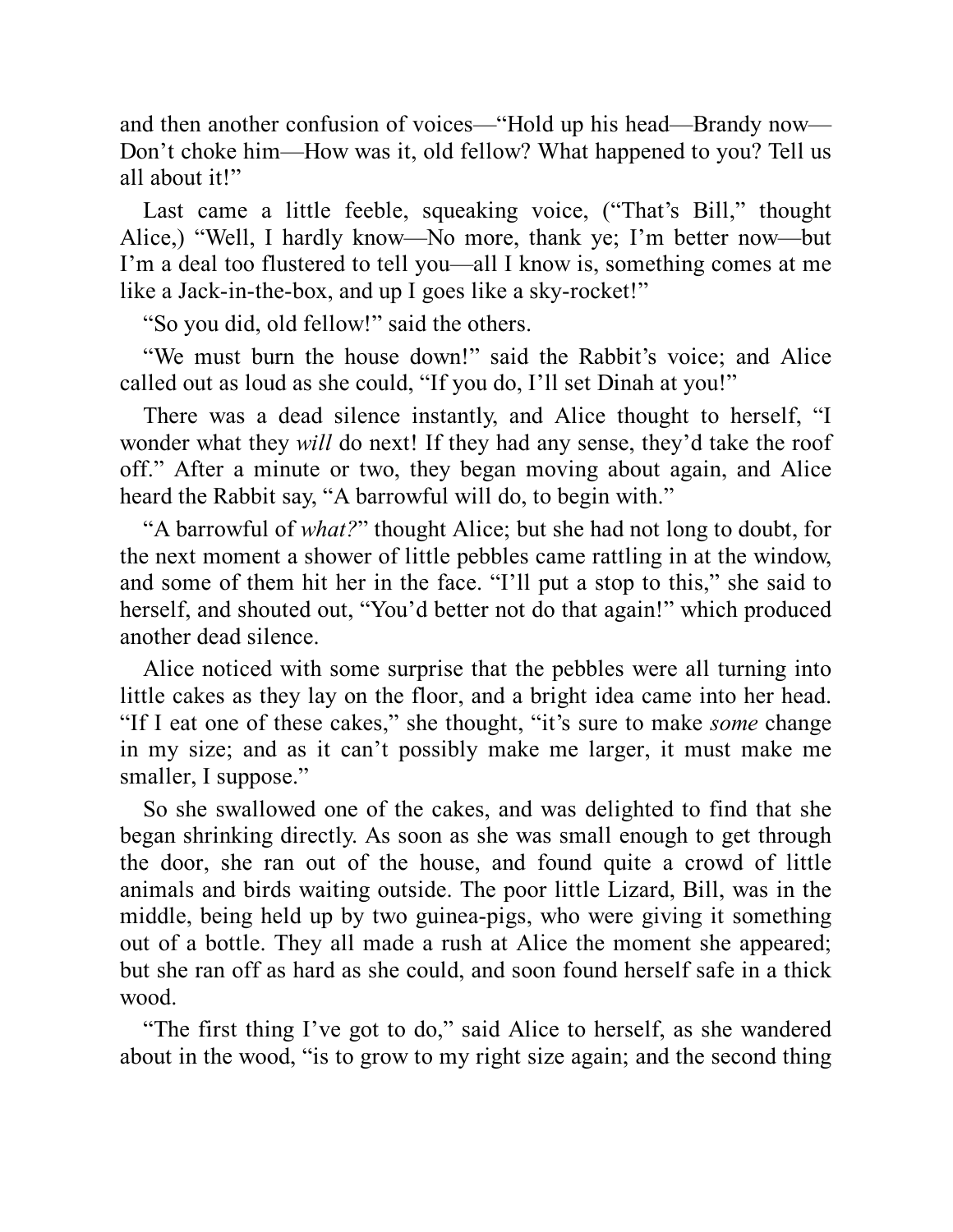and then another confusion of voices—"Hold up his head—Brandy now— Don't choke him—How was it, old fellow? What happened to you? Tell us all about it!"

Last came a little feeble, squeaking voice, ("That's Bill," thought Alice,) "Well, I hardly know—No more, thank ye; I'm better now—but I'm a deal too flustered to tell you—all I know is, something comes at me like a Jack-in-the-box, and up I goes like a sky-rocket!"

"So you did, old fellow!" said the others.

"We must burn the house down!" said the Rabbit's voice; and Alice called out as loud as she could, "If you do, I'll set Dinah at you!"

There was a dead silence instantly, and Alice thought to herself, "I wonder what they *will* do next! If they had any sense, they'd take the roof off." After a minute or two, they began moving about again, and Alice heard the Rabbit say, "A barrowful will do, to begin with."

"A barrowful of *what?*" thought Alice; but she had not long to doubt, for the next moment a shower of little pebbles came rattling in at the window, and some of them hit her in the face. "I'll put a stop to this," she said to herself, and shouted out, "You'd better not do that again!" which produced another dead silence.

Alice noticed with some surprise that the pebbles were all turning into little cakes as they lay on the floor, and a bright idea came into her head. "If I eat one of these cakes," she thought, "it's sure to make *some* change in my size; and as it can't possibly make me larger, it must make me smaller, I suppose."

So she swallowed one of the cakes, and was delighted to find that she began shrinking directly. As soon as she was small enough to get through the door, she ran out of the house, and found quite a crowd of little animals and birds waiting outside. The poor little Lizard, Bill, was in the middle, being held up by two guinea-pigs, who were giving it something out of a bottle. They all made a rush at Alice the moment she appeared; but she ran off as hard as she could, and soon found herself safe in a thick wood.

"The first thing I've got to do," said Alice to herself, as she wandered about in the wood, "is to grow to my right size again; and the second thing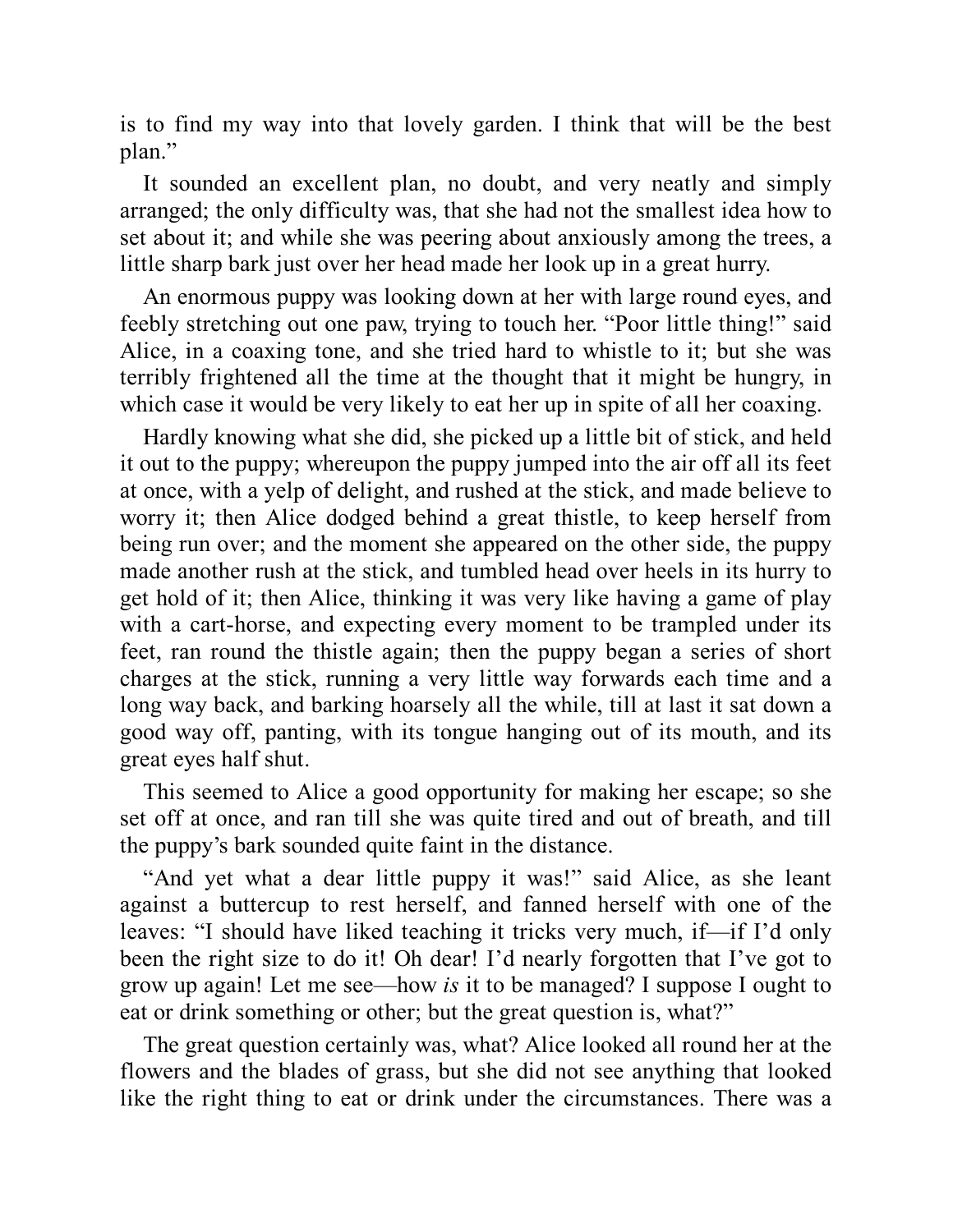is to find my way into that lovely garden. I think that will be the best plan."

It sounded an excellent plan, no doubt, and very neatly and simply arranged; the only difficulty was, that she had not the smallest idea how to set about it; and while she was peering about anxiously among the trees, a little sharp bark just over her head made her look up in a great hurry.

An enormous puppy was looking down at her with large round eyes, and feebly stretching out one paw, trying to touch her. "Poor little thing!" said Alice, in a coaxing tone, and she tried hard to whistle to it; but she was terribly frightened all the time at the thought that it might be hungry, in which case it would be very likely to eat her up in spite of all her coaxing.

Hardly knowing what she did, she picked up a little bit of stick, and held it out to the puppy; whereupon the puppy jumped into the air off all its feet at once, with a yelp of delight, and rushed at the stick, and made believe to worry it; then Alice dodged behind a great thistle, to keep herself from being run over; and the moment she appeared on the other side, the puppy made another rush at the stick, and tumbled head over heels in its hurry to get hold of it; then Alice, thinking it was very like having a game of play with a cart-horse, and expecting every moment to be trampled under its feet, ran round the thistle again; then the puppy began a series of short charges at the stick, running a very little way forwards each time and a long way back, and barking hoarsely all the while, till at last it sat down a good way off, panting, with its tongue hanging out of its mouth, and its great eyes half shut.

This seemed to Alice a good opportunity for making her escape; so she set off at once, and ran till she was quite tired and out of breath, and till the puppy's bark sounded quite faint in the distance.

"And yet what a dear little puppy it was!" said Alice, as she leant against a buttercup to rest herself, and fanned herself with one of the leaves: "I should have liked teaching it tricks very much, if—if I'd only been the right size to do it! Oh dear! I'd nearly forgotten that I've got to grow up again! Let me see—how *is* it to be managed? I suppose I ought to eat or drink something or other; but the great question is, what?"

The great question certainly was, what? Alice looked all round her at the flowers and the blades of grass, but she did not see anything that looked like the right thing to eat or drink under the circumstances. There was a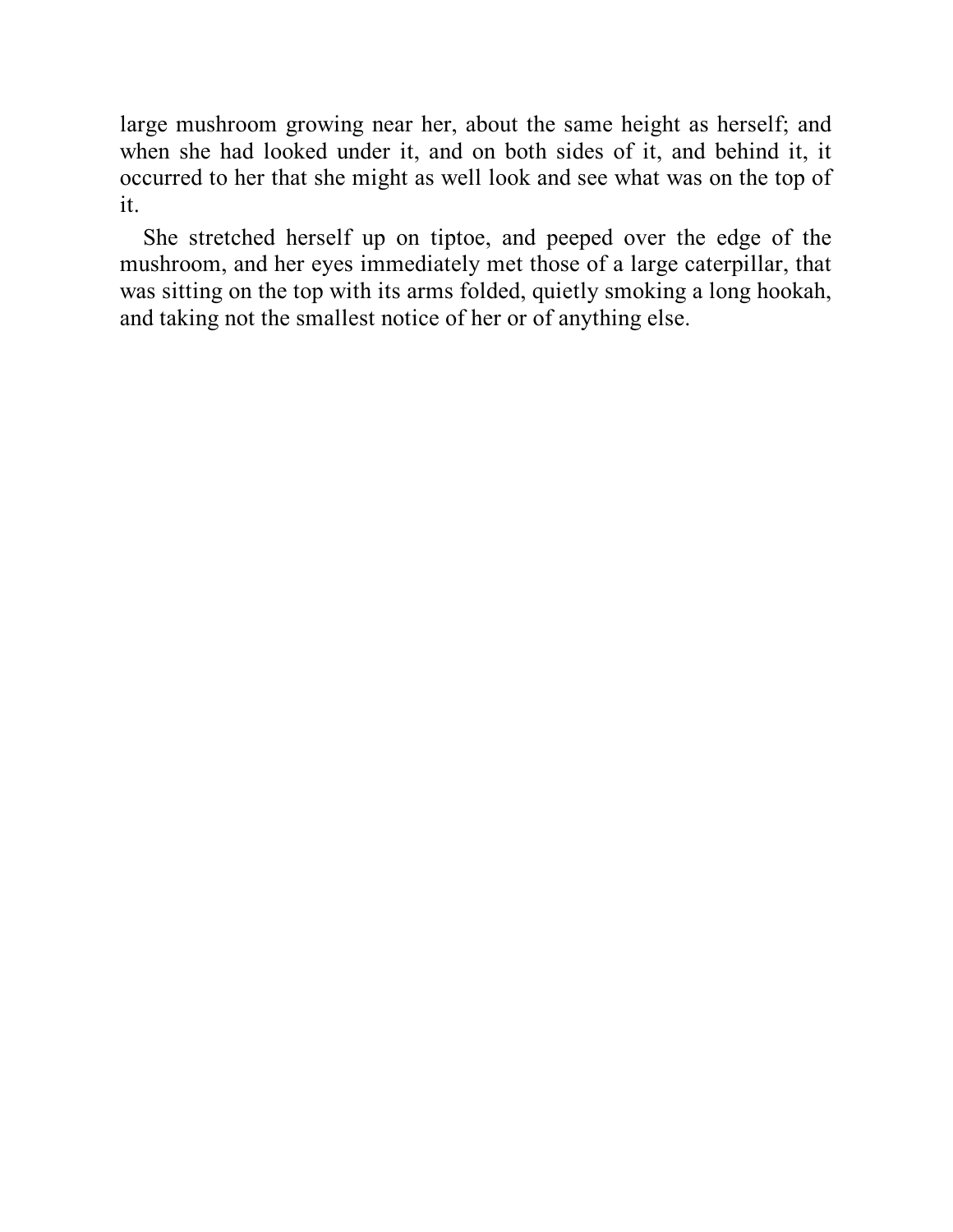large mushroom growing near her, about the same height as herself; and when she had looked under it, and on both sides of it, and behind it, it occurred to her that she might as well look and see what was on the top of it.

She stretched herself up on tiptoe, and peeped over the edge of the mushroom, and her eyes immediately met those of a large caterpillar, that was sitting on the top with its arms folded, quietly smoking a long hookah, and taking not the smallest notice of her or of anything else.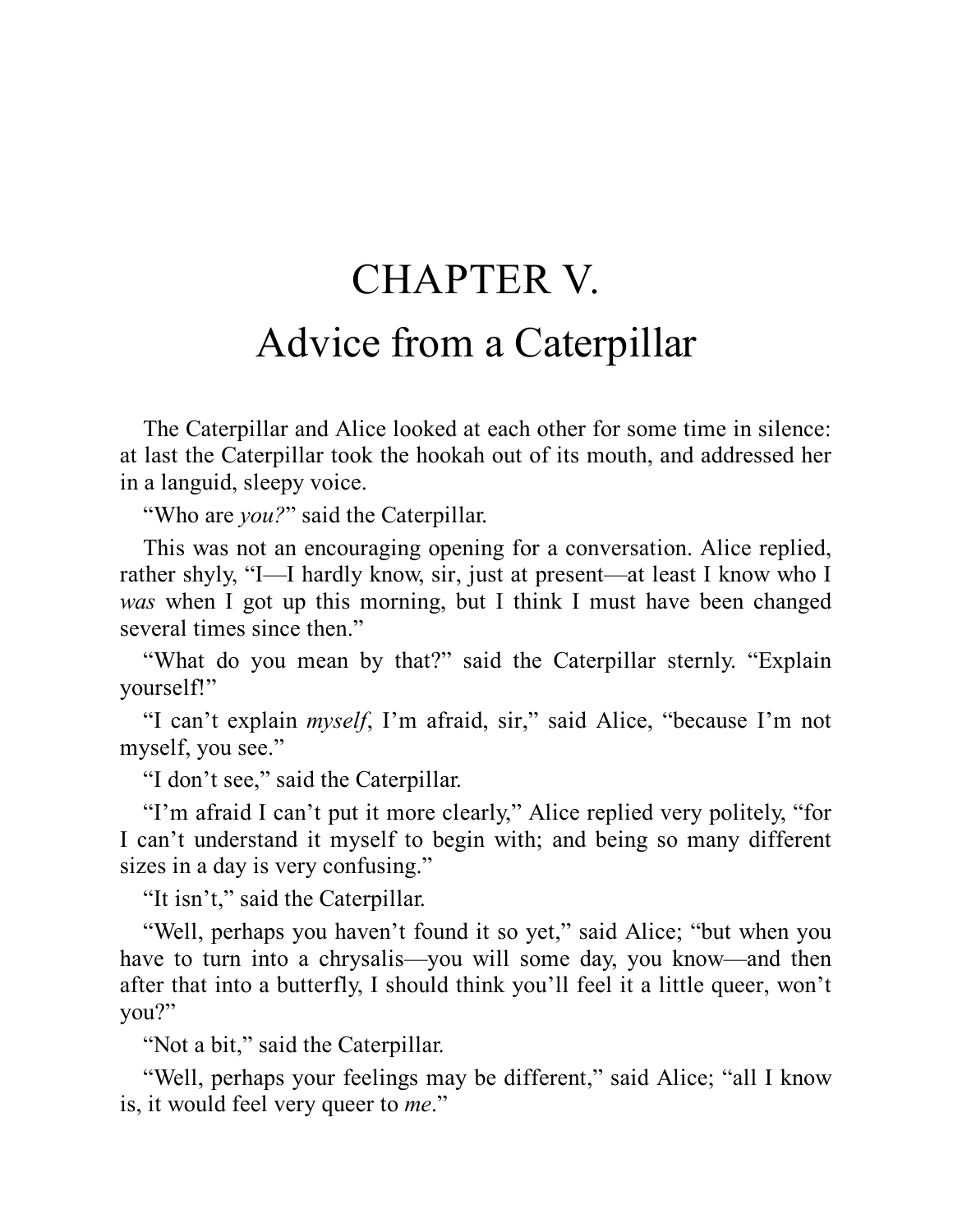# <span id="page-28-0"></span>CHAPTER V. Advice from a Caterpillar

The Caterpillar and Alice looked at each other for some time in silence: at last the Caterpillar took the hookah out of its mouth, and addressed her in a languid, sleepy voice.

"Who are *you?*" said the Caterpillar.

This was not an encouraging opening for a conversation. Alice replied, rather shyly, "I—I hardly know, sir, just at present—at least I know who I *was* when I got up this morning, but I think I must have been changed several times since then."

"What do you mean by that?" said the Caterpillar sternly. "Explain yourself!"

"I can't explain *myself*, I'm afraid, sir," said Alice, "because I'm not myself, you see."

"I don't see," said the Caterpillar.

"I'm afraid I can't put it more clearly," Alice replied very politely, "for I can't understand it myself to begin with; and being so many different sizes in a day is very confusing."

"It isn't," said the Caterpillar.

"Well, perhaps you haven't found it so yet," said Alice; "but when you have to turn into a chrysalis—you will some day, you know—and then after that into a butterfly, I should think you'll feel it a little queer, won't you?"

"Not a bit," said the Caterpillar.

"Well, perhaps your feelings may be different," said Alice; "all I know is, it would feel very queer to *me*."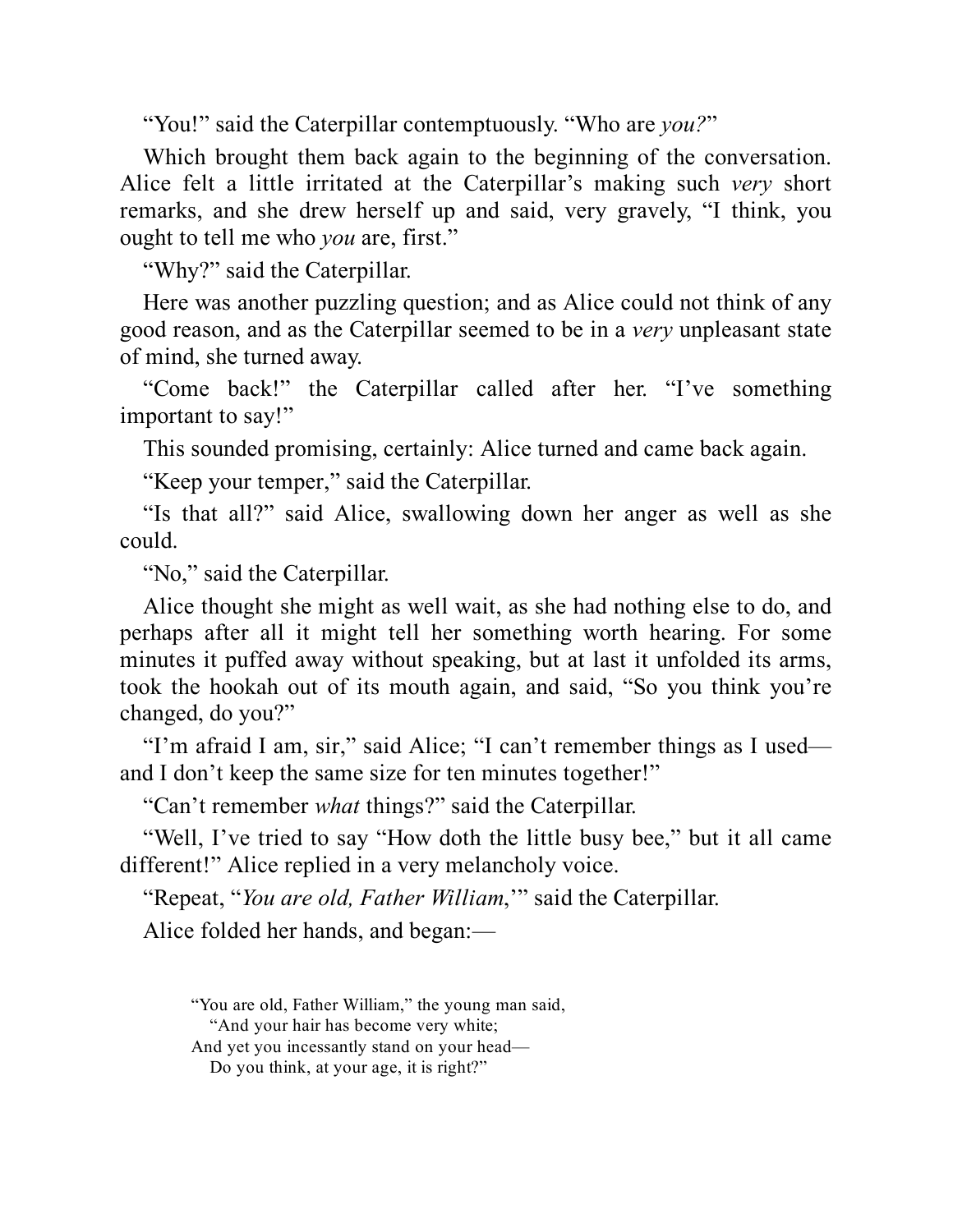"You!" said the Caterpillar contemptuously. "Who are *you?*"

Which brought them back again to the beginning of the conversation. Alice felt a little irritated at the Caterpillar's making such *very* short remarks, and she drew herself up and said, very gravely, "I think, you ought to tell me who *you* are, first."

"Why?" said the Caterpillar.

Here was another puzzling question; and as Alice could not think of any good reason, and as the Caterpillar seemed to be in a *very* unpleasant state of mind, she turned away.

"Come back!" the Caterpillar called after her. "I've something important to say!"

This sounded promising, certainly: Alice turned and came back again.

"Keep your temper," said the Caterpillar.

"Is that all?" said Alice, swallowing down her anger as well as she could.

"No," said the Caterpillar.

Alice thought she might as well wait, as she had nothing else to do, and perhaps after all it might tell her something worth hearing. For some minutes it puffed away without speaking, but at last it unfolded its arms, took the hookah out of its mouth again, and said, "So you think you're changed, do you?"

"I'm afraid I am, sir," said Alice; "I can't remember things as I used and I don't keep the same size for ten minutes together!"

"Can't remember *what* things?" said the Caterpillar.

"Well, I've tried to say "How doth the little busy bee," but it all came different!" Alice replied in a very melancholy voice.

"Repeat, "*You are old, Father William*,'" said the Caterpillar.

Alice folded her hands, and began:—

"You are old, Father William," the young man said,

Do you think, at your age, it is right?"

<sup>&</sup>quot;And your hair has become very white;

And yet you incessantly stand on your head—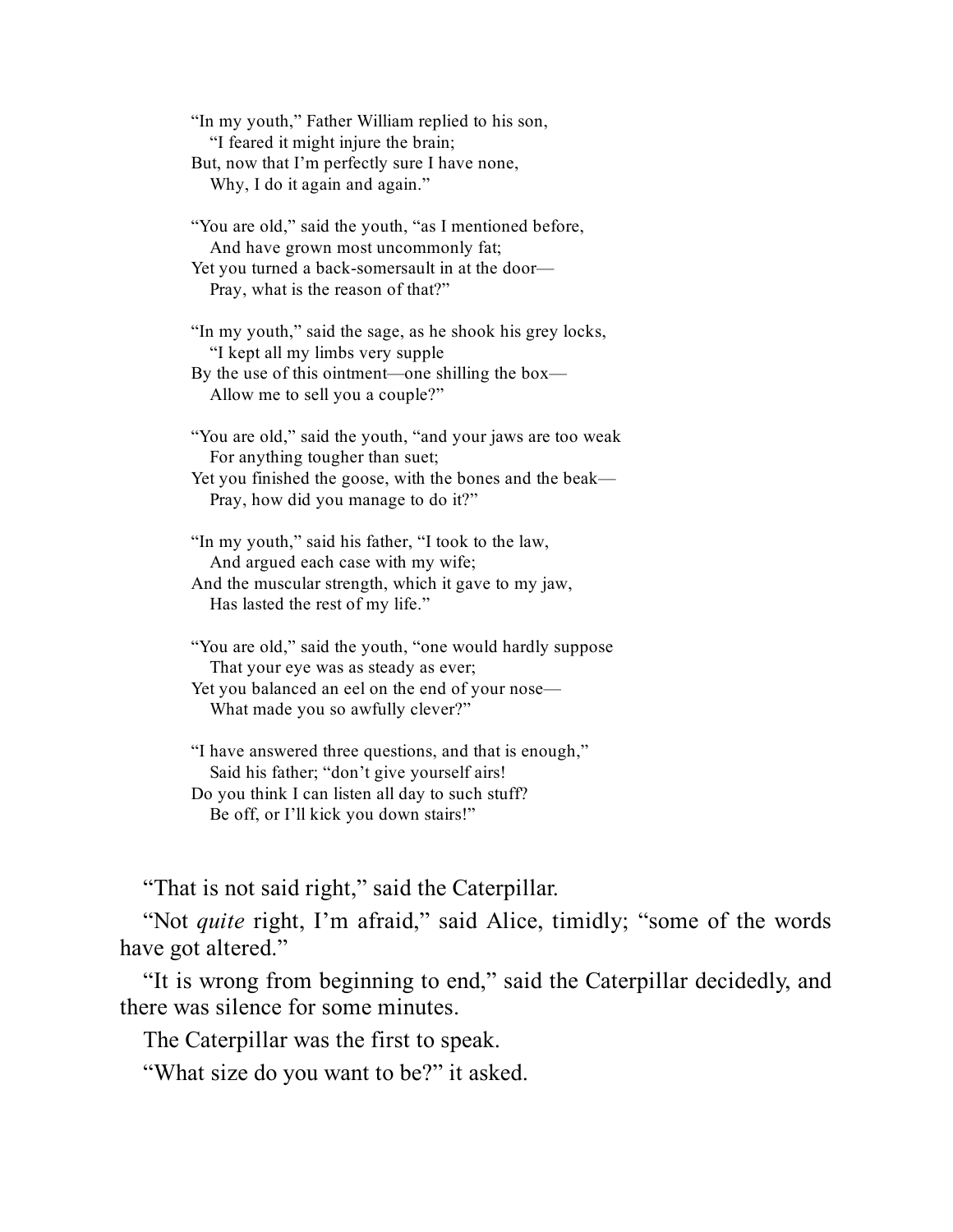"In my youth," Father William replied to his son, "I feared it might injure the brain; But, now that I'm perfectly sure I have none, Why, I do it again and again."

"You are old," said the youth, "as I mentioned before, And have grown most uncommonly fat; Yet you turned a back-somersault in at the door—

Pray, what is the reason of that?"

"In my youth," said the sage, as he shook his grey locks, "I kept all my limbs very supple By the use of this ointment—one shilling the box—

Allow me to sell you a couple?"

"You are old," said the youth, "and your jaws are too weak For anything tougher than suet;

Yet you finished the goose, with the bones and the beak— Pray, how did you manage to do it?"

"In my youth," said his father, "I took to the law, And argued each case with my wife; And the muscular strength, which it gave to my jaw, Has lasted the rest of my life."

"You are old," said the youth, "one would hardly suppose That your eye was as steady as ever; Yet you balanced an eel on the end of your nose— What made you so awfully clever?"

"I have answered three questions, and that is enough," Said his father; "don't give yourself airs! Do you think I can listen all day to such stuff? Be off, or I'll kick you down stairs!"

"That is not said right," said the Caterpillar.

"Not *quite* right, I'm afraid," said Alice, timidly; "some of the words have got altered."

"It is wrong from beginning to end," said the Caterpillar decidedly, and there was silence for some minutes.

The Caterpillar was the first to speak.

"What size do you want to be?" it asked.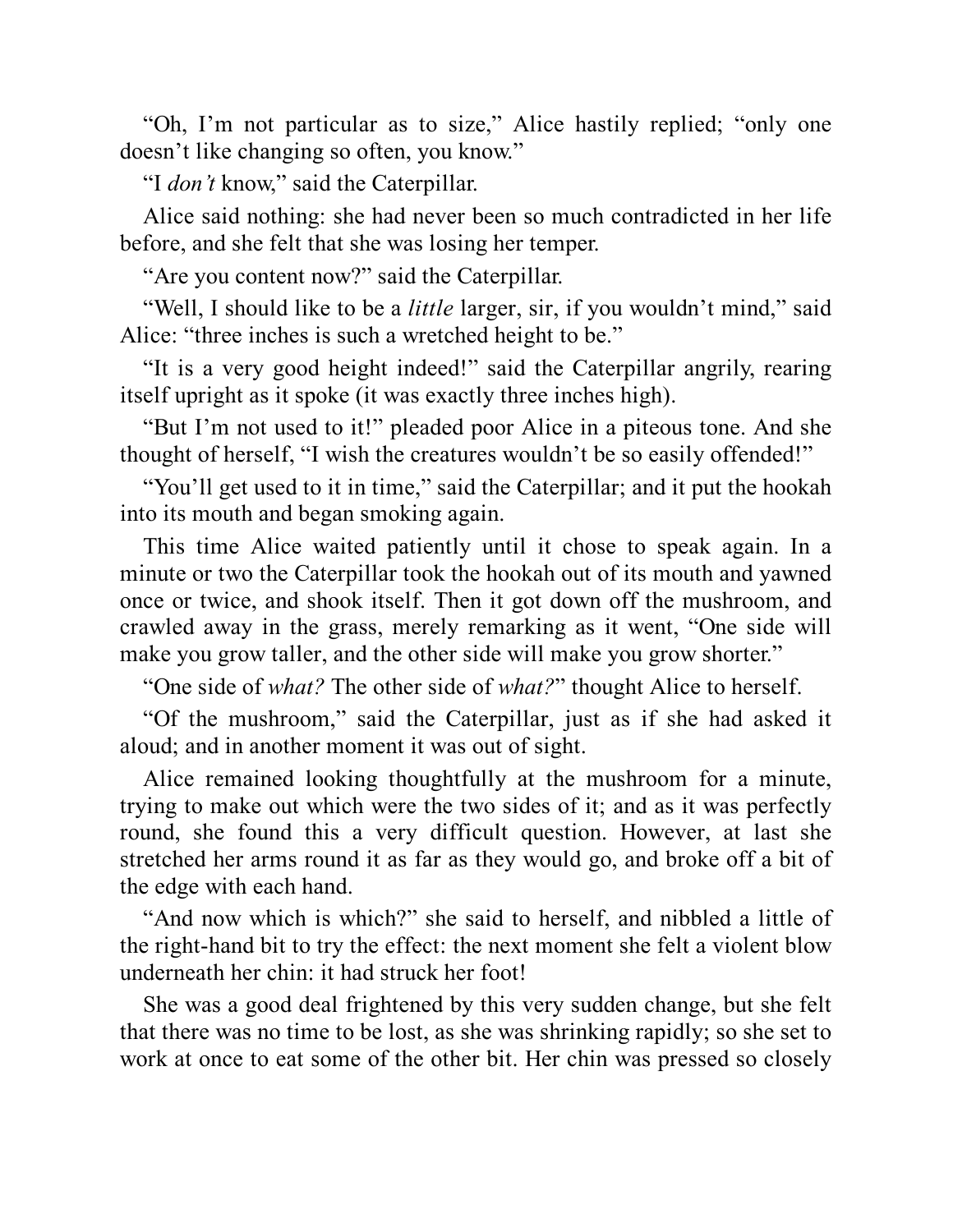"Oh, I'm not particular as to size," Alice hastily replied; "only one doesn't like changing so often, you know."

"I *don't* know," said the Caterpillar.

Alice said nothing: she had never been so much contradicted in her life before, and she felt that she was losing her temper.

"Are you content now?" said the Caterpillar.

"Well, I should like to be a *little* larger, sir, if you wouldn't mind," said Alice: "three inches is such a wretched height to be."

"It is a very good height indeed!" said the Caterpillar angrily, rearing itself upright as it spoke (it was exactly three inches high).

"But I'm not used to it!" pleaded poor Alice in a piteous tone. And she thought of herself, "I wish the creatures wouldn't be so easily offended!"

"You'll get used to it in time," said the Caterpillar; and it put the hookah into its mouth and began smoking again.

This time Alice waited patiently until it chose to speak again. In a minute or two the Caterpillar took the hookah out of its mouth and yawned once or twice, and shook itself. Then it got down off the mushroom, and crawled away in the grass, merely remarking as it went, "One side will make you grow taller, and the other side will make you grow shorter."

"One side of *what?* The other side of *what?*" thought Alice to herself.

"Of the mushroom," said the Caterpillar, just as if she had asked it aloud; and in another moment it was out of sight.

Alice remained looking thoughtfully at the mushroom for a minute, trying to make out which were the two sides of it; and as it was perfectly round, she found this a very difficult question. However, at last she stretched her arms round it as far as they would go, and broke off a bit of the edge with each hand.

"And now which is which?" she said to herself, and nibbled a little of the right-hand bit to try the effect: the next moment she felt a violent blow underneath her chin: it had struck her foot!

She was a good deal frightened by this very sudden change, but she felt that there was no time to be lost, as she was shrinking rapidly; so she set to work at once to eat some of the other bit. Her chin was pressed so closely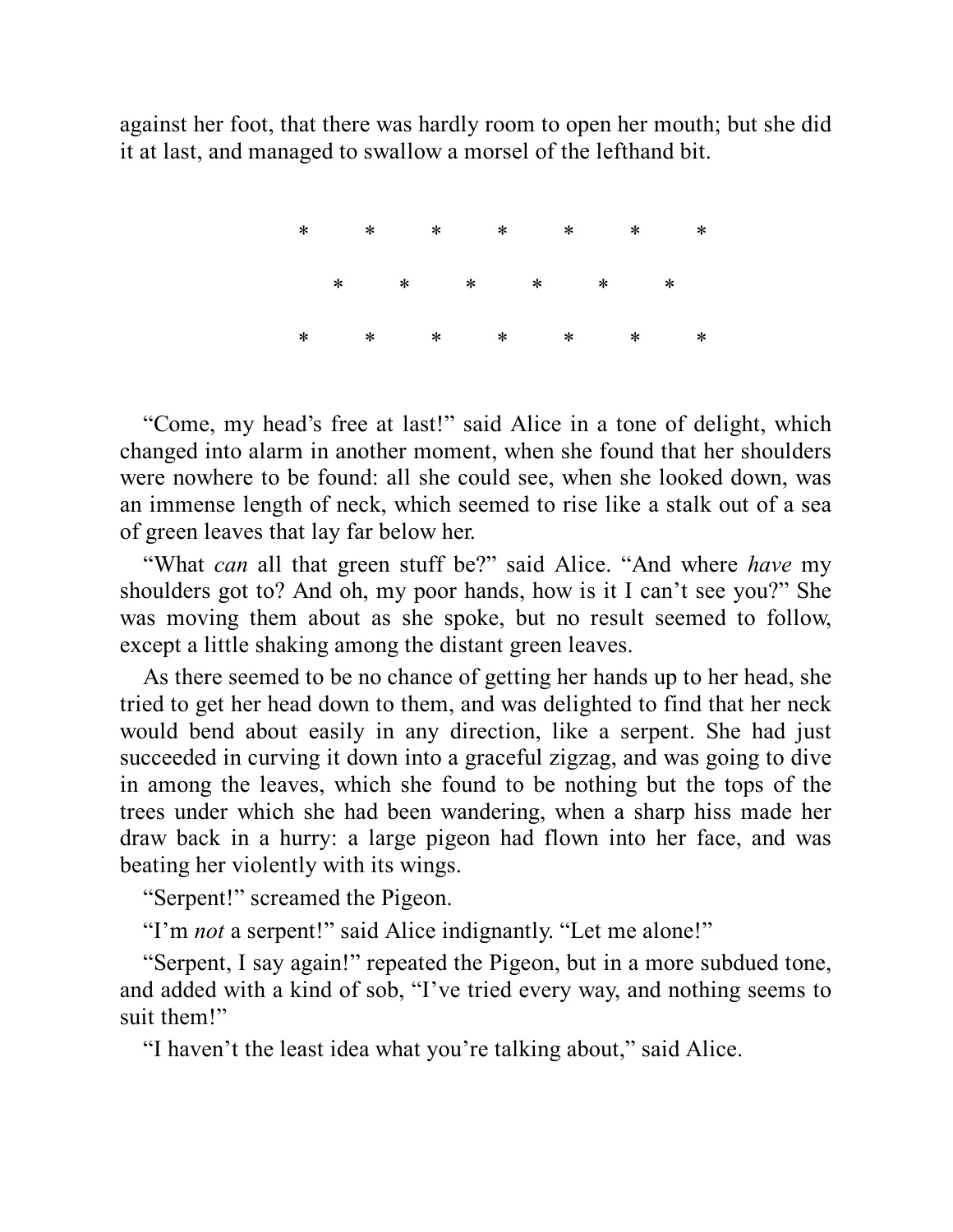against her foot, that there was hardly room to open her mouth; but she did it at last, and managed to swallow a morsel of the lefthand bit.



"Come, my head's free at last!" said Alice in a tone of delight, which changed into alarm in another moment, when she found that her shoulders were nowhere to be found: all she could see, when she looked down, was an immense length of neck, which seemed to rise like a stalk out of a sea of green leaves that lay far below her.

"What *can* all that green stuff be?" said Alice. "And where *have* my shoulders got to? And oh, my poor hands, how is it I can't see you?" She was moving them about as she spoke, but no result seemed to follow, except a little shaking among the distant green leaves.

As there seemed to be no chance of getting her hands up to her head, she tried to get her head down to them, and was delighted to find that her neck would bend about easily in any direction, like a serpent. She had just succeeded in curving it down into a graceful zigzag, and was going to dive in among the leaves, which she found to be nothing but the tops of the trees under which she had been wandering, when a sharp hiss made her draw back in a hurry: a large pigeon had flown into her face, and was beating her violently with its wings.

"Serpent!" screamed the Pigeon.

"I'm *not* a serpent!" said Alice indignantly. "Let me alone!"

"Serpent, I say again!" repeated the Pigeon, but in a more subdued tone, and added with a kind of sob, "I've tried every way, and nothing seems to suit them!"

"I haven't the least idea what you're talking about," said Alice.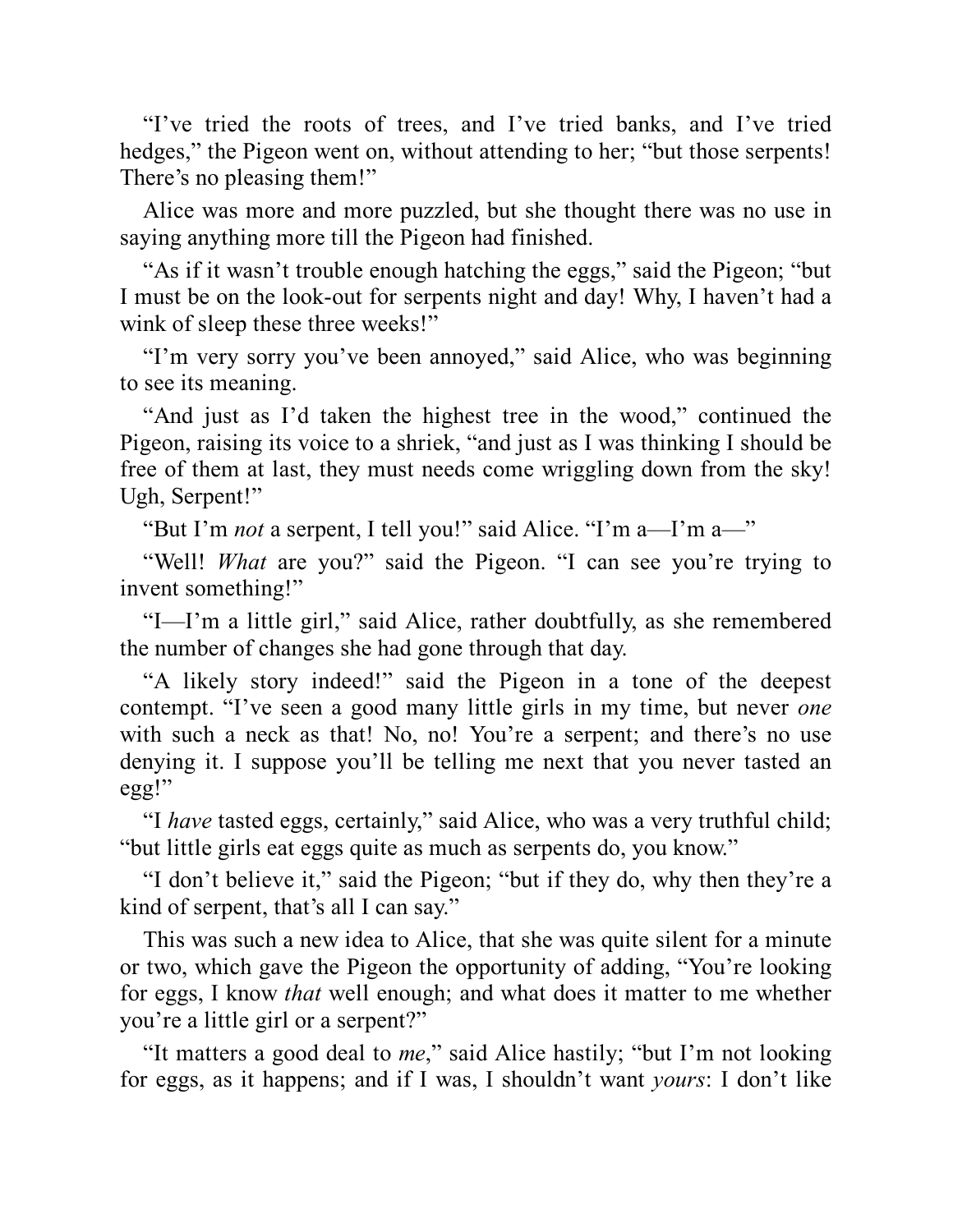"I've tried the roots of trees, and I've tried banks, and I've tried hedges," the Pigeon went on, without attending to her; "but those serpents! There's no pleasing them!"

Alice was more and more puzzled, but she thought there was no use in saying anything more till the Pigeon had finished.

"As if it wasn't trouble enough hatching the eggs," said the Pigeon; "but I must be on the look-out for serpents night and day! Why, I haven't had a wink of sleep these three weeks!"

"I'm very sorry you've been annoyed," said Alice, who was beginning to see its meaning.

"And just as I'd taken the highest tree in the wood," continued the Pigeon, raising its voice to a shriek, "and just as I was thinking I should be free of them at last, they must needs come wriggling down from the sky! Ugh, Serpent!"

"But I'm *not* a serpent, I tell you!" said Alice. "I'm a—I'm a—"

"Well! *What* are you?" said the Pigeon. "I can see you're trying to invent something!"

"I—I'm a little girl," said Alice, rather doubtfully, as she remembered the number of changes she had gone through that day.

"A likely story indeed!" said the Pigeon in a tone of the deepest contempt. "I've seen a good many little girls in my time, but never *one* with such a neck as that! No, no! You're a serpent; and there's no use denying it. I suppose you'll be telling me next that you never tasted an egg!"

"I *have* tasted eggs, certainly," said Alice, who was a very truthful child; "but little girls eat eggs quite as much as serpents do, you know."

"I don't believe it," said the Pigeon; "but if they do, why then they're a kind of serpent, that's all I can say."

This was such a new idea to Alice, that she was quite silent for a minute or two, which gave the Pigeon the opportunity of adding, "You're looking for eggs, I know *that* well enough; and what does it matter to me whether you're a little girl or a serpent?"

"It matters a good deal to *me*," said Alice hastily; "but I'm not looking for eggs, as it happens; and if I was, I shouldn't want *yours*: I don't like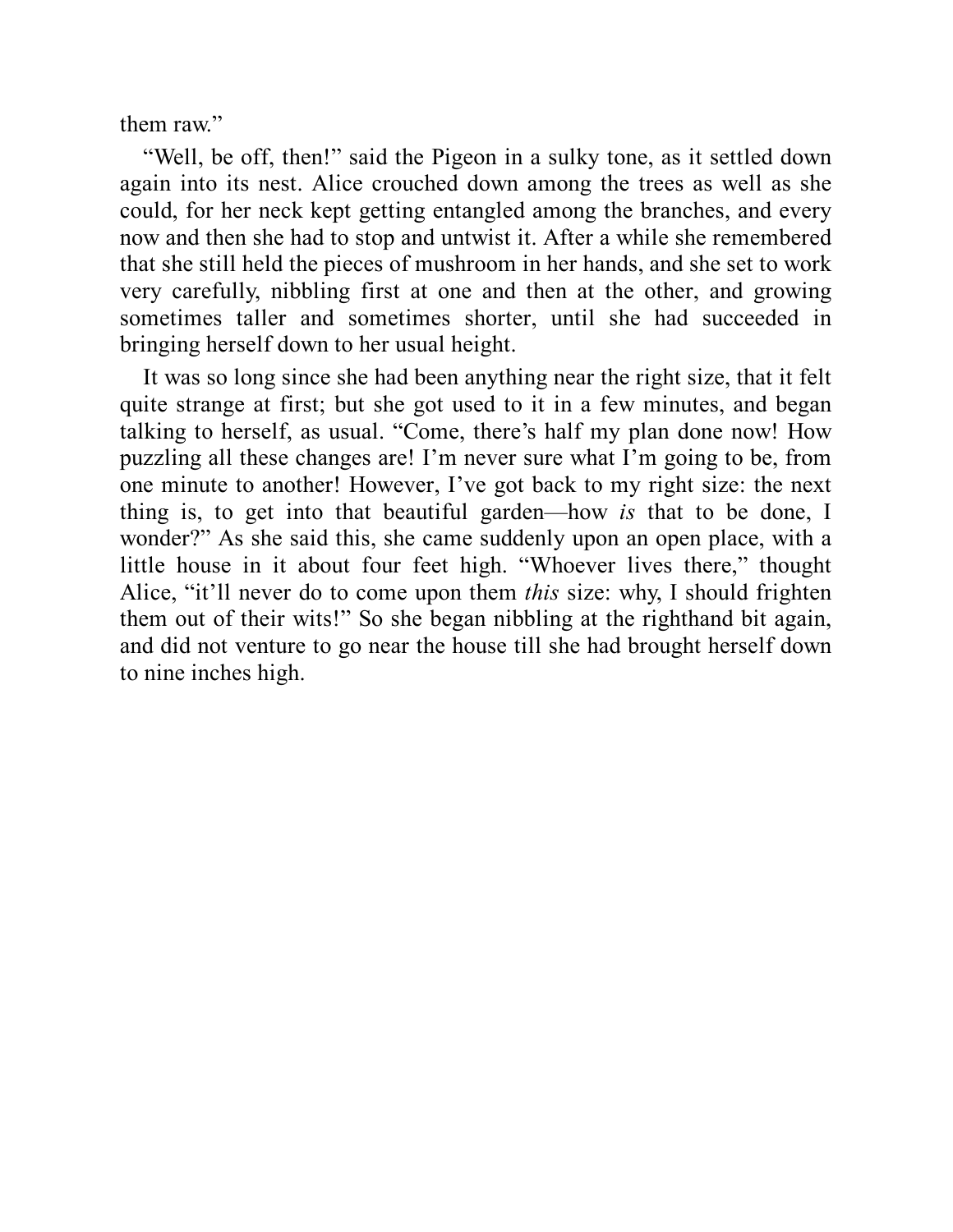them raw."

"Well, be off, then!" said the Pigeon in a sulky tone, as it settled down again into its nest. Alice crouched down among the trees as well as she could, for her neck kept getting entangled among the branches, and every now and then she had to stop and untwist it. After a while she remembered that she still held the pieces of mushroom in her hands, and she set to work very carefully, nibbling first at one and then at the other, and growing sometimes taller and sometimes shorter, until she had succeeded in bringing herself down to her usual height.

It was so long since she had been anything near the right size, that it felt quite strange at first; but she got used to it in a few minutes, and began talking to herself, as usual. "Come, there's half my plan done now! How puzzling all these changes are! I'm never sure what I'm going to be, from one minute to another! However, I've got back to my right size: the next thing is, to get into that beautiful garden—how *is* that to be done, I wonder?" As she said this, she came suddenly upon an open place, with a little house in it about four feet high. "Whoever lives there," thought Alice, "it'll never do to come upon them *this* size: why, I should frighten them out of their wits!" So she began nibbling at the righthand bit again, and did not venture to go near the house till she had brought herself down to nine inches high.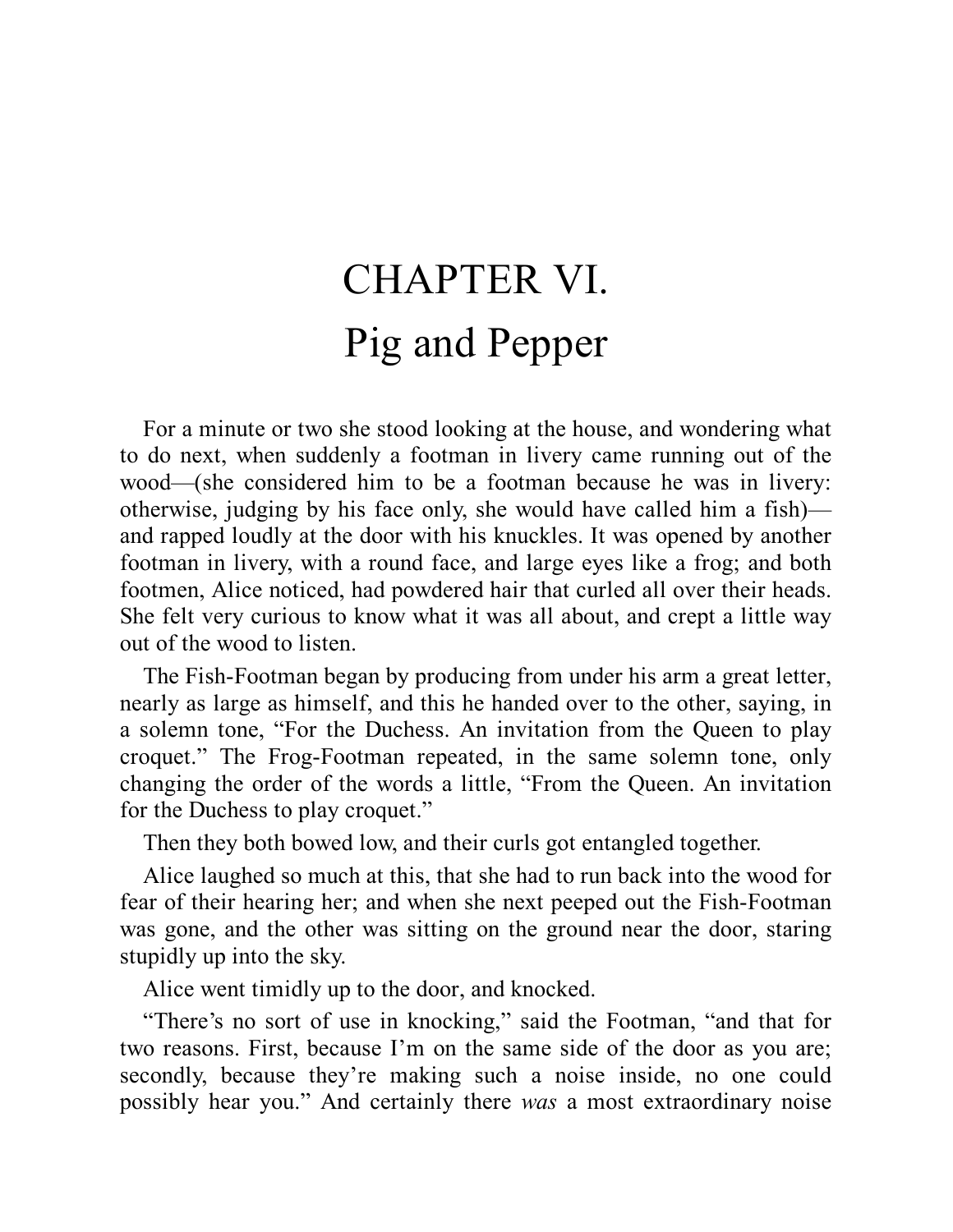# CHAPTER VI. Pig and Pepper

<span id="page-35-0"></span>For a minute or two she stood looking at the house, and wondering what to do next, when suddenly a footman in livery came running out of the wood—(she considered him to be a footman because he was in livery: otherwise, judging by his face only, she would have called him a fish) and rapped loudly at the door with his knuckles. It was opened by another footman in livery, with a round face, and large eyes like a frog; and both footmen, Alice noticed, had powdered hair that curled all over their heads. She felt very curious to know what it was all about, and crept a little way out of the wood to listen.

The Fish-Footman began by producing from under his arm a great letter, nearly as large as himself, and this he handed over to the other, saying, in a solemn tone, "For the Duchess. An invitation from the Queen to play croquet." The Frog-Footman repeated, in the same solemn tone, only changing the order of the words a little, "From the Queen. An invitation for the Duchess to play croquet."

Then they both bowed low, and their curls got entangled together.

Alice laughed so much at this, that she had to run back into the wood for fear of their hearing her; and when she next peeped out the Fish-Footman was gone, and the other was sitting on the ground near the door, staring stupidly up into the sky.

Alice went timidly up to the door, and knocked.

"There's no sort of use in knocking," said the Footman, "and that for two reasons. First, because I'm on the same side of the door as you are; secondly, because they're making such a noise inside, no one could possibly hear you." And certainly there *was* a most extraordinary noise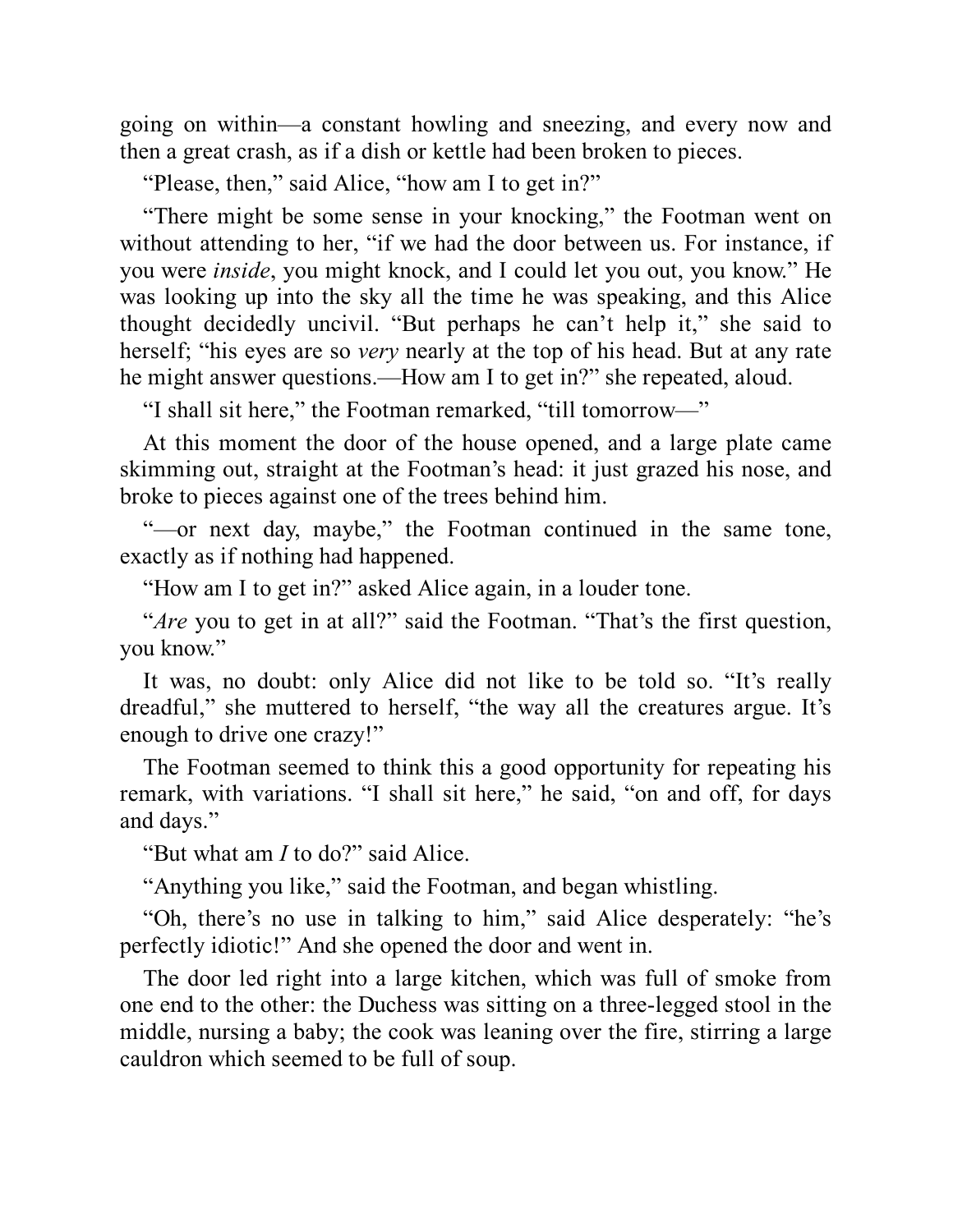going on within—a constant howling and sneezing, and every now and then a great crash, as if a dish or kettle had been broken to pieces.

"Please, then," said Alice, "how am I to get in?"

"There might be some sense in your knocking," the Footman went on without attending to her, "if we had the door between us. For instance, if you were *inside*, you might knock, and I could let you out, you know." He was looking up into the sky all the time he was speaking, and this Alice thought decidedly uncivil. "But perhaps he can't help it," she said to herself; "his eyes are so *very* nearly at the top of his head. But at any rate he might answer questions.—How am I to get in?" she repeated, aloud.

"I shall sit here," the Footman remarked, "till tomorrow—"

At this moment the door of the house opened, and a large plate came skimming out, straight at the Footman's head: it just grazed his nose, and broke to pieces against one of the trees behind him.

"—or next day, maybe," the Footman continued in the same tone, exactly as if nothing had happened.

"How am I to get in?" asked Alice again, in a louder tone.

"*Are* you to get in at all?" said the Footman. "That's the first question, you know."

It was, no doubt: only Alice did not like to be told so. "It's really dreadful," she muttered to herself, "the way all the creatures argue. It's enough to drive one crazy!"

The Footman seemed to think this a good opportunity for repeating his remark, with variations. "I shall sit here," he said, "on and off, for days and days."

"But what am *I* to do?" said Alice.

"Anything you like," said the Footman, and began whistling.

"Oh, there's no use in talking to him," said Alice desperately: "he's perfectly idiotic!" And she opened the door and went in.

The door led right into a large kitchen, which was full of smoke from one end to the other: the Duchess was sitting on a three-legged stool in the middle, nursing a baby; the cook was leaning over the fire, stirring a large cauldron which seemed to be full of soup.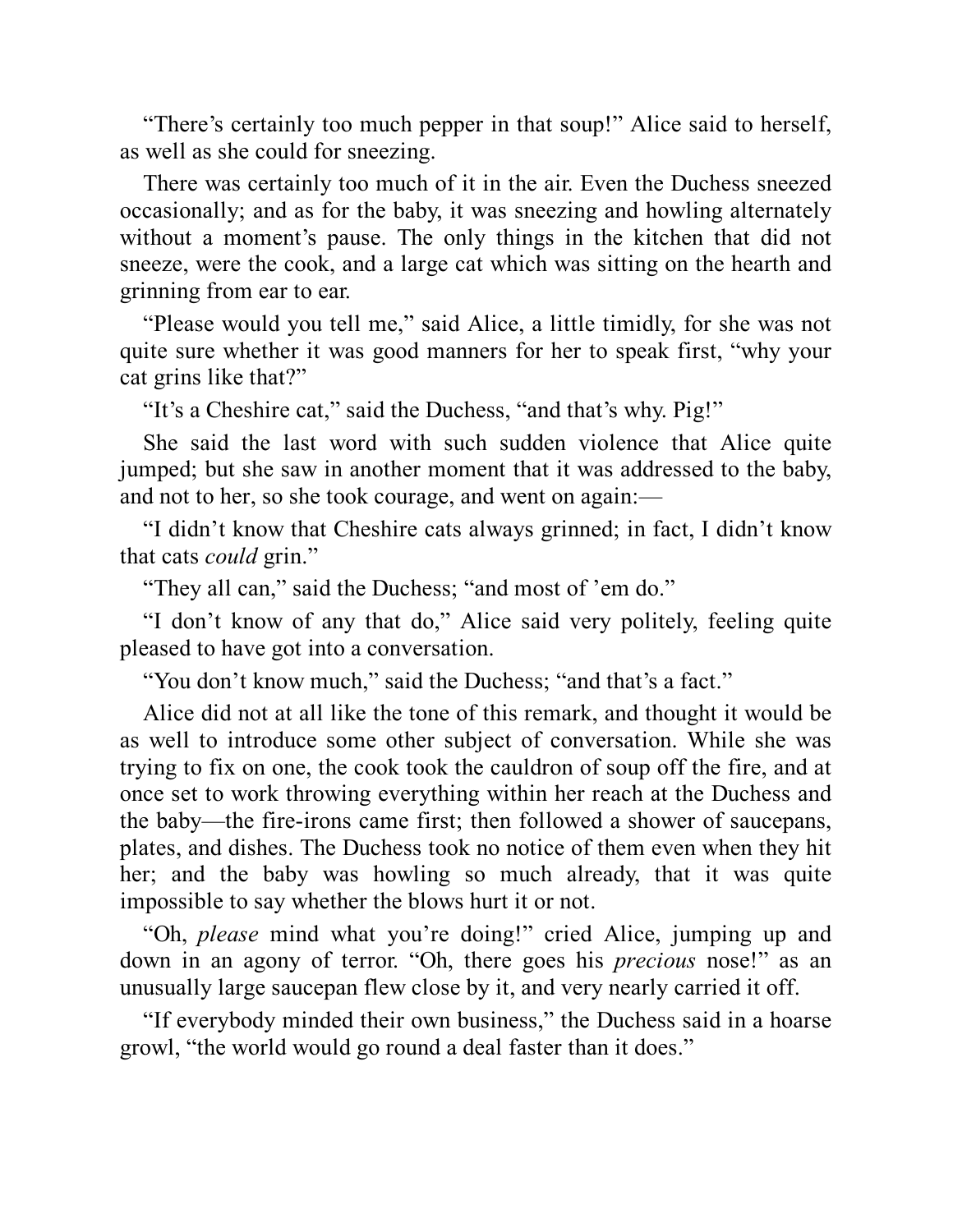"There's certainly too much pepper in that soup!" Alice said to herself, as well as she could for sneezing.

There was certainly too much of it in the air. Even the Duchess sneezed occasionally; and as for the baby, it was sneezing and howling alternately without a moment's pause. The only things in the kitchen that did not sneeze, were the cook, and a large cat which was sitting on the hearth and grinning from ear to ear.

"Please would you tell me," said Alice, a little timidly, for she was not quite sure whether it was good manners for her to speak first, "why your cat grins like that?"

"It's a Cheshire cat," said the Duchess, "and that's why. Pig!"

She said the last word with such sudden violence that Alice quite jumped; but she saw in another moment that it was addressed to the baby, and not to her, so she took courage, and went on again:—

"I didn't know that Cheshire cats always grinned; in fact, I didn't know that cats *could* grin."

"They all can," said the Duchess; "and most of 'em do."

"I don't know of any that do," Alice said very politely, feeling quite pleased to have got into a conversation.

"You don't know much," said the Duchess; "and that's a fact."

Alice did not at all like the tone of this remark, and thought it would be as well to introduce some other subject of conversation. While she was trying to fix on one, the cook took the cauldron of soup off the fire, and at once set to work throwing everything within her reach at the Duchess and the baby—the fire-irons came first; then followed a shower of saucepans, plates, and dishes. The Duchess took no notice of them even when they hit her; and the baby was howling so much already, that it was quite impossible to say whether the blows hurt it or not.

"Oh, *please* mind what you're doing!" cried Alice, jumping up and down in an agony of terror. "Oh, there goes his *precious* nose!" as an unusually large saucepan flew close by it, and very nearly carried it off.

"If everybody minded their own business," the Duchess said in a hoarse growl, "the world would go round a deal faster than it does."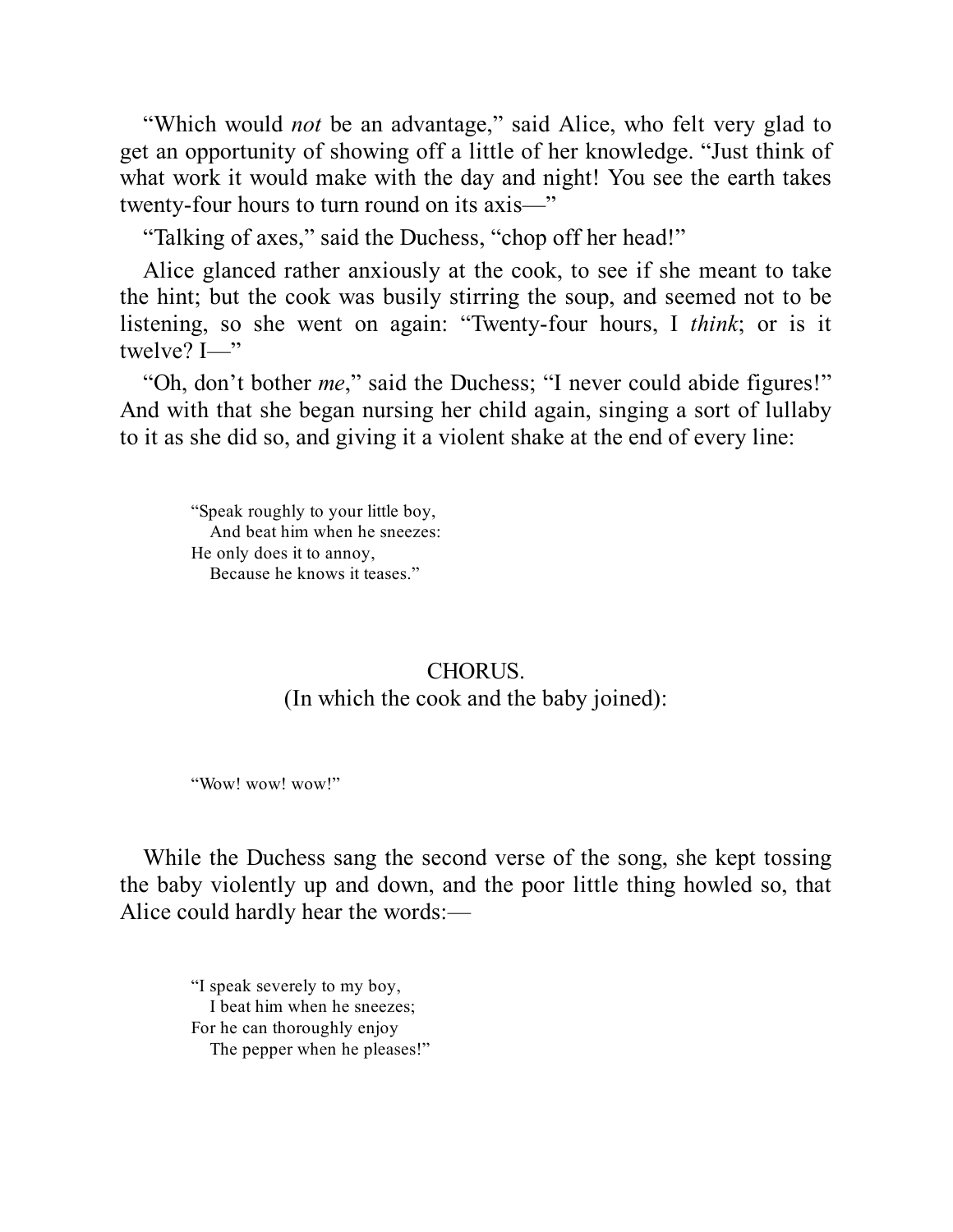"Which would *not* be an advantage," said Alice, who felt very glad to get an opportunity of showing off a little of her knowledge. "Just think of what work it would make with the day and night! You see the earth takes twenty-four hours to turn round on its axis—"

"Talking of axes," said the Duchess, "chop off her head!"

Alice glanced rather anxiously at the cook, to see if she meant to take the hint; but the cook was busily stirring the soup, and seemed not to be listening, so she went on again: "Twenty-four hours, I *think*; or is it twelve? I—"

"Oh, don't bother *me*," said the Duchess; "I never could abide figures!" And with that she began nursing her child again, singing a sort of lullaby to it as she did so, and giving it a violent shake at the end of every line:

> "Speak roughly to your little boy, And beat him when he sneezes: He only does it to annoy, Because he knows it teases."

#### CHORUS. (In which the cook and the baby joined):

"Wow! wow! wow!"

While the Duchess sang the second verse of the song, she kept tossing the baby violently up and down, and the poor little thing howled so, that Alice could hardly hear the words:—

> "I speak severely to my boy, I beat him when he sneezes; For he can thoroughly enjoy The pepper when he pleases!"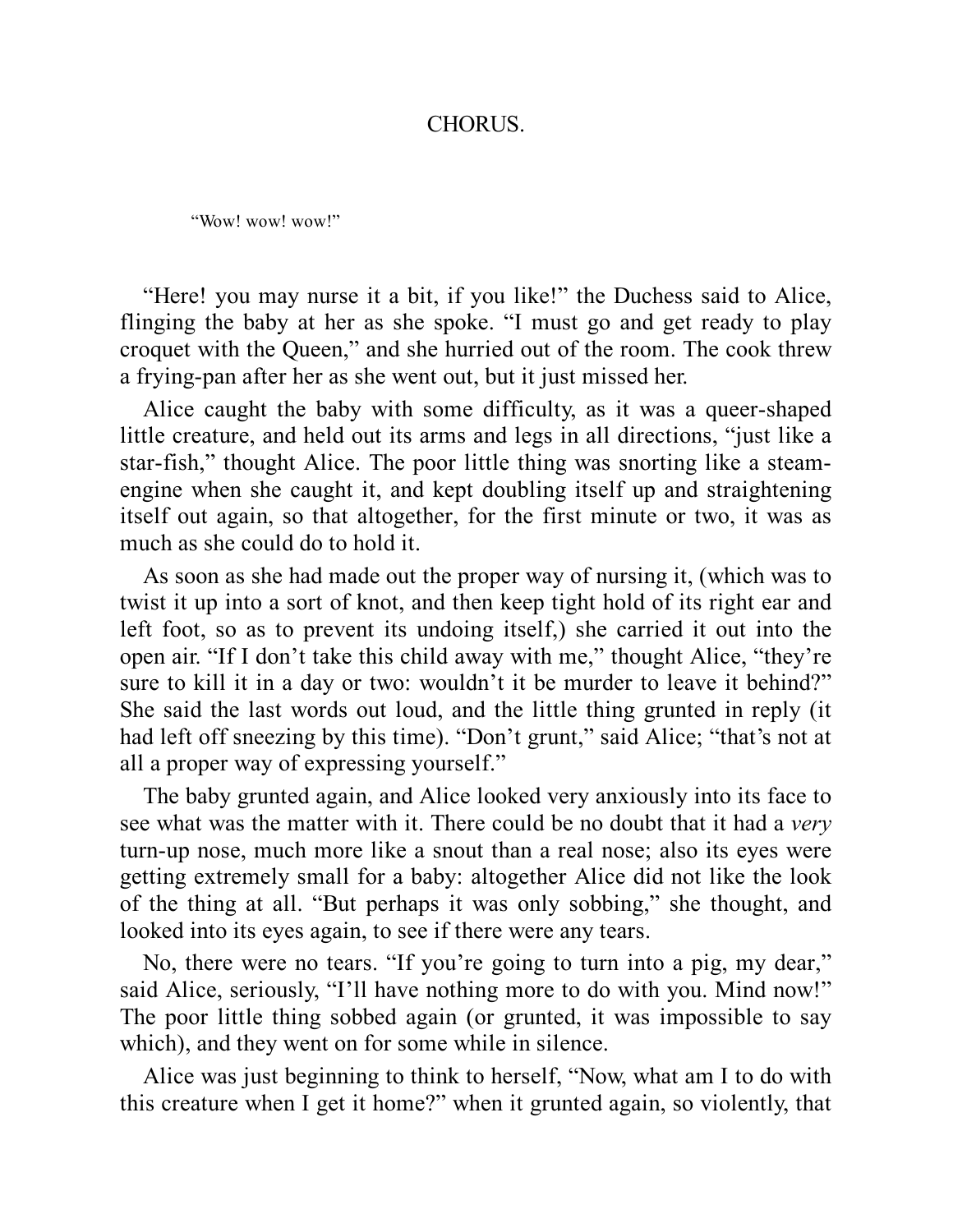#### CHORUS.

"Wow! wow! wow!"

"Here! you may nurse it a bit, if you like!" the Duchess said to Alice, flinging the baby at her as she spoke. "I must go and get ready to play croquet with the Queen," and she hurried out of the room. The cook threw a frying-pan after her as she went out, but it just missed her.

Alice caught the baby with some difficulty, as it was a queer-shaped little creature, and held out its arms and legs in all directions, "just like a star-fish," thought Alice. The poor little thing was snorting like a steamengine when she caught it, and kept doubling itself up and straightening itself out again, so that altogether, for the first minute or two, it was as much as she could do to hold it.

As soon as she had made out the proper way of nursing it, (which was to twist it up into a sort of knot, and then keep tight hold of its right ear and left foot, so as to prevent its undoing itself,) she carried it out into the open air. "If I don't take this child away with me," thought Alice, "they're sure to kill it in a day or two: wouldn't it be murder to leave it behind?" She said the last words out loud, and the little thing grunted in reply (it had left off sneezing by this time). "Don't grunt," said Alice; "that's not at all a proper way of expressing yourself."

The baby grunted again, and Alice looked very anxiously into its face to see what was the matter with it. There could be no doubt that it had a *very* turn-up nose, much more like a snout than a real nose; also its eyes were getting extremely small for a baby: altogether Alice did not like the look of the thing at all. "But perhaps it was only sobbing," she thought, and looked into its eyes again, to see if there were any tears.

No, there were no tears. "If you're going to turn into a pig, my dear," said Alice, seriously, "I'll have nothing more to do with you. Mind now!" The poor little thing sobbed again (or grunted, it was impossible to say which), and they went on for some while in silence.

Alice was just beginning to think to herself, "Now, what am I to do with this creature when I get it home?" when it grunted again, so violently, that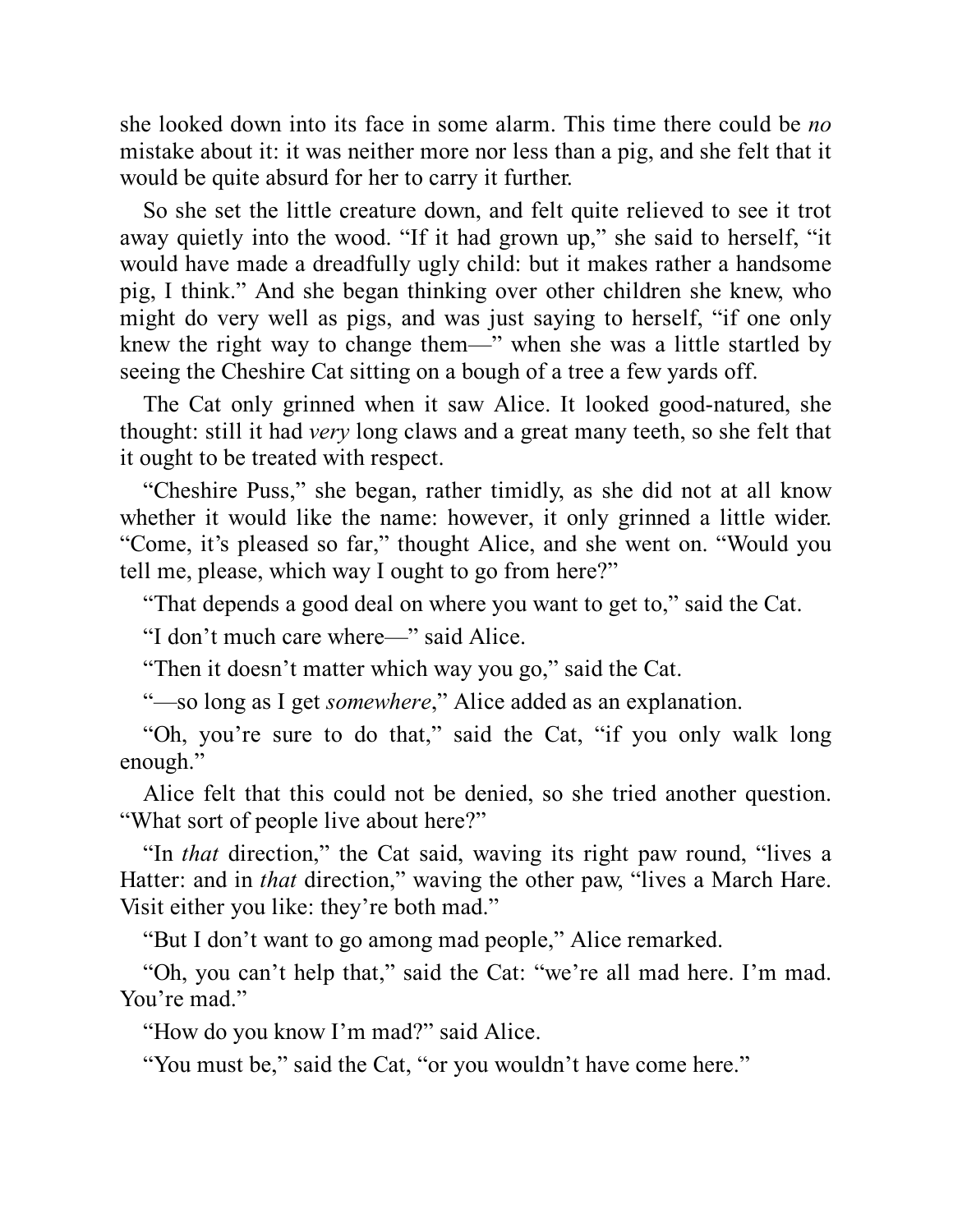she looked down into its face in some alarm. This time there could be *no* mistake about it: it was neither more nor less than a pig, and she felt that it would be quite absurd for her to carry it further.

So she set the little creature down, and felt quite relieved to see it trot away quietly into the wood. "If it had grown up," she said to herself, "it would have made a dreadfully ugly child: but it makes rather a handsome pig, I think." And she began thinking over other children she knew, who might do very well as pigs, and was just saying to herself, "if one only knew the right way to change them—" when she was a little startled by seeing the Cheshire Cat sitting on a bough of a tree a few yards off.

The Cat only grinned when it saw Alice. It looked good-natured, she thought: still it had *very* long claws and a great many teeth, so she felt that it ought to be treated with respect.

"Cheshire Puss," she began, rather timidly, as she did not at all know whether it would like the name: however, it only grinned a little wider. "Come, it's pleased so far," thought Alice, and she went on. "Would you tell me, please, which way I ought to go from here?"

"That depends a good deal on where you want to get to," said the Cat.

"I don't much care where—" said Alice.

"Then it doesn't matter which way you go," said the Cat.

"—so long as I get *somewhere*," Alice added as an explanation.

"Oh, you're sure to do that," said the Cat, "if you only walk long enough."

Alice felt that this could not be denied, so she tried another question. "What sort of people live about here?"

"In *that* direction," the Cat said, waving its right paw round, "lives a Hatter: and in *that* direction," waving the other paw, "lives a March Hare. Visit either you like: they're both mad."

"But I don't want to go among mad people," Alice remarked.

"Oh, you can't help that," said the Cat: "we're all mad here. I'm mad. You're mad."

"How do you know I'm mad?" said Alice.

"You must be," said the Cat, "or you wouldn't have come here."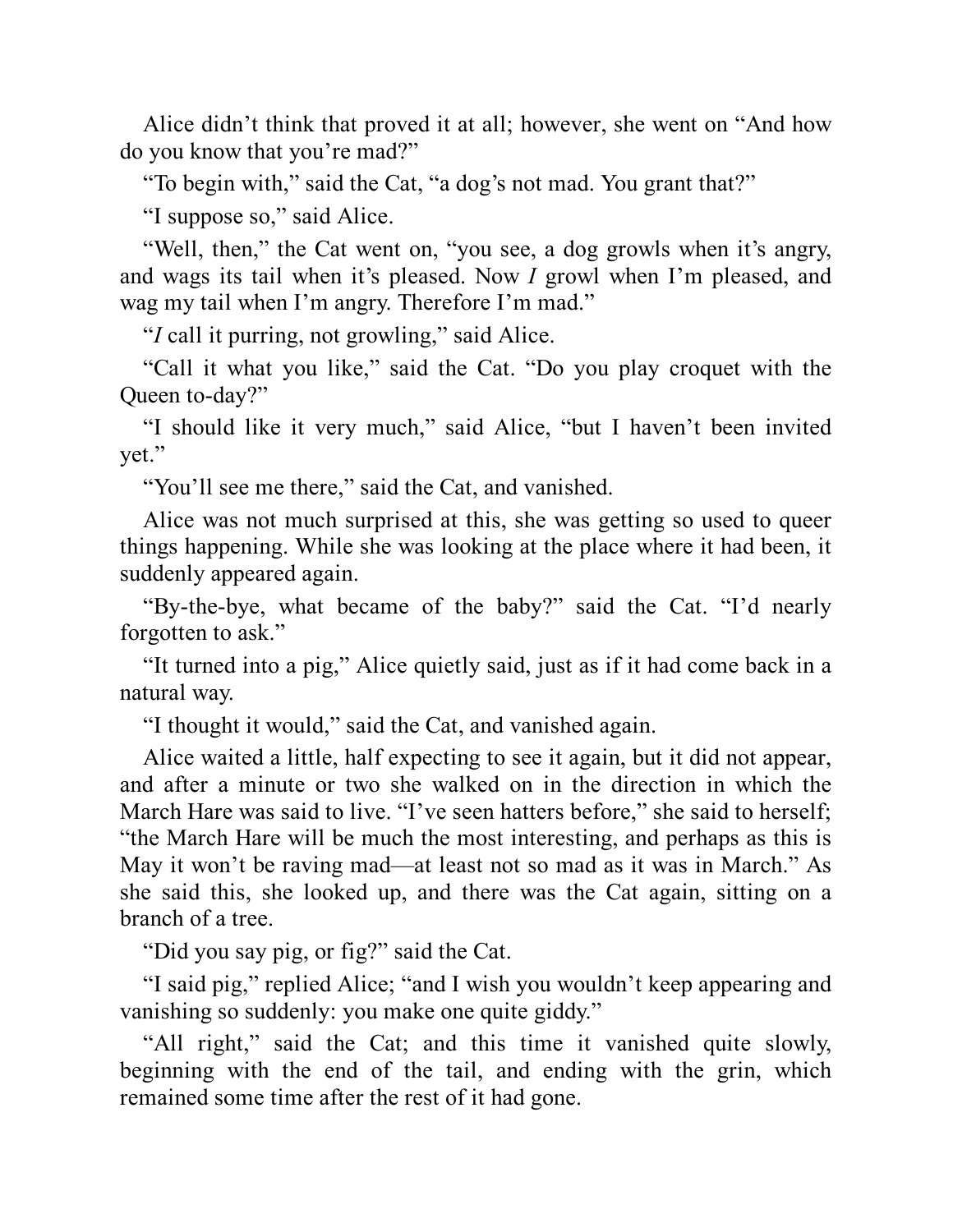Alice didn't think that proved it at all; however, she went on "And how do you know that you're mad?"

"To begin with," said the Cat, "a dog's not mad. You grant that?"

"I suppose so," said Alice.

"Well, then," the Cat went on, "you see, a dog growls when it's angry, and wags its tail when it's pleased. Now *I* growl when I'm pleased, and wag my tail when I'm angry. Therefore I'm mad."

"*I* call it purring, not growling," said Alice.

"Call it what you like," said the Cat. "Do you play croquet with the Queen to-day?"

"I should like it very much," said Alice, "but I haven't been invited yet."

"You'll see me there," said the Cat, and vanished.

Alice was not much surprised at this, she was getting so used to queer things happening. While she was looking at the place where it had been, it suddenly appeared again.

"By-the-bye, what became of the baby?" said the Cat. "I'd nearly forgotten to ask."

"It turned into a pig," Alice quietly said, just as if it had come back in a natural way.

"I thought it would," said the Cat, and vanished again.

Alice waited a little, half expecting to see it again, but it did not appear, and after a minute or two she walked on in the direction in which the March Hare was said to live. "I've seen hatters before," she said to herself; "the March Hare will be much the most interesting, and perhaps as this is May it won't be raving mad—at least not so mad as it was in March." As she said this, she looked up, and there was the Cat again, sitting on a branch of a tree.

"Did you say pig, or fig?" said the Cat.

"I said pig," replied Alice; "and I wish you wouldn't keep appearing and vanishing so suddenly: you make one quite giddy."

"All right," said the Cat; and this time it vanished quite slowly, beginning with the end of the tail, and ending with the grin, which remained some time after the rest of it had gone.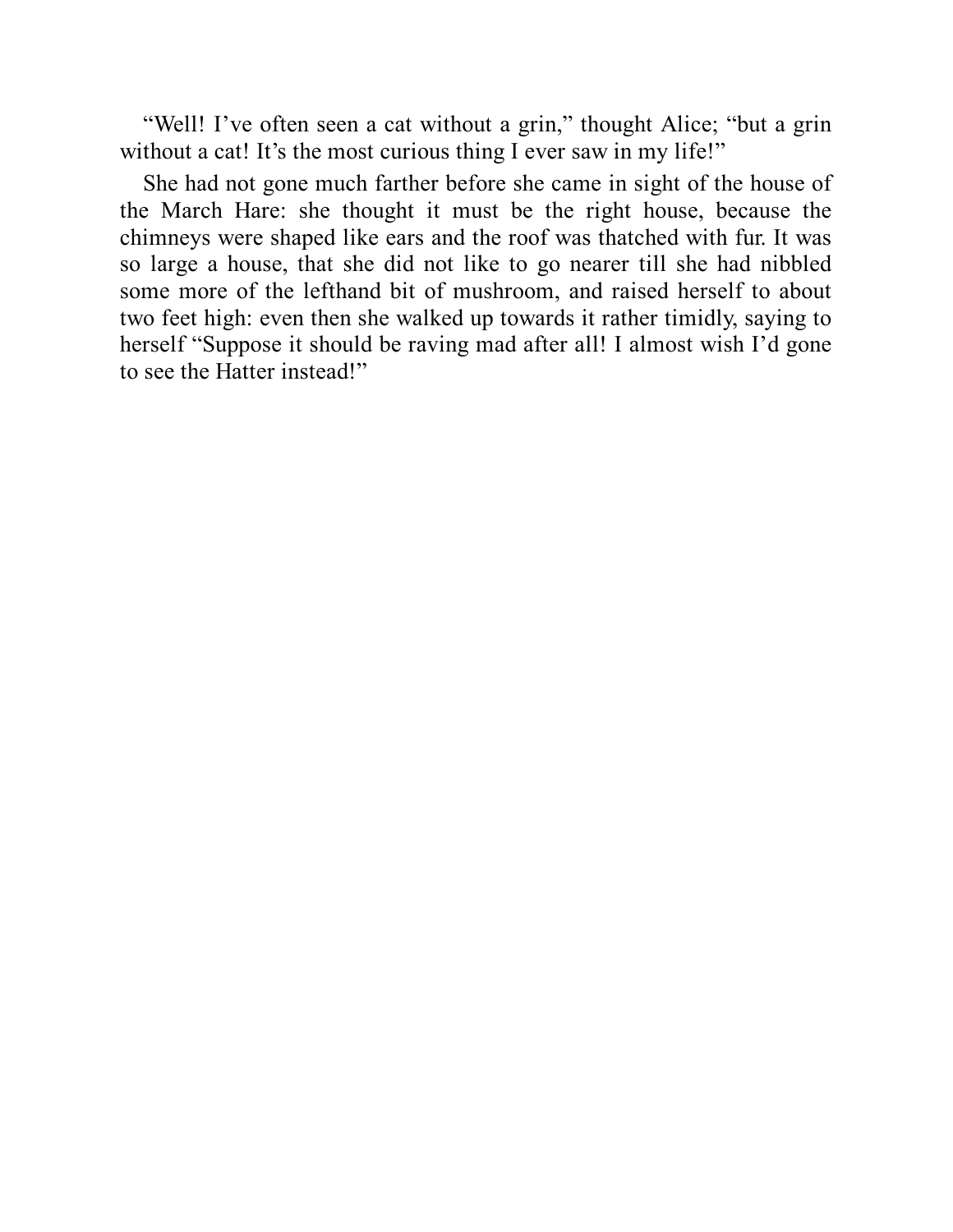"Well! I've often seen a cat without a grin," thought Alice; "but a grin without a cat! It's the most curious thing I ever saw in my life!"

She had not gone much farther before she came in sight of the house of the March Hare: she thought it must be the right house, because the chimneys were shaped like ears and the roof was thatched with fur. It was so large a house, that she did not like to go nearer till she had nibbled some more of the lefthand bit of mushroom, and raised herself to about two feet high: even then she walked up towards it rather timidly, saying to herself "Suppose it should be raving mad after all! I almost wish I'd gone to see the Hatter instead!"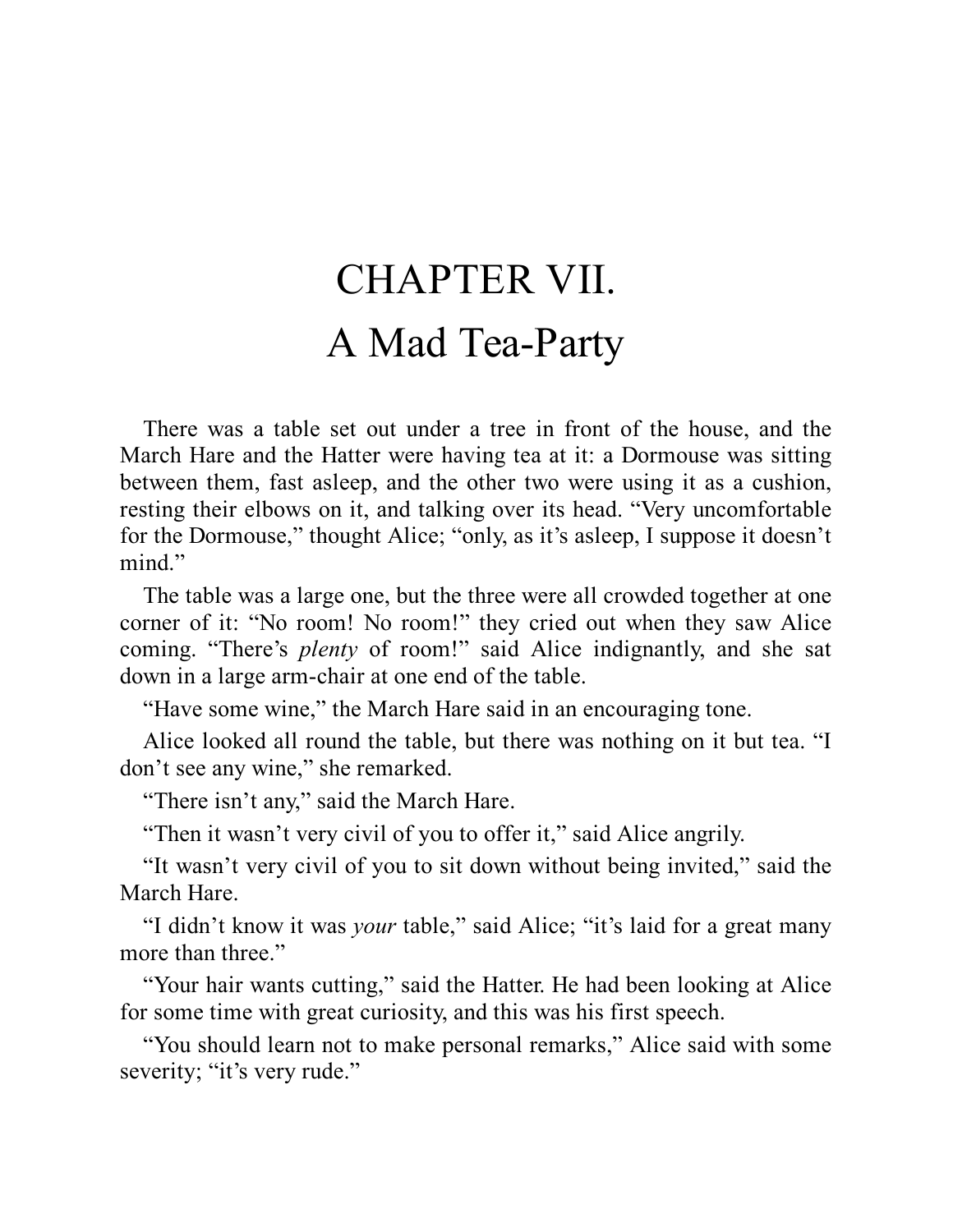# CHAPTER VII. A Mad Tea-Party

There was a table set out under a tree in front of the house, and the March Hare and the Hatter were having tea at it: a Dormouse was sitting between them, fast asleep, and the other two were using it as a cushion, resting their elbows on it, and talking over its head. "Very uncomfortable for the Dormouse," thought Alice; "only, as it's asleep, I suppose it doesn't mind."

The table was a large one, but the three were all crowded together at one corner of it: "No room! No room!" they cried out when they saw Alice coming. "There's *plenty* of room!" said Alice indignantly, and she sat down in a large arm-chair at one end of the table.

"Have some wine," the March Hare said in an encouraging tone.

Alice looked all round the table, but there was nothing on it but tea. "I don't see any wine," she remarked.

"There isn't any," said the March Hare.

"Then it wasn't very civil of you to offer it," said Alice angrily.

"It wasn't very civil of you to sit down without being invited," said the March Hare.

"I didn't know it was *your* table," said Alice; "it's laid for a great many more than three."

"Your hair wants cutting," said the Hatter. He had been looking at Alice for some time with great curiosity, and this was his first speech.

"You should learn not to make personal remarks," Alice said with some severity; "it's very rude."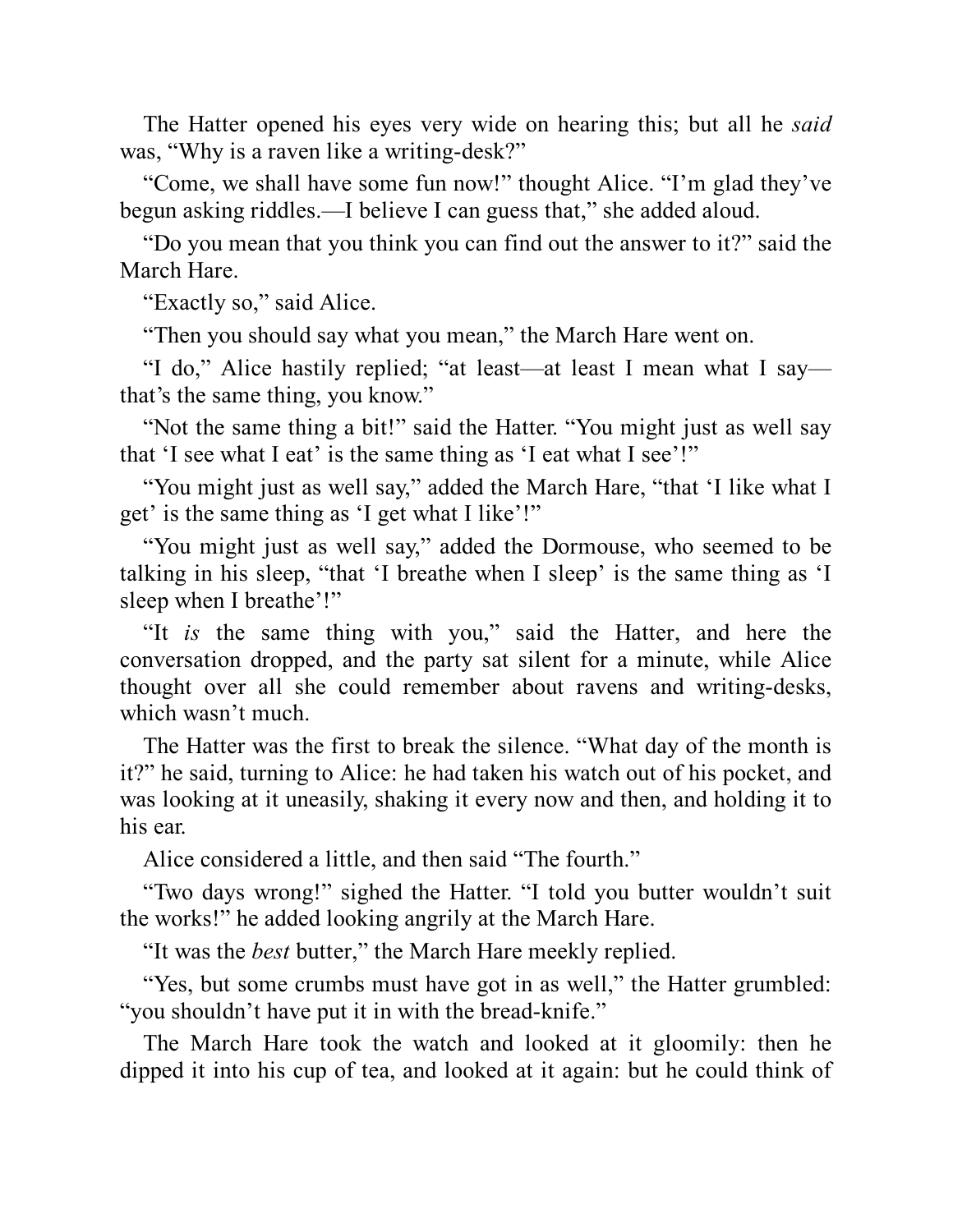The Hatter opened his eyes very wide on hearing this; but all he *said* was, "Why is a raven like a writing-desk?"

"Come, we shall have some fun now!" thought Alice. "I'm glad they've begun asking riddles.—I believe I can guess that," she added aloud.

"Do you mean that you think you can find out the answer to it?" said the March Hare.

"Exactly so," said Alice.

"Then you should say what you mean," the March Hare went on.

"I do," Alice hastily replied; "at least—at least I mean what I say that's the same thing, you know."

"Not the same thing a bit!" said the Hatter. "You might just as well say that 'I see what I eat' is the same thing as 'I eat what I see'!"

"You might just as well say," added the March Hare, "that 'I like what I get' is the same thing as 'I get what I like'!"

"You might just as well say," added the Dormouse, who seemed to be talking in his sleep, "that 'I breathe when I sleep' is the same thing as 'I sleep when I breathe'!"

"It *is* the same thing with you," said the Hatter, and here the conversation dropped, and the party sat silent for a minute, while Alice thought over all she could remember about ravens and writing-desks, which wasn't much.

The Hatter was the first to break the silence. "What day of the month is it?" he said, turning to Alice: he had taken his watch out of his pocket, and was looking at it uneasily, shaking it every now and then, and holding it to his ear.

Alice considered a little, and then said "The fourth."

"Two days wrong!" sighed the Hatter. "I told you butter wouldn't suit the works!" he added looking angrily at the March Hare.

"It was the *best* butter," the March Hare meekly replied.

"Yes, but some crumbs must have got in as well," the Hatter grumbled: "you shouldn't have put it in with the bread-knife."

The March Hare took the watch and looked at it gloomily: then he dipped it into his cup of tea, and looked at it again: but he could think of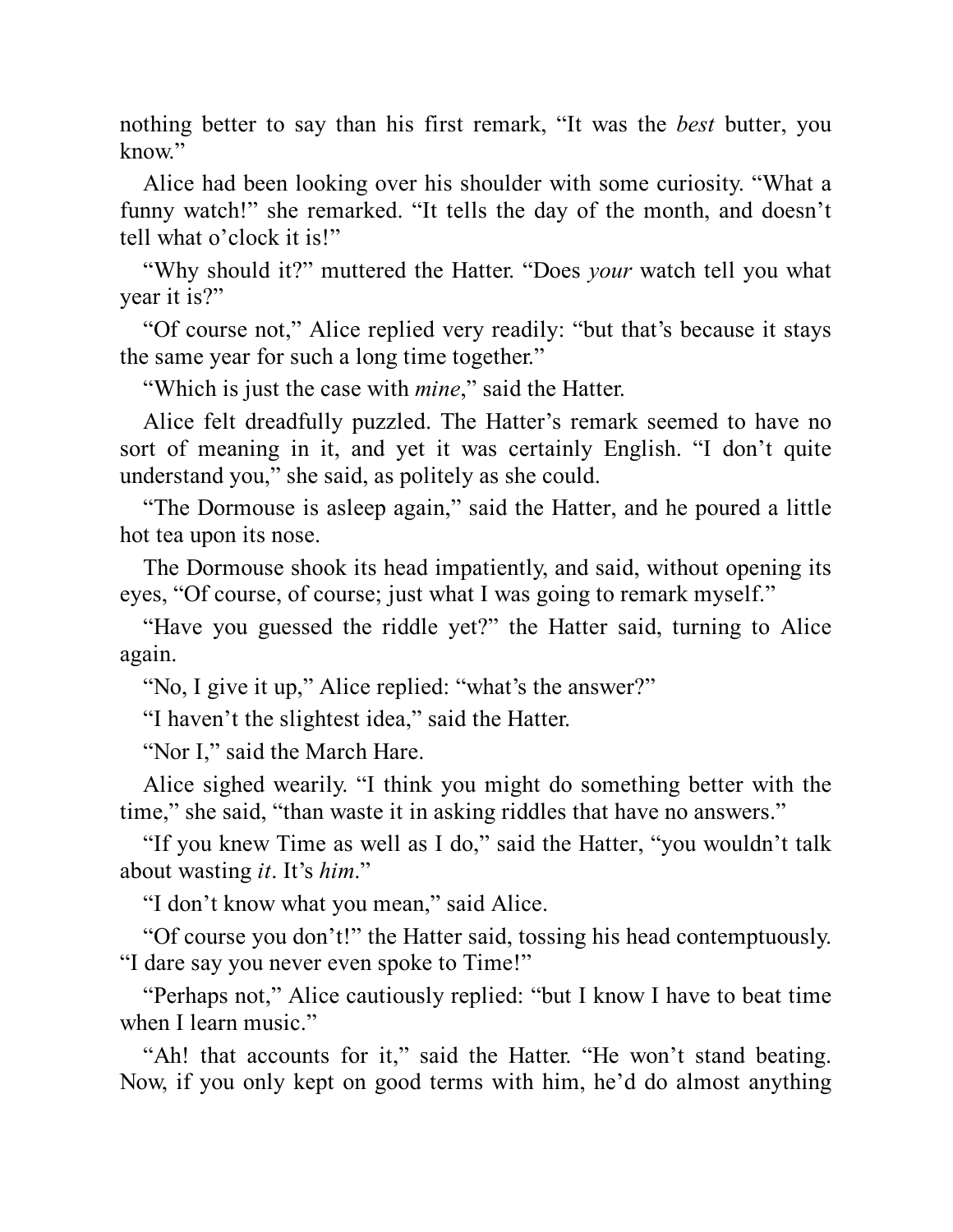nothing better to say than his first remark, "It was the *best* butter, you know."

Alice had been looking over his shoulder with some curiosity. "What a funny watch!" she remarked. "It tells the day of the month, and doesn't tell what o'clock it is!"

"Why should it?" muttered the Hatter. "Does *your* watch tell you what year it is?"

"Of course not," Alice replied very readily: "but that's because it stays the same year for such a long time together."

"Which is just the case with *mine*," said the Hatter.

Alice felt dreadfully puzzled. The Hatter's remark seemed to have no sort of meaning in it, and yet it was certainly English. "I don't quite understand you," she said, as politely as she could.

"The Dormouse is asleep again," said the Hatter, and he poured a little hot tea upon its nose.

The Dormouse shook its head impatiently, and said, without opening its eyes, "Of course, of course; just what I was going to remark myself."

"Have you guessed the riddle yet?" the Hatter said, turning to Alice again.

"No, I give it up," Alice replied: "what's the answer?"

"I haven't the slightest idea," said the Hatter.

"Nor I," said the March Hare.

Alice sighed wearily. "I think you might do something better with the time," she said, "than waste it in asking riddles that have no answers."

"If you knew Time as well as I do," said the Hatter, "you wouldn't talk about wasting *it*. It's *him*."

"I don't know what you mean," said Alice.

"Of course you don't!" the Hatter said, tossing his head contemptuously. "I dare say you never even spoke to Time!"

"Perhaps not," Alice cautiously replied: "but I know I have to beat time when I learn music."

"Ah! that accounts for it," said the Hatter. "He won't stand beating. Now, if you only kept on good terms with him, he'd do almost anything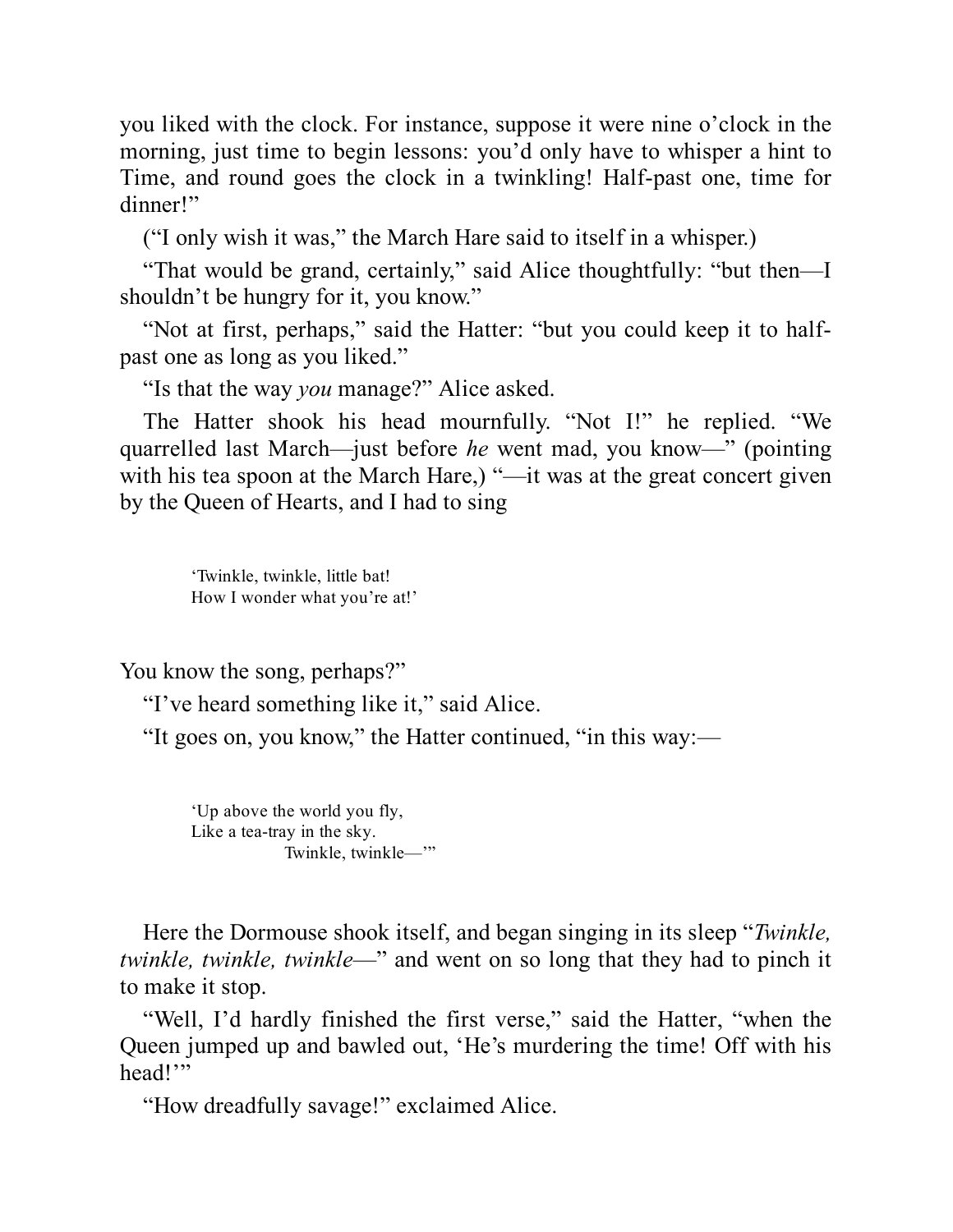you liked with the clock. For instance, suppose it were nine o'clock in the morning, just time to begin lessons: you'd only have to whisper a hint to Time, and round goes the clock in a twinkling! Half-past one, time for dinner!"

("I only wish it was," the March Hare said to itself in a whisper.)

"That would be grand, certainly," said Alice thoughtfully: "but then—I shouldn't be hungry for it, you know."

"Not at first, perhaps," said the Hatter: "but you could keep it to halfpast one as long as you liked."

"Is that the way *you* manage?" Alice asked.

The Hatter shook his head mournfully. "Not I!" he replied. "We quarrelled last March—just before *he* went mad, you know—" (pointing with his tea spoon at the March Hare,) "—it was at the great concert given by the Queen of Hearts, and I had to sing

> 'Twinkle, twinkle, little bat! How I wonder what you're at!'

You know the song, perhaps?"

"I've heard something like it," said Alice.

"It goes on, you know," the Hatter continued, "in this way:—

'Up above the world you fly, Like a tea-tray in the sky. Twinkle, twinkle—'"

Here the Dormouse shook itself, and began singing in its sleep "*Twinkle, twinkle, twinkle, twinkle*—" and went on so long that they had to pinch it to make it stop.

"Well, I'd hardly finished the first verse," said the Hatter, "when the Queen jumped up and bawled out, 'He's murdering the time! Off with his head!"

"How dreadfully savage!" exclaimed Alice.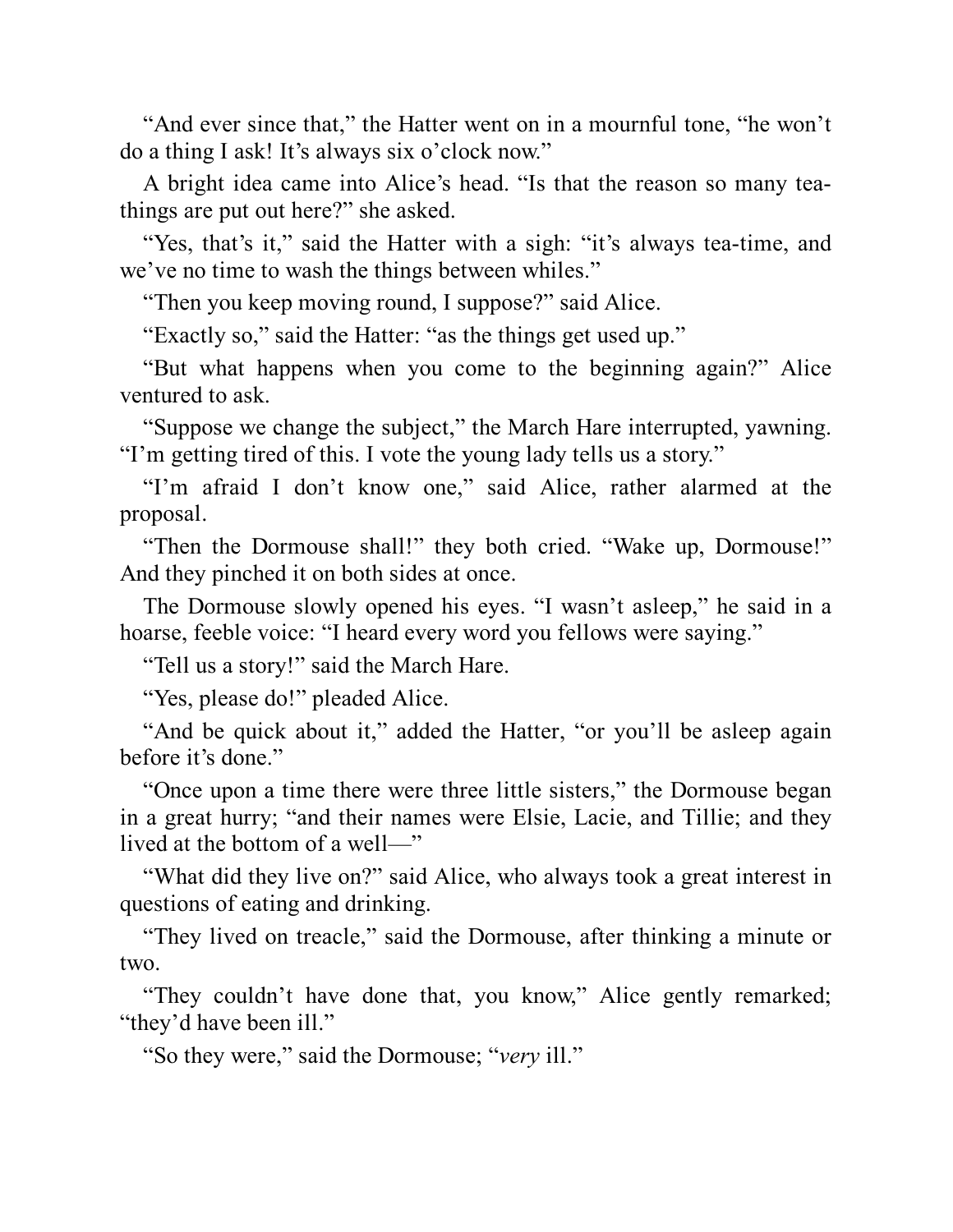"And ever since that," the Hatter went on in a mournful tone, "he won't do a thing I ask! It's always six o'clock now."

A bright idea came into Alice's head. "Is that the reason so many teathings are put out here?" she asked.

"Yes, that's it," said the Hatter with a sigh: "it's always tea-time, and we've no time to wash the things between whiles."

"Then you keep moving round, I suppose?" said Alice.

"Exactly so," said the Hatter: "as the things get used up."

"But what happens when you come to the beginning again?" Alice ventured to ask.

"Suppose we change the subject," the March Hare interrupted, yawning. "I'm getting tired of this. I vote the young lady tells us a story."

"I'm afraid I don't know one," said Alice, rather alarmed at the proposal.

"Then the Dormouse shall!" they both cried. "Wake up, Dormouse!" And they pinched it on both sides at once.

The Dormouse slowly opened his eyes. "I wasn't asleep," he said in a hoarse, feeble voice: "I heard every word you fellows were saying."

"Tell us a story!" said the March Hare.

"Yes, please do!" pleaded Alice.

"And be quick about it," added the Hatter, "or you'll be asleep again before it's done."

"Once upon a time there were three little sisters," the Dormouse began in a great hurry; "and their names were Elsie, Lacie, and Tillie; and they lived at the bottom of a well—"

"What did they live on?" said Alice, who always took a great interest in questions of eating and drinking.

"They lived on treacle," said the Dormouse, after thinking a minute or two.

"They couldn't have done that, you know," Alice gently remarked; "they'd have been ill."

"So they were," said the Dormouse; "*very* ill."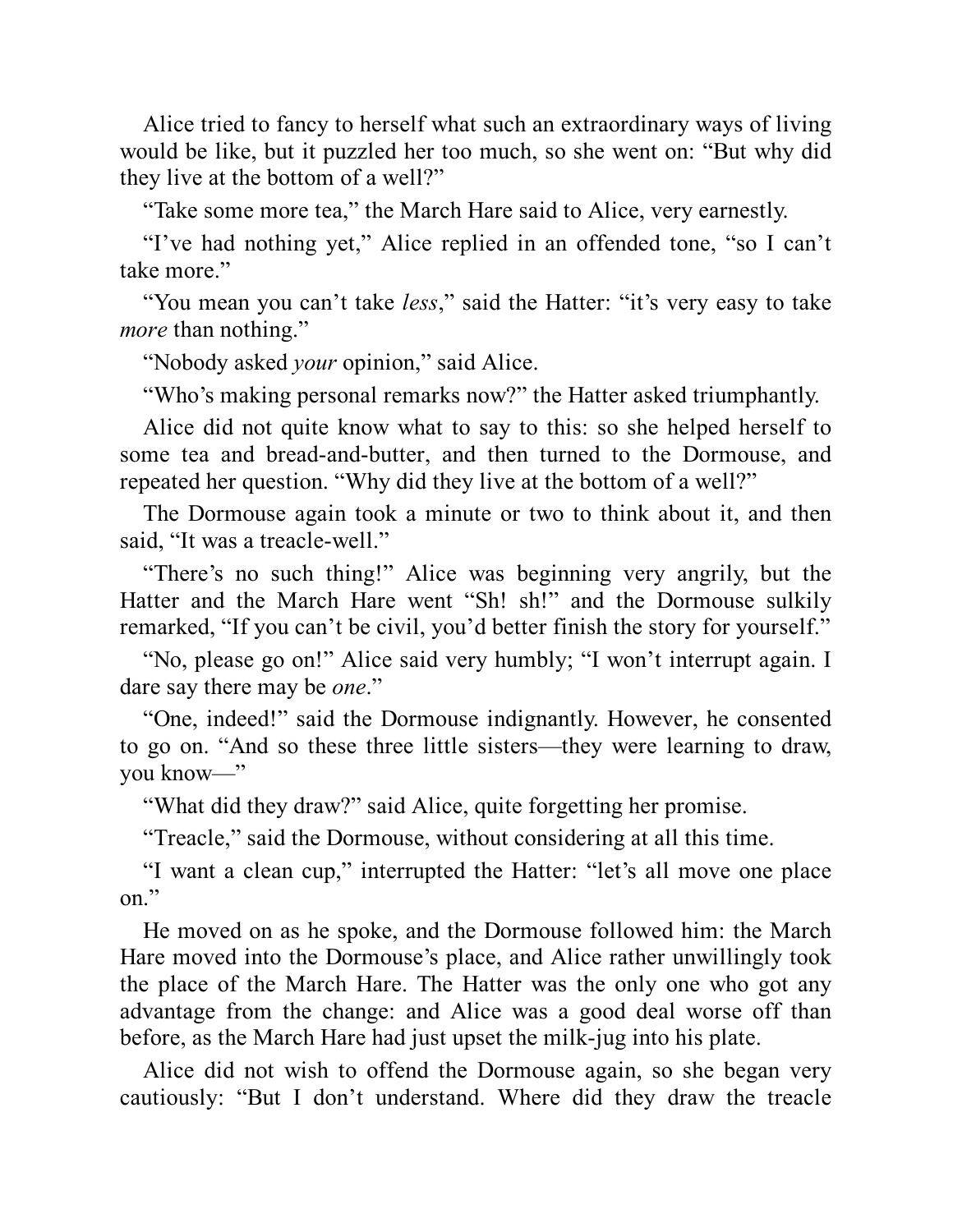Alice tried to fancy to herself what such an extraordinary ways of living would be like, but it puzzled her too much, so she went on: "But why did they live at the bottom of a well?"

"Take some more tea," the March Hare said to Alice, very earnestly.

"I've had nothing yet," Alice replied in an offended tone, "so I can't take more."

"You mean you can't take *less*," said the Hatter: "it's very easy to take *more* than nothing."

"Nobody asked *your* opinion," said Alice.

"Who's making personal remarks now?" the Hatter asked triumphantly.

Alice did not quite know what to say to this: so she helped herself to some tea and bread-and-butter, and then turned to the Dormouse, and repeated her question. "Why did they live at the bottom of a well?"

The Dormouse again took a minute or two to think about it, and then said, "It was a treacle-well."

"There's no such thing!" Alice was beginning very angrily, but the Hatter and the March Hare went "Sh! sh!" and the Dormouse sulkily remarked, "If you can't be civil, you'd better finish the story for yourself."

"No, please go on!" Alice said very humbly; "I won't interrupt again. I dare say there may be *one*."

"One, indeed!" said the Dormouse indignantly. However, he consented to go on. "And so these three little sisters—they were learning to draw, you know—"

"What did they draw?" said Alice, quite forgetting her promise.

"Treacle," said the Dormouse, without considering at all this time.

"I want a clean cup," interrupted the Hatter: "let's all move one place on."

He moved on as he spoke, and the Dormouse followed him: the March Hare moved into the Dormouse's place, and Alice rather unwillingly took the place of the March Hare. The Hatter was the only one who got any advantage from the change: and Alice was a good deal worse off than before, as the March Hare had just upset the milk-jug into his plate.

Alice did not wish to offend the Dormouse again, so she began very cautiously: "But I don't understand. Where did they draw the treacle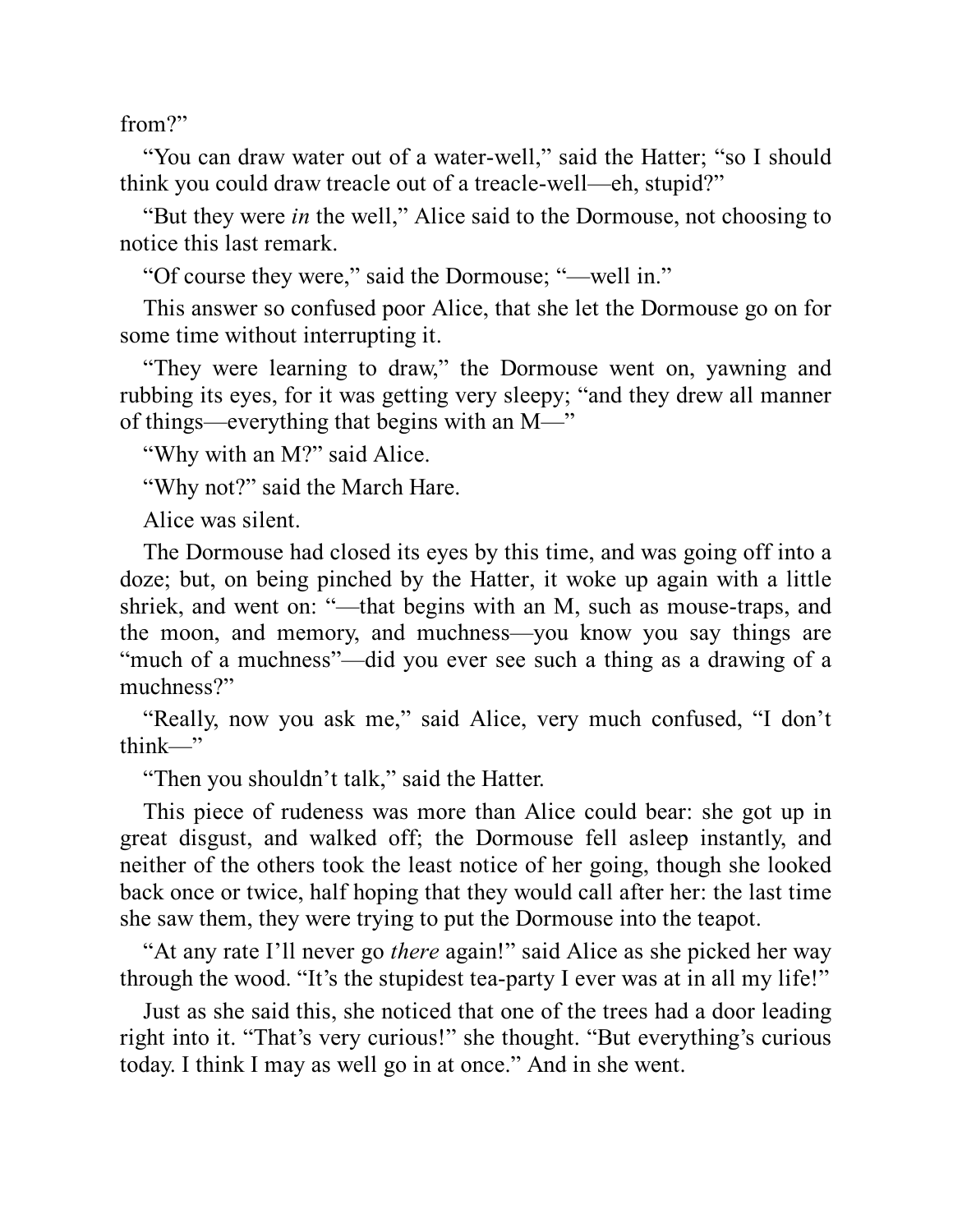from?"

"You can draw water out of a water-well," said the Hatter; "so I should think you could draw treacle out of a treacle-well—eh, stupid?"

"But they were *in* the well," Alice said to the Dormouse, not choosing to notice this last remark.

"Of course they were," said the Dormouse; "—well in."

This answer so confused poor Alice, that she let the Dormouse go on for some time without interrupting it.

"They were learning to draw," the Dormouse went on, yawning and rubbing its eyes, for it was getting very sleepy; "and they drew all manner of things—everything that begins with an M—"

"Why with an M?" said Alice.

"Why not?" said the March Hare.

Alice was silent.

The Dormouse had closed its eyes by this time, and was going off into a doze; but, on being pinched by the Hatter, it woke up again with a little shriek, and went on: "—that begins with an M, such as mouse-traps, and the moon, and memory, and muchness—you know you say things are "much of a muchness"—did you ever see such a thing as a drawing of a muchness?"

"Really, now you ask me," said Alice, very much confused, "I don't think—"

"Then you shouldn't talk," said the Hatter.

This piece of rudeness was more than Alice could bear: she got up in great disgust, and walked off; the Dormouse fell asleep instantly, and neither of the others took the least notice of her going, though she looked back once or twice, half hoping that they would call after her: the last time she saw them, they were trying to put the Dormouse into the teapot.

"At any rate I'll never go *there* again!" said Alice as she picked her way through the wood. "It's the stupidest tea-party I ever was at in all my life!"

Just as she said this, she noticed that one of the trees had a door leading right into it. "That's very curious!" she thought. "But everything's curious today. I think I may as well go in at once." And in she went.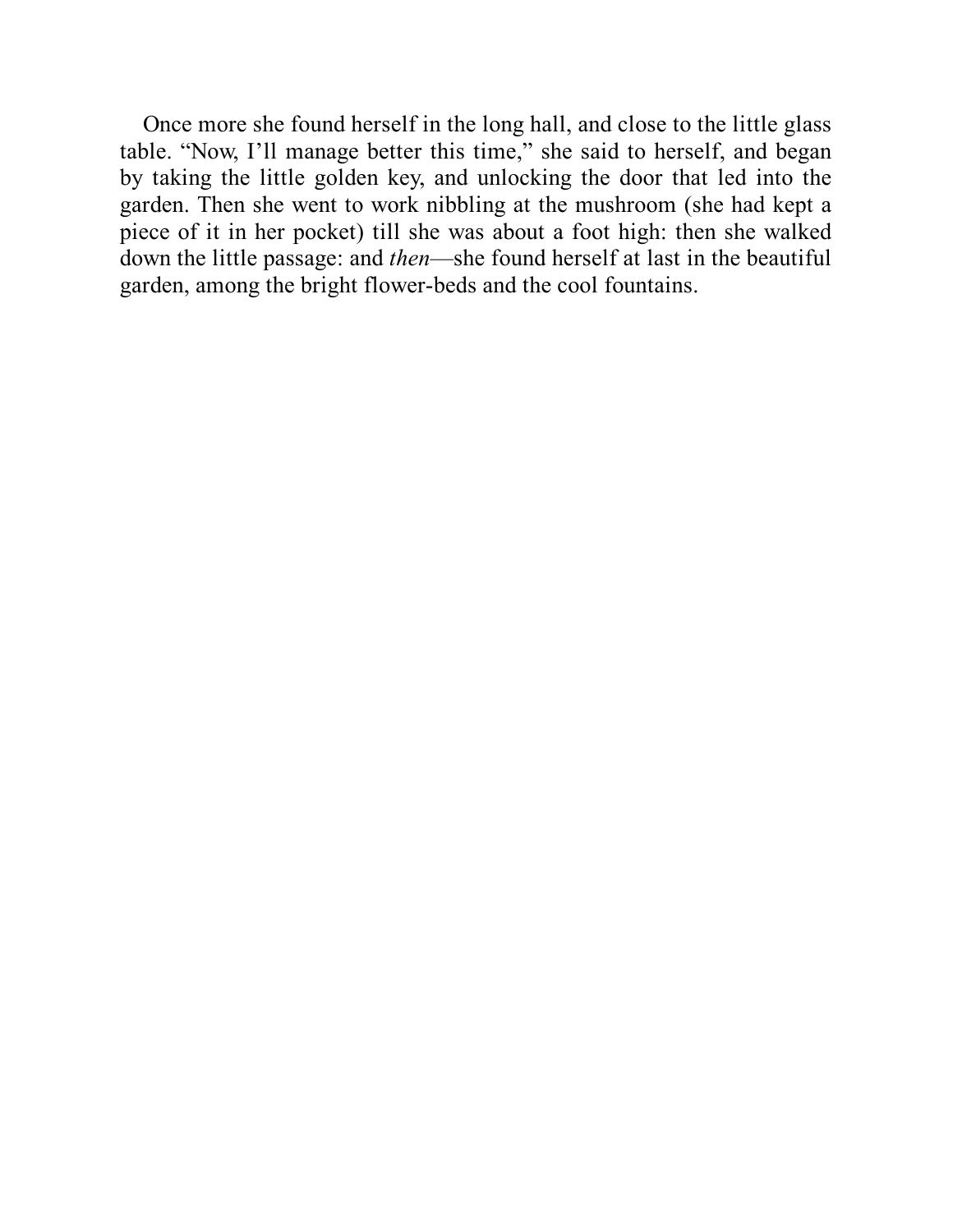Once more she found herself in the long hall, and close to the little glass table. "Now, I'll manage better this time," she said to herself, and began by taking the little golden key, and unlocking the door that led into the garden. Then she went to work nibbling at the mushroom (she had kept a piece of it in her pocket) till she was about a foot high: then she walked down the little passage: and *then*—she found herself at last in the beautiful garden, among the bright flower-beds and the cool fountains.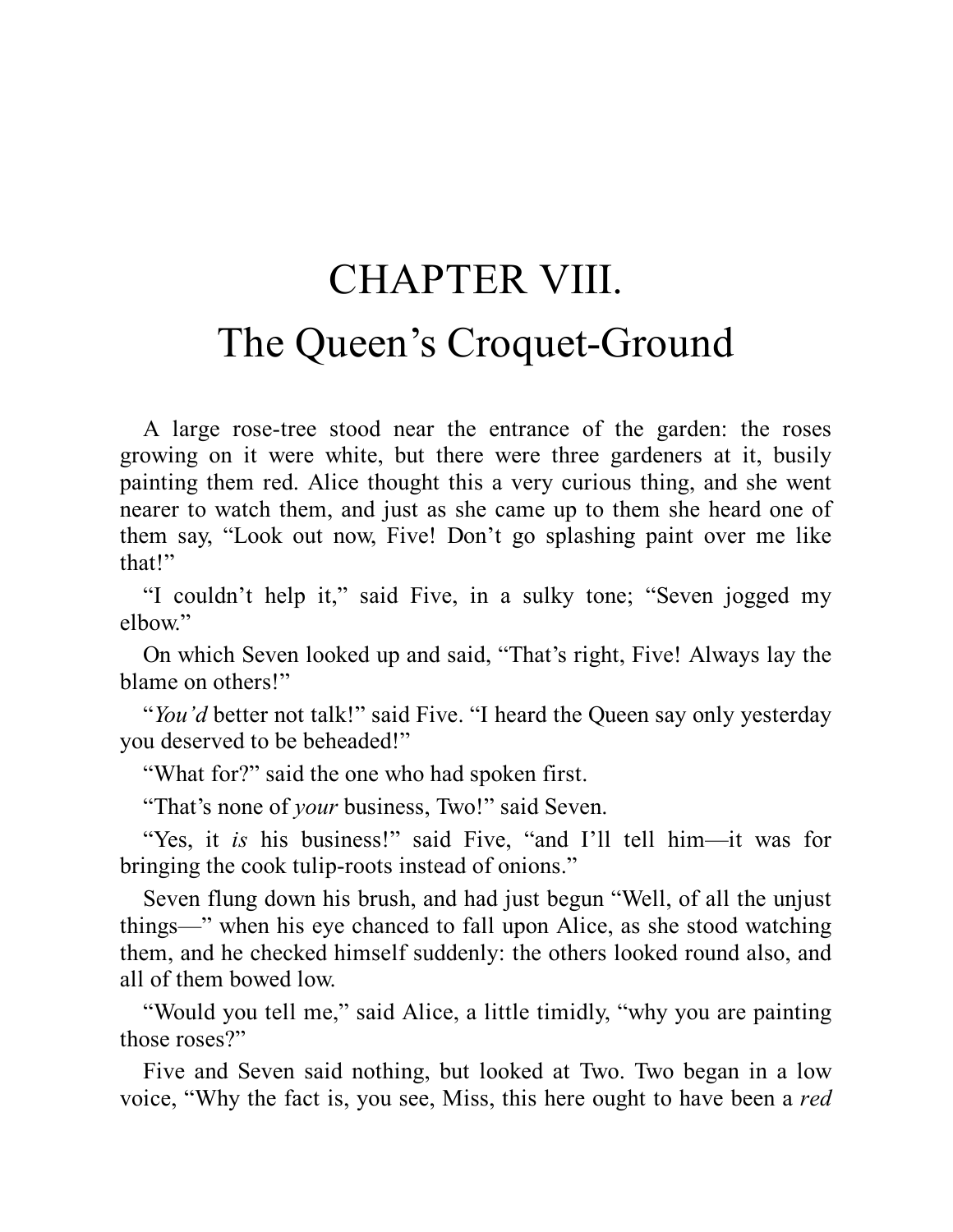## CHAPTER VIII. The Queen's Croquet-Ground

A large rose-tree stood near the entrance of the garden: the roses growing on it were white, but there were three gardeners at it, busily painting them red. Alice thought this a very curious thing, and she went nearer to watch them, and just as she came up to them she heard one of them say, "Look out now, Five! Don't go splashing paint over me like that!"

"I couldn't help it," said Five, in a sulky tone; "Seven jogged my elbow."

On which Seven looked up and said, "That's right, Five! Always lay the blame on others!"

"*You'd* better not talk!" said Five. "I heard the Queen say only yesterday you deserved to be beheaded!"

"What for?" said the one who had spoken first.

"That's none of *your* business, Two!" said Seven.

"Yes, it *is* his business!" said Five, "and I'll tell him—it was for bringing the cook tulip-roots instead of onions."

Seven flung down his brush, and had just begun "Well, of all the unjust things—" when his eye chanced to fall upon Alice, as she stood watching them, and he checked himself suddenly: the others looked round also, and all of them bowed low.

"Would you tell me," said Alice, a little timidly, "why you are painting those roses?"

Five and Seven said nothing, but looked at Two. Two began in a low voice, "Why the fact is, you see, Miss, this here ought to have been a *red*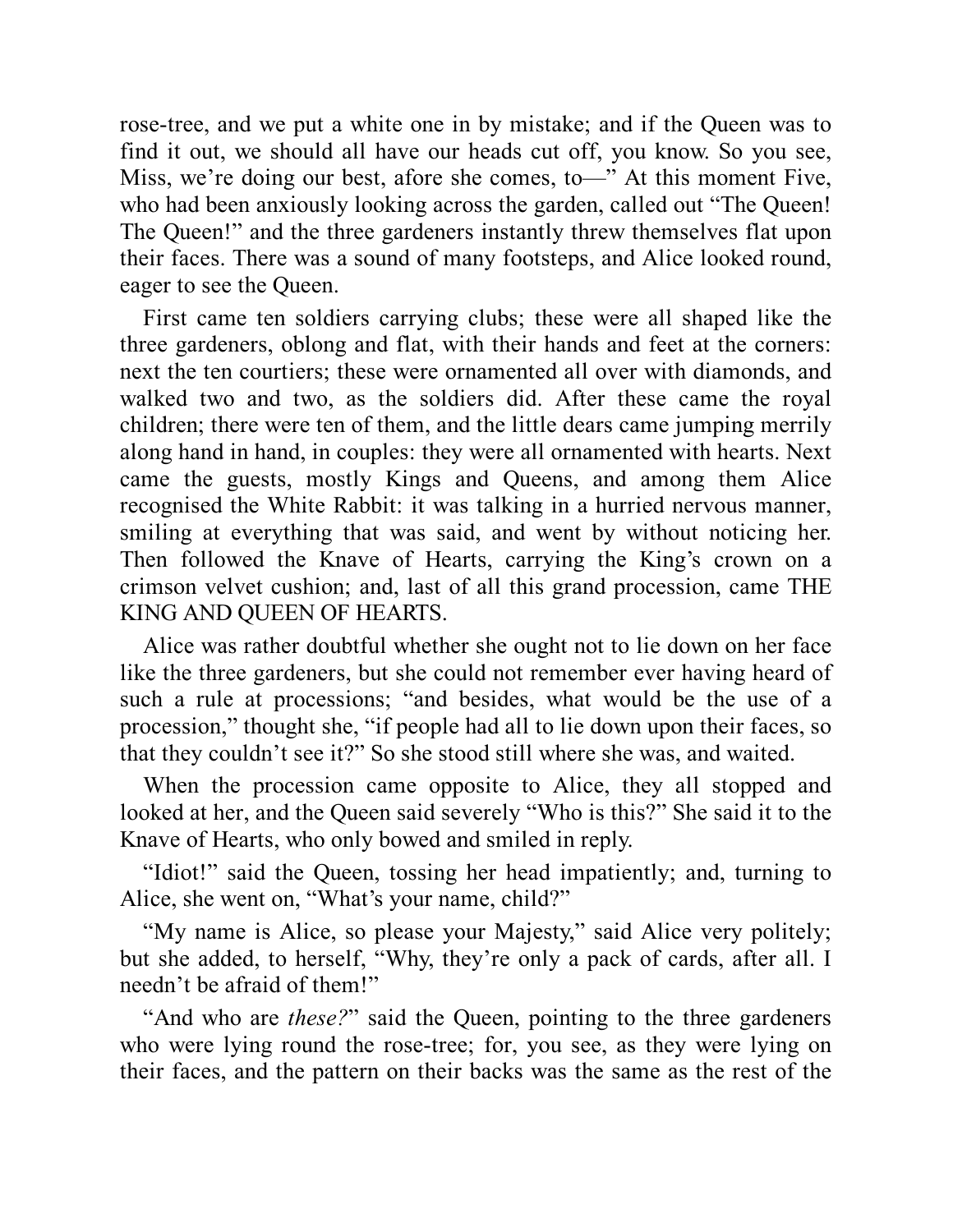rose-tree, and we put a white one in by mistake; and if the Queen was to find it out, we should all have our heads cut off, you know. So you see, Miss, we're doing our best, afore she comes, to—" At this moment Five, who had been anxiously looking across the garden, called out "The Queen! The Queen!" and the three gardeners instantly threw themselves flat upon their faces. There was a sound of many footsteps, and Alice looked round, eager to see the Queen.

First came ten soldiers carrying clubs; these were all shaped like the three gardeners, oblong and flat, with their hands and feet at the corners: next the ten courtiers; these were ornamented all over with diamonds, and walked two and two, as the soldiers did. After these came the royal children; there were ten of them, and the little dears came jumping merrily along hand in hand, in couples: they were all ornamented with hearts. Next came the guests, mostly Kings and Queens, and among them Alice recognised the White Rabbit: it was talking in a hurried nervous manner, smiling at everything that was said, and went by without noticing her. Then followed the Knave of Hearts, carrying the King's crown on a crimson velvet cushion; and, last of all this grand procession, came THE KING AND QUEEN OF HEARTS.

Alice was rather doubtful whether she ought not to lie down on her face like the three gardeners, but she could not remember ever having heard of such a rule at processions; "and besides, what would be the use of a procession," thought she, "if people had all to lie down upon their faces, so that they couldn't see it?" So she stood still where she was, and waited.

When the procession came opposite to Alice, they all stopped and looked at her, and the Queen said severely "Who is this?" She said it to the Knave of Hearts, who only bowed and smiled in reply.

"Idiot!" said the Queen, tossing her head impatiently; and, turning to Alice, she went on, "What's your name, child?"

"My name is Alice, so please your Majesty," said Alice very politely; but she added, to herself, "Why, they're only a pack of cards, after all. I needn't be afraid of them!"

"And who are *these?*" said the Queen, pointing to the three gardeners who were lying round the rose-tree; for, you see, as they were lying on their faces, and the pattern on their backs was the same as the rest of the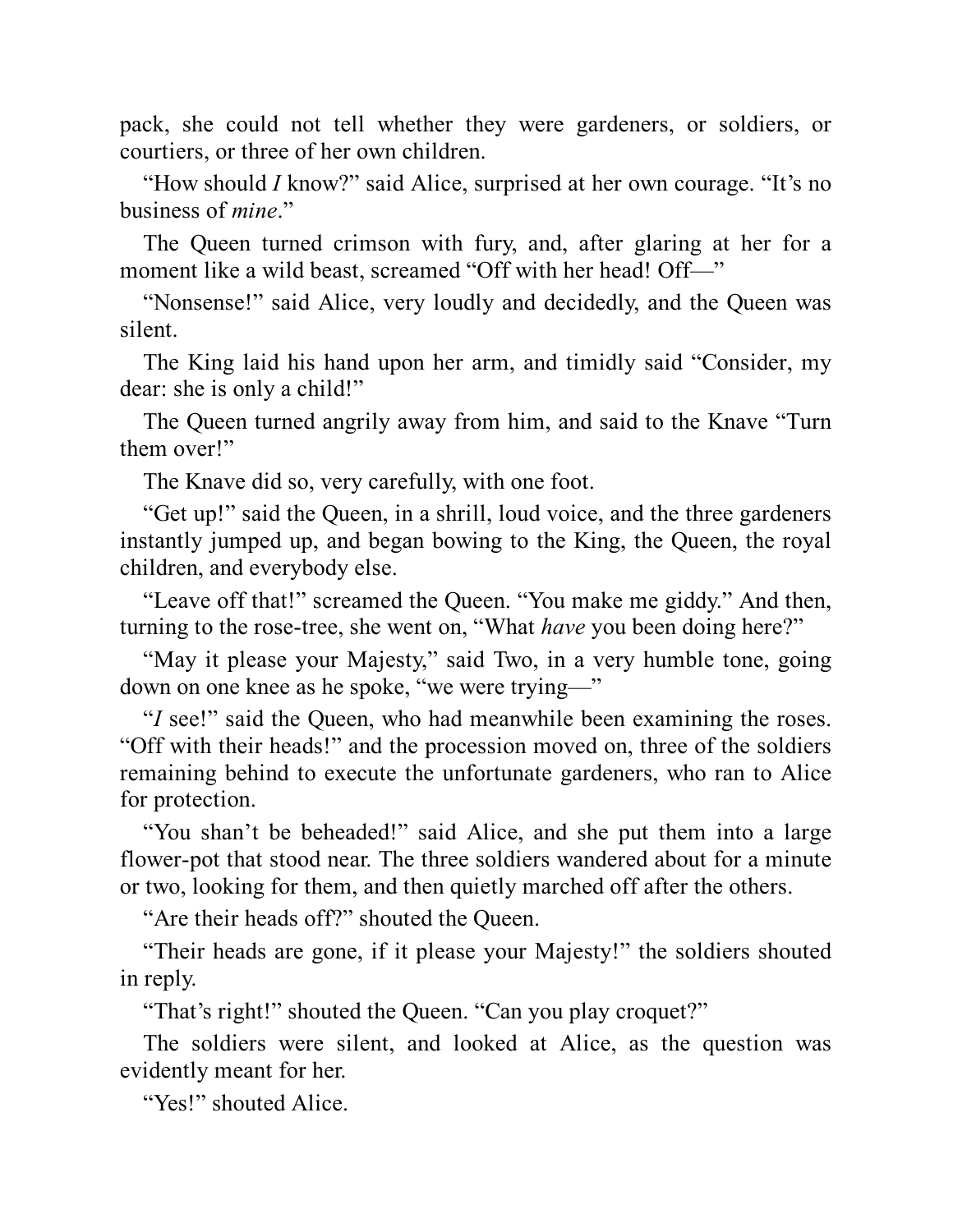pack, she could not tell whether they were gardeners, or soldiers, or courtiers, or three of her own children.

"How should *I* know?" said Alice, surprised at her own courage. "It's no business of *mine*."

The Queen turned crimson with fury, and, after glaring at her for a moment like a wild beast, screamed "Off with her head! Off—"

"Nonsense!" said Alice, very loudly and decidedly, and the Queen was silent.

The King laid his hand upon her arm, and timidly said "Consider, my dear: she is only a child!"

The Queen turned angrily away from him, and said to the Knave "Turn them over!"

The Knave did so, very carefully, with one foot.

"Get up!" said the Queen, in a shrill, loud voice, and the three gardeners instantly jumped up, and began bowing to the King, the Queen, the royal children, and everybody else.

"Leave off that!" screamed the Queen. "You make me giddy." And then, turning to the rose-tree, she went on, "What *have* you been doing here?"

"May it please your Majesty," said Two, in a very humble tone, going down on one knee as he spoke, "we were trying—"

"*I* see!" said the Queen, who had meanwhile been examining the roses. "Off with their heads!" and the procession moved on, three of the soldiers remaining behind to execute the unfortunate gardeners, who ran to Alice for protection.

"You shan't be beheaded!" said Alice, and she put them into a large flower-pot that stood near. The three soldiers wandered about for a minute or two, looking for them, and then quietly marched off after the others.

"Are their heads off?" shouted the Queen.

"Their heads are gone, if it please your Majesty!" the soldiers shouted in reply.

"That's right!" shouted the Queen. "Can you play croquet?"

The soldiers were silent, and looked at Alice, as the question was evidently meant for her.

"Yes!" shouted Alice.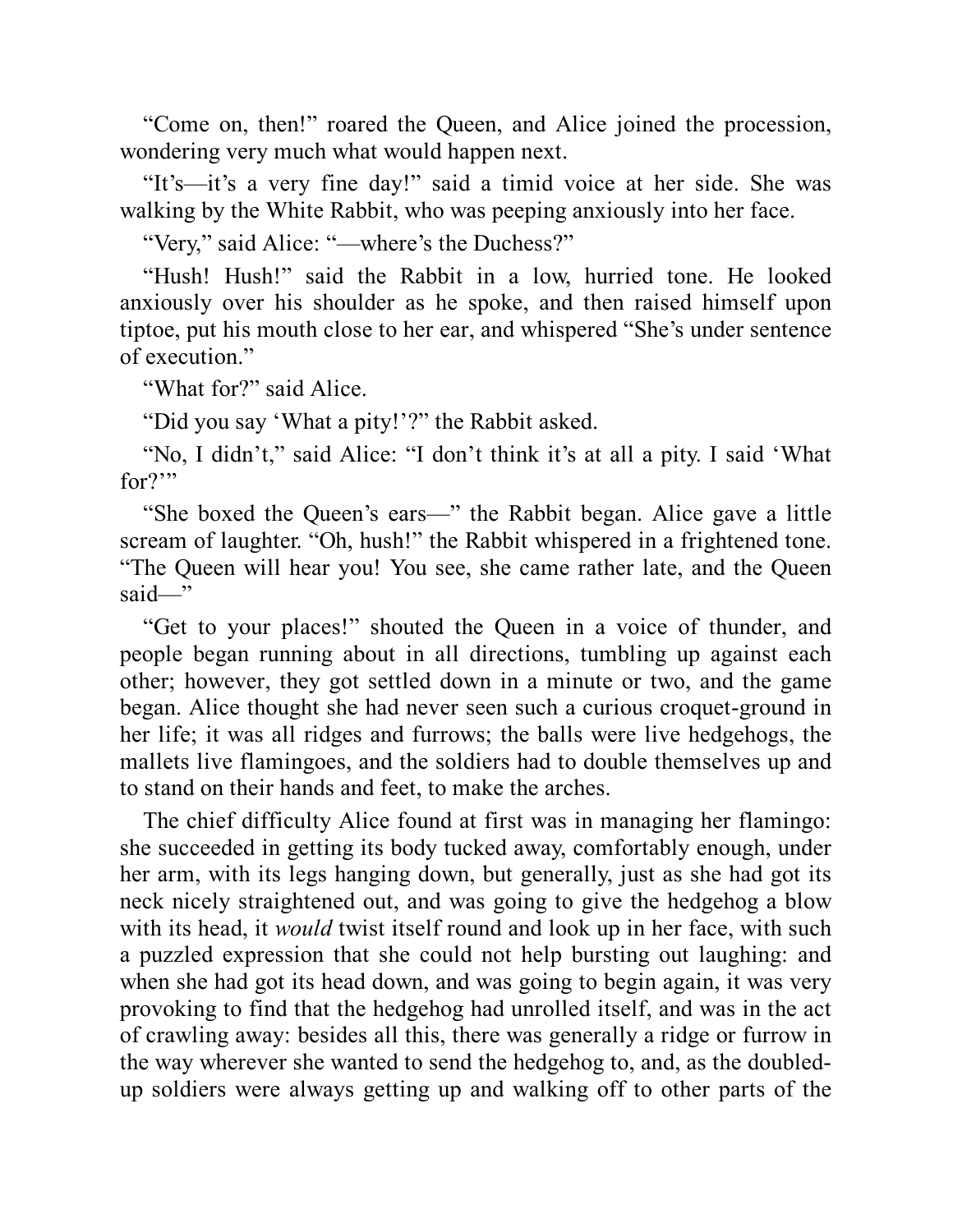"Come on, then!" roared the Queen, and Alice joined the procession, wondering very much what would happen next.

"It's—it's a very fine day!" said a timid voice at her side. She was walking by the White Rabbit, who was peeping anxiously into her face.

"Very," said Alice: "—where's the Duchess?"

"Hush! Hush!" said the Rabbit in a low, hurried tone. He looked anxiously over his shoulder as he spoke, and then raised himself upon tiptoe, put his mouth close to her ear, and whispered "She's under sentence of execution."

"What for?" said Alice.

"Did you say 'What a pity!'?" the Rabbit asked.

"No, I didn't," said Alice: "I don't think it's at all a pity. I said 'What  $for?$ "

"She boxed the Queen's ears—" the Rabbit began. Alice gave a little scream of laughter. "Oh, hush!" the Rabbit whispered in a frightened tone. "The Queen will hear you! You see, she came rather late, and the Queen said—"

"Get to your places!" shouted the Queen in a voice of thunder, and people began running about in all directions, tumbling up against each other; however, they got settled down in a minute or two, and the game began. Alice thought she had never seen such a curious croquet-ground in her life; it was all ridges and furrows; the balls were live hedgehogs, the mallets live flamingoes, and the soldiers had to double themselves up and to stand on their hands and feet, to make the arches.

The chief difficulty Alice found at first was in managing her flamingo: she succeeded in getting its body tucked away, comfortably enough, under her arm, with its legs hanging down, but generally, just as she had got its neck nicely straightened out, and was going to give the hedgehog a blow with its head, it *would* twist itself round and look up in her face, with such a puzzled expression that she could not help bursting out laughing: and when she had got its head down, and was going to begin again, it was very provoking to find that the hedgehog had unrolled itself, and was in the act of crawling away: besides all this, there was generally a ridge or furrow in the way wherever she wanted to send the hedgehog to, and, as the doubledup soldiers were always getting up and walking off to other parts of the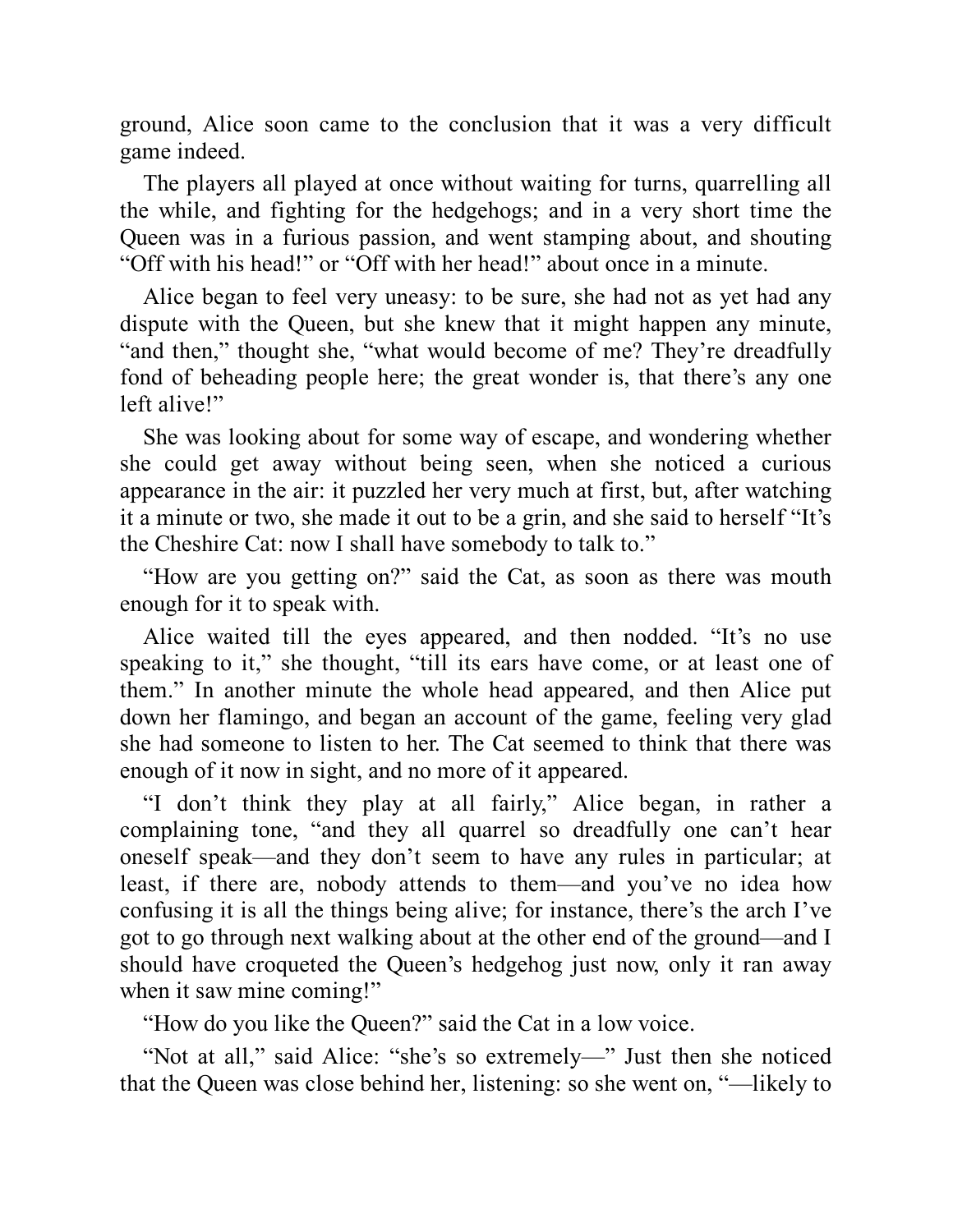ground, Alice soon came to the conclusion that it was a very difficult game indeed.

The players all played at once without waiting for turns, quarrelling all the while, and fighting for the hedgehogs; and in a very short time the Queen was in a furious passion, and went stamping about, and shouting "Off with his head!" or "Off with her head!" about once in a minute.

Alice began to feel very uneasy: to be sure, she had not as yet had any dispute with the Queen, but she knew that it might happen any minute, "and then," thought she, "what would become of me? They're dreadfully fond of beheading people here; the great wonder is, that there's any one left alive!"

She was looking about for some way of escape, and wondering whether she could get away without being seen, when she noticed a curious appearance in the air: it puzzled her very much at first, but, after watching it a minute or two, she made it out to be a grin, and she said to herself "It's the Cheshire Cat: now I shall have somebody to talk to."

"How are you getting on?" said the Cat, as soon as there was mouth enough for it to speak with.

Alice waited till the eyes appeared, and then nodded. "It's no use speaking to it," she thought, "till its ears have come, or at least one of them." In another minute the whole head appeared, and then Alice put down her flamingo, and began an account of the game, feeling very glad she had someone to listen to her. The Cat seemed to think that there was enough of it now in sight, and no more of it appeared.

"I don't think they play at all fairly," Alice began, in rather a complaining tone, "and they all quarrel so dreadfully one can't hear oneself speak—and they don't seem to have any rules in particular; at least, if there are, nobody attends to them—and you've no idea how confusing it is all the things being alive; for instance, there's the arch I've got to go through next walking about at the other end of the ground—and I should have croqueted the Queen's hedgehog just now, only it ran away when it saw mine coming!"

"How do you like the Queen?" said the Cat in a low voice.

"Not at all," said Alice: "she's so extremely—" Just then she noticed that the Queen was close behind her, listening: so she went on, "—likely to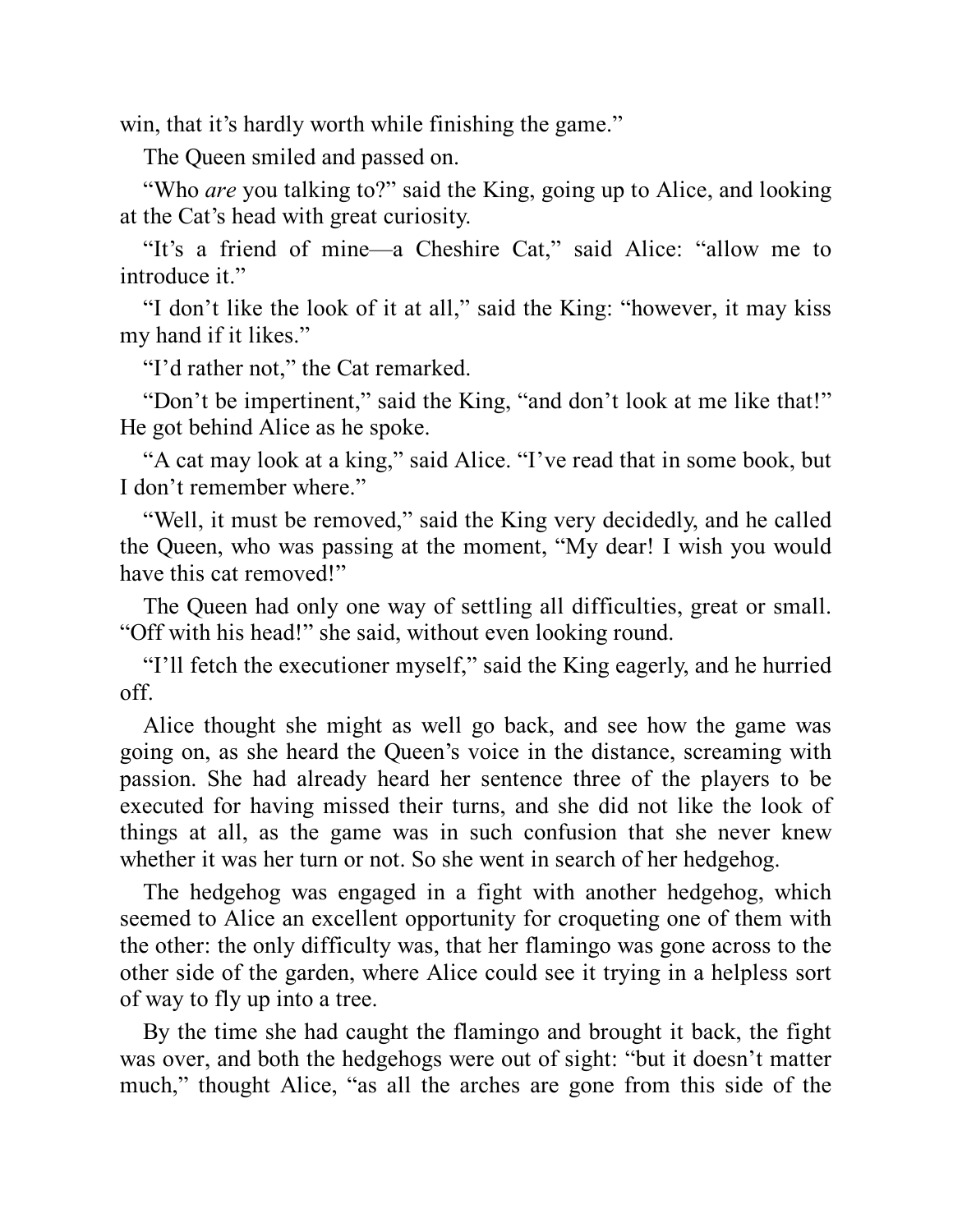win, that it's hardly worth while finishing the game."

The Queen smiled and passed on.

"Who *are* you talking to?" said the King, going up to Alice, and looking at the Cat's head with great curiosity.

"It's a friend of mine—a Cheshire Cat," said Alice: "allow me to introduce it."

"I don't like the look of it at all," said the King: "however, it may kiss my hand if it likes."

"I'd rather not," the Cat remarked.

"Don't be impertinent," said the King, "and don't look at me like that!" He got behind Alice as he spoke.

"A cat may look at a king," said Alice. "I've read that in some book, but I don't remember where."

"Well, it must be removed," said the King very decidedly, and he called the Queen, who was passing at the moment, "My dear! I wish you would have this cat removed!"

The Queen had only one way of settling all difficulties, great or small. "Off with his head!" she said, without even looking round.

"I'll fetch the executioner myself," said the King eagerly, and he hurried off.

Alice thought she might as well go back, and see how the game was going on, as she heard the Queen's voice in the distance, screaming with passion. She had already heard her sentence three of the players to be executed for having missed their turns, and she did not like the look of things at all, as the game was in such confusion that she never knew whether it was her turn or not. So she went in search of her hedgehog.

The hedgehog was engaged in a fight with another hedgehog, which seemed to Alice an excellent opportunity for croqueting one of them with the other: the only difficulty was, that her flamingo was gone across to the other side of the garden, where Alice could see it trying in a helpless sort of way to fly up into a tree.

By the time she had caught the flamingo and brought it back, the fight was over, and both the hedgehogs were out of sight: "but it doesn't matter much," thought Alice, "as all the arches are gone from this side of the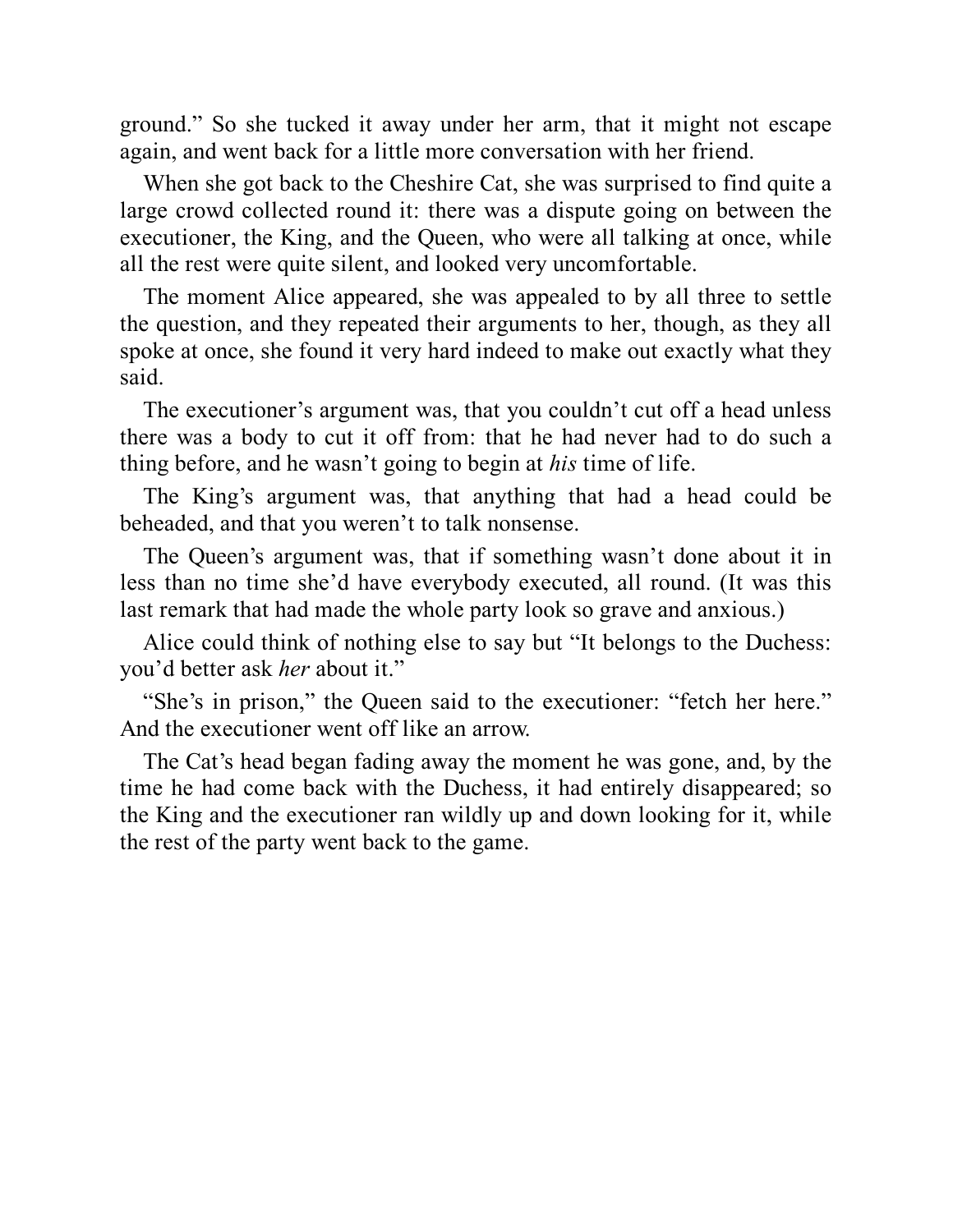ground." So she tucked it away under her arm, that it might not escape again, and went back for a little more conversation with her friend.

When she got back to the Cheshire Cat, she was surprised to find quite a large crowd collected round it: there was a dispute going on between the executioner, the King, and the Queen, who were all talking at once, while all the rest were quite silent, and looked very uncomfortable.

The moment Alice appeared, she was appealed to by all three to settle the question, and they repeated their arguments to her, though, as they all spoke at once, she found it very hard indeed to make out exactly what they said.

The executioner's argument was, that you couldn't cut off a head unless there was a body to cut it off from: that he had never had to do such a thing before, and he wasn't going to begin at *his* time of life.

The King's argument was, that anything that had a head could be beheaded, and that you weren't to talk nonsense.

The Queen's argument was, that if something wasn't done about it in less than no time she'd have everybody executed, all round. (It was this last remark that had made the whole party look so grave and anxious.)

Alice could think of nothing else to say but "It belongs to the Duchess: you'd better ask *her* about it."

"She's in prison," the Queen said to the executioner: "fetch her here." And the executioner went off like an arrow.

The Cat's head began fading away the moment he was gone, and, by the time he had come back with the Duchess, it had entirely disappeared; so the King and the executioner ran wildly up and down looking for it, while the rest of the party went back to the game.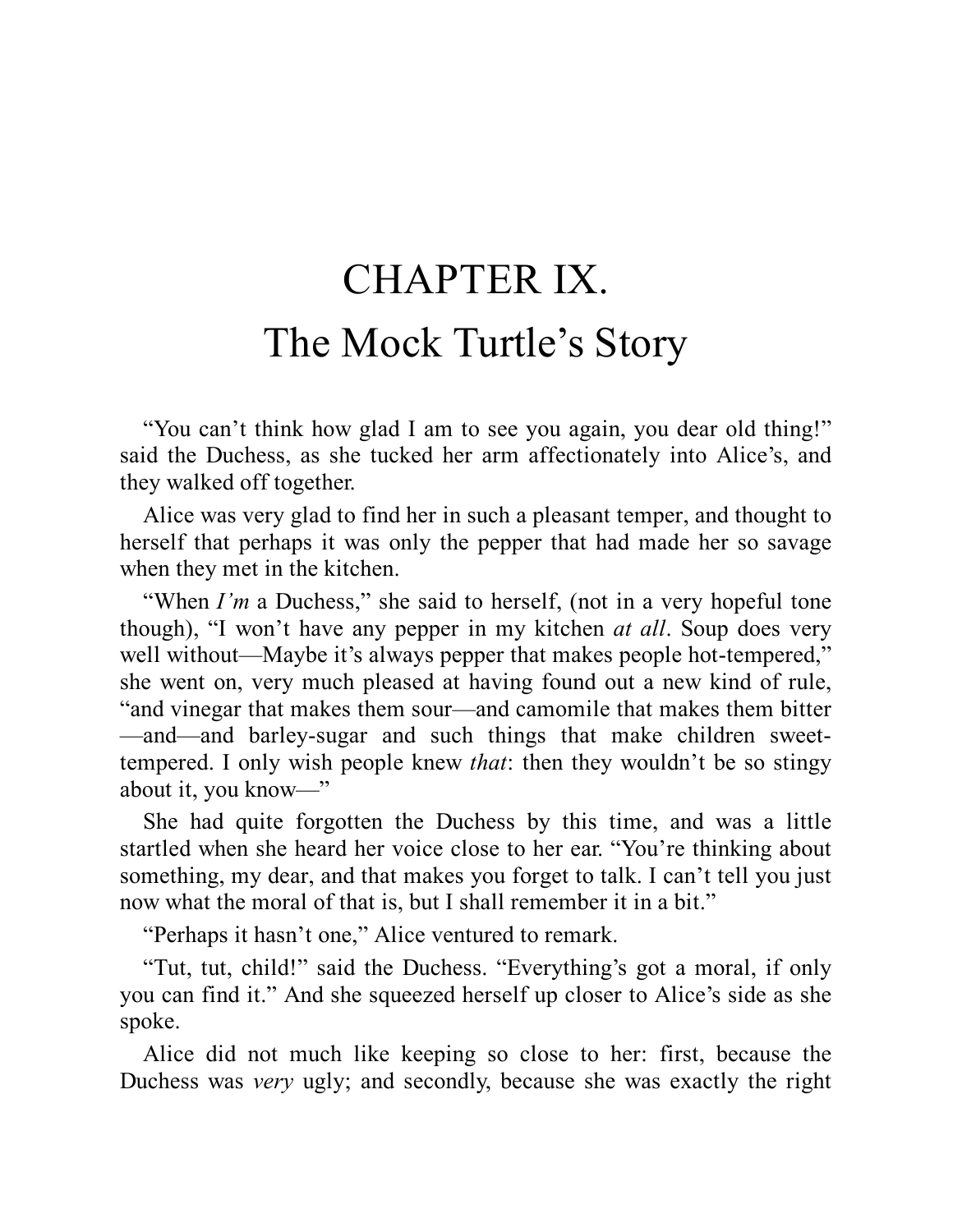# CHAPTER IX. The Mock Turtle's Story

"You can't think how glad I am to see you again, you dear old thing!" said the Duchess, as she tucked her arm affectionately into Alice's, and they walked off together.

Alice was very glad to find her in such a pleasant temper, and thought to herself that perhaps it was only the pepper that had made her so savage when they met in the kitchen.

"When *I'm* a Duchess," she said to herself, (not in a very hopeful tone though), "I won't have any pepper in my kitchen *at all*. Soup does very well without—Maybe it's always pepper that makes people hot-tempered," she went on, very much pleased at having found out a new kind of rule, "and vinegar that makes them sour—and camomile that makes them bitter —and—and barley-sugar and such things that make children sweettempered. I only wish people knew *that*: then they wouldn't be so stingy about it, you know—"

She had quite forgotten the Duchess by this time, and was a little startled when she heard her voice close to her ear. "You're thinking about something, my dear, and that makes you forget to talk. I can't tell you just now what the moral of that is, but I shall remember it in a bit."

"Perhaps it hasn't one," Alice ventured to remark.

"Tut, tut, child!" said the Duchess. "Everything's got a moral, if only you can find it." And she squeezed herself up closer to Alice's side as she spoke.

Alice did not much like keeping so close to her: first, because the Duchess was *very* ugly; and secondly, because she was exactly the right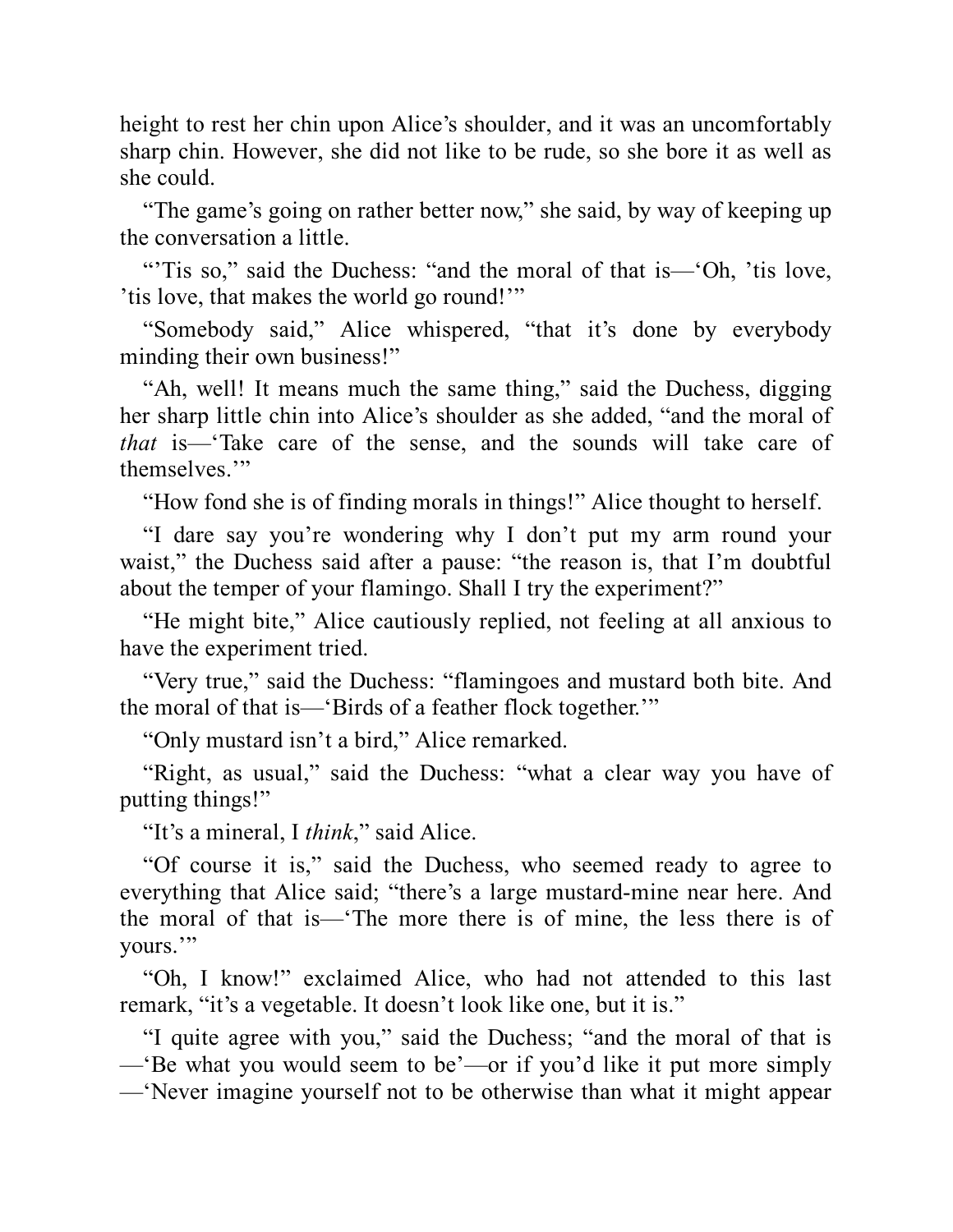height to rest her chin upon Alice's shoulder, and it was an uncomfortably sharp chin. However, she did not like to be rude, so she bore it as well as she could.

"The game's going on rather better now," she said, by way of keeping up the conversation a little.

"Tis so," said the Duchess: "and the moral of that is—'Oh, 'tis love, 'tis love, that makes the world go round!'"

"Somebody said," Alice whispered, "that it's done by everybody minding their own business!"

"Ah, well! It means much the same thing," said the Duchess, digging her sharp little chin into Alice's shoulder as she added, "and the moral of *that* is—'Take care of the sense, and the sounds will take care of themselves.'"

"How fond she is of finding morals in things!" Alice thought to herself.

"I dare say you're wondering why I don't put my arm round your waist," the Duchess said after a pause: "the reason is, that I'm doubtful about the temper of your flamingo. Shall I try the experiment?"

"He might bite," Alice cautiously replied, not feeling at all anxious to have the experiment tried.

"Very true," said the Duchess: "flamingoes and mustard both bite. And the moral of that is—'Birds of a feather flock together.'"

"Only mustard isn't a bird," Alice remarked.

"Right, as usual," said the Duchess: "what a clear way you have of putting things!"

"It's a mineral, I *think*," said Alice.

"Of course it is," said the Duchess, who seemed ready to agree to everything that Alice said; "there's a large mustard-mine near here. And the moral of that is—'The more there is of mine, the less there is of yours."

"Oh, I know!" exclaimed Alice, who had not attended to this last remark, "it's a vegetable. It doesn't look like one, but it is."

"I quite agree with you," said the Duchess; "and the moral of that is —'Be what you would seem to be'—or if you'd like it put more simply —'Never imagine yourself not to be otherwise than what it might appear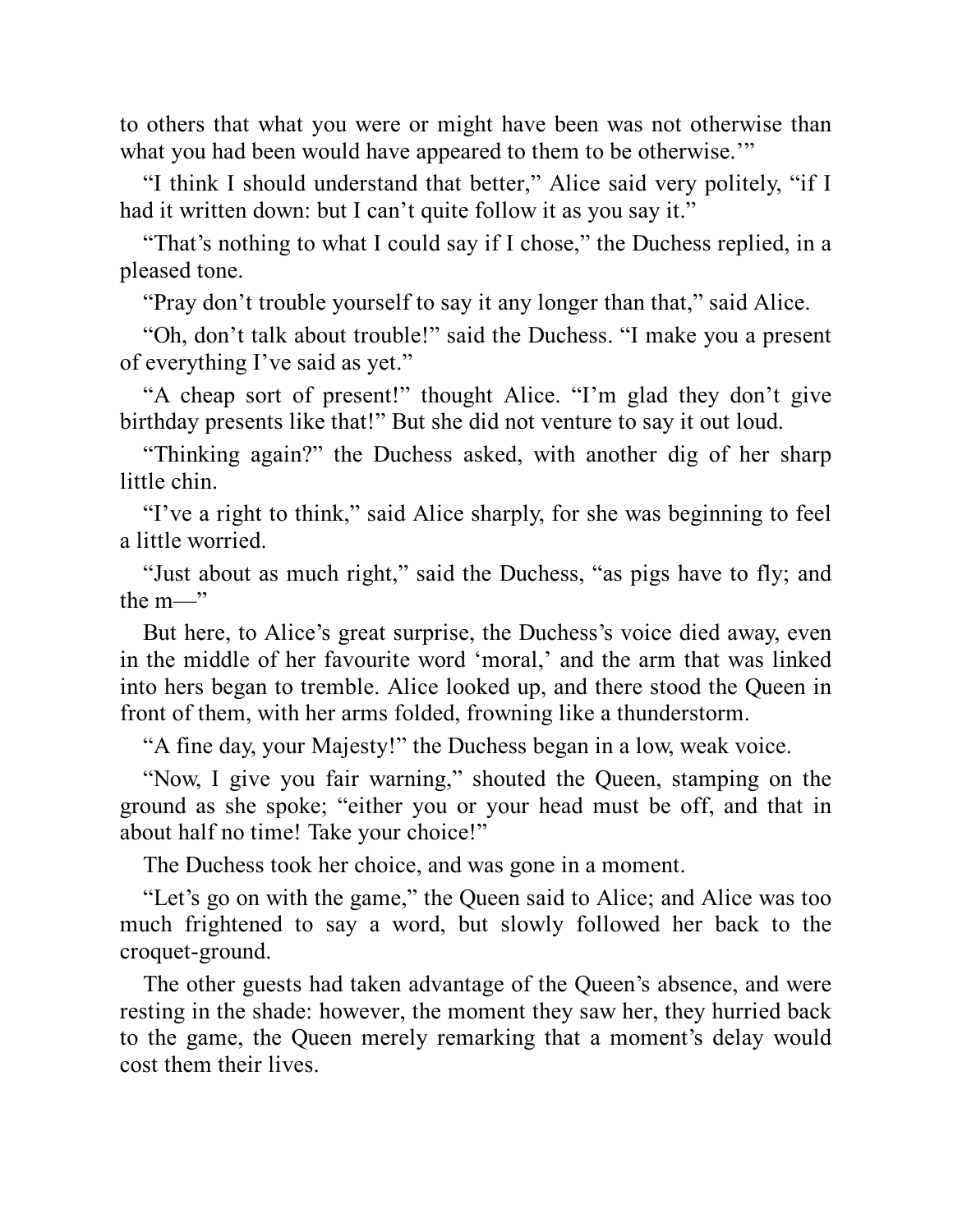to others that what you were or might have been was not otherwise than what you had been would have appeared to them to be otherwise."

"I think I should understand that better," Alice said very politely, "if I had it written down: but I can't quite follow it as you say it."

"That's nothing to what I could say if I chose," the Duchess replied, in a pleased tone.

"Pray don't trouble yourself to say it any longer than that," said Alice.

"Oh, don't talk about trouble!" said the Duchess. "I make you a present of everything I've said as yet."

"A cheap sort of present!" thought Alice. "I'm glad they don't give birthday presents like that!" But she did not venture to say it out loud.

"Thinking again?" the Duchess asked, with another dig of her sharp little chin.

"I've a right to think," said Alice sharply, for she was beginning to feel a little worried.

"Just about as much right," said the Duchess, "as pigs have to fly; and the m—"

But here, to Alice's great surprise, the Duchess's voice died away, even in the middle of her favourite word 'moral,' and the arm that was linked into hers began to tremble. Alice looked up, and there stood the Queen in front of them, with her arms folded, frowning like a thunderstorm.

"A fine day, your Majesty!" the Duchess began in a low, weak voice.

"Now, I give you fair warning," shouted the Queen, stamping on the ground as she spoke; "either you or your head must be off, and that in about half no time! Take your choice!"

The Duchess took her choice, and was gone in a moment.

"Let's go on with the game," the Queen said to Alice; and Alice was too much frightened to say a word, but slowly followed her back to the croquet-ground.

The other guests had taken advantage of the Queen's absence, and were resting in the shade: however, the moment they saw her, they hurried back to the game, the Queen merely remarking that a moment's delay would cost them their lives.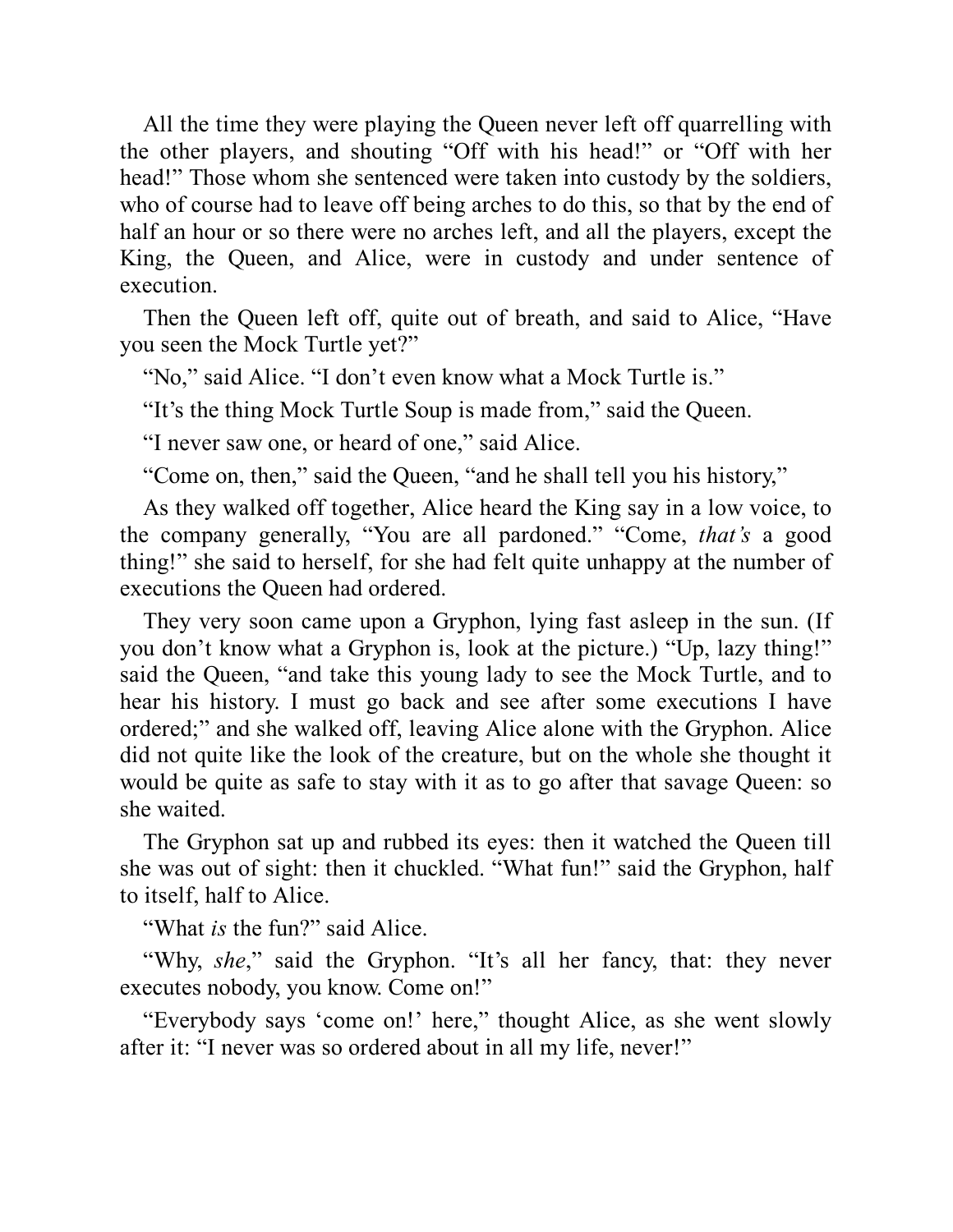All the time they were playing the Queen never left off quarrelling with the other players, and shouting "Off with his head!" or "Off with her head!" Those whom she sentenced were taken into custody by the soldiers, who of course had to leave off being arches to do this, so that by the end of half an hour or so there were no arches left, and all the players, except the King, the Queen, and Alice, were in custody and under sentence of execution.

Then the Queen left off, quite out of breath, and said to Alice, "Have you seen the Mock Turtle yet?"

"No," said Alice. "I don't even know what a Mock Turtle is."

"It's the thing Mock Turtle Soup is made from," said the Queen.

"I never saw one, or heard of one," said Alice.

"Come on, then," said the Queen, "and he shall tell you his history,"

As they walked off together, Alice heard the King say in a low voice, to the company generally, "You are all pardoned." "Come, *that's* a good thing!" she said to herself, for she had felt quite unhappy at the number of executions the Queen had ordered.

They very soon came upon a Gryphon, lying fast asleep in the sun. (If you don't know what a Gryphon is, look at the picture.) "Up, lazy thing!" said the Queen, "and take this young lady to see the Mock Turtle, and to hear his history. I must go back and see after some executions I have ordered;" and she walked off, leaving Alice alone with the Gryphon. Alice did not quite like the look of the creature, but on the whole she thought it would be quite as safe to stay with it as to go after that savage Queen: so she waited.

The Gryphon sat up and rubbed its eyes: then it watched the Queen till she was out of sight: then it chuckled. "What fun!" said the Gryphon, half to itself, half to Alice.

"What *is* the fun?" said Alice.

"Why, *she*," said the Gryphon. "It's all her fancy, that: they never executes nobody, you know. Come on!"

"Everybody says 'come on!' here," thought Alice, as she went slowly after it: "I never was so ordered about in all my life, never!"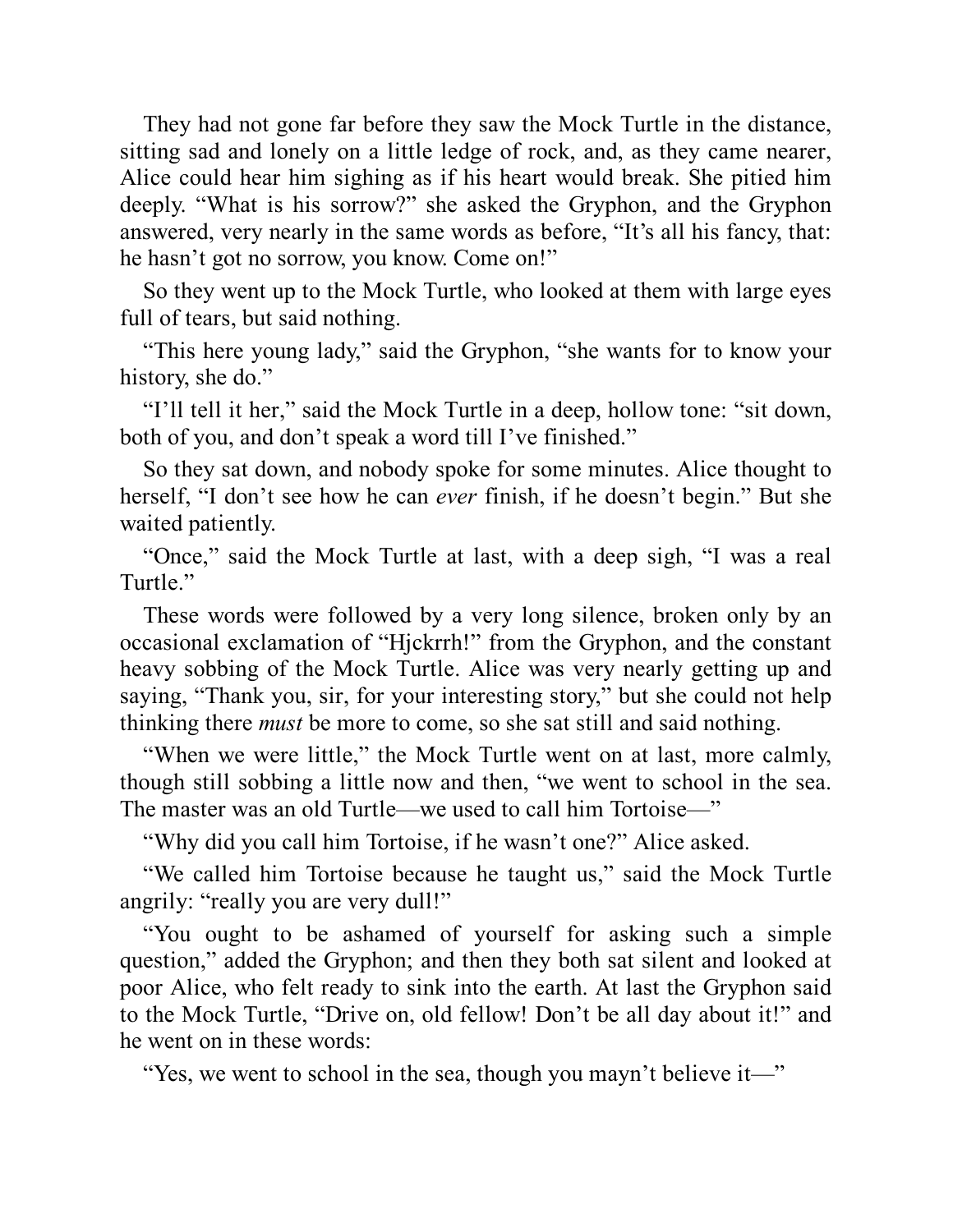They had not gone far before they saw the Mock Turtle in the distance, sitting sad and lonely on a little ledge of rock, and, as they came nearer, Alice could hear him sighing as if his heart would break. She pitied him deeply. "What is his sorrow?" she asked the Gryphon, and the Gryphon answered, very nearly in the same words as before, "It's all his fancy, that: he hasn't got no sorrow, you know. Come on!"

So they went up to the Mock Turtle, who looked at them with large eyes full of tears, but said nothing.

"This here young lady," said the Gryphon, "she wants for to know your history, she do."

"I'll tell it her," said the Mock Turtle in a deep, hollow tone: "sit down, both of you, and don't speak a word till I've finished."

So they sat down, and nobody spoke for some minutes. Alice thought to herself, "I don't see how he can *ever* finish, if he doesn't begin." But she waited patiently.

"Once," said the Mock Turtle at last, with a deep sigh, "I was a real Turtle."

These words were followed by a very long silence, broken only by an occasional exclamation of "Hjckrrh!" from the Gryphon, and the constant heavy sobbing of the Mock Turtle. Alice was very nearly getting up and saying, "Thank you, sir, for your interesting story," but she could not help thinking there *must* be more to come, so she sat still and said nothing.

"When we were little," the Mock Turtle went on at last, more calmly, though still sobbing a little now and then, "we went to school in the sea. The master was an old Turtle—we used to call him Tortoise—"

"Why did you call him Tortoise, if he wasn't one?" Alice asked.

"We called him Tortoise because he taught us," said the Mock Turtle angrily: "really you are very dull!"

"You ought to be ashamed of yourself for asking such a simple question," added the Gryphon; and then they both sat silent and looked at poor Alice, who felt ready to sink into the earth. At last the Gryphon said to the Mock Turtle, "Drive on, old fellow! Don't be all day about it!" and he went on in these words:

"Yes, we went to school in the sea, though you mayn't believe it—"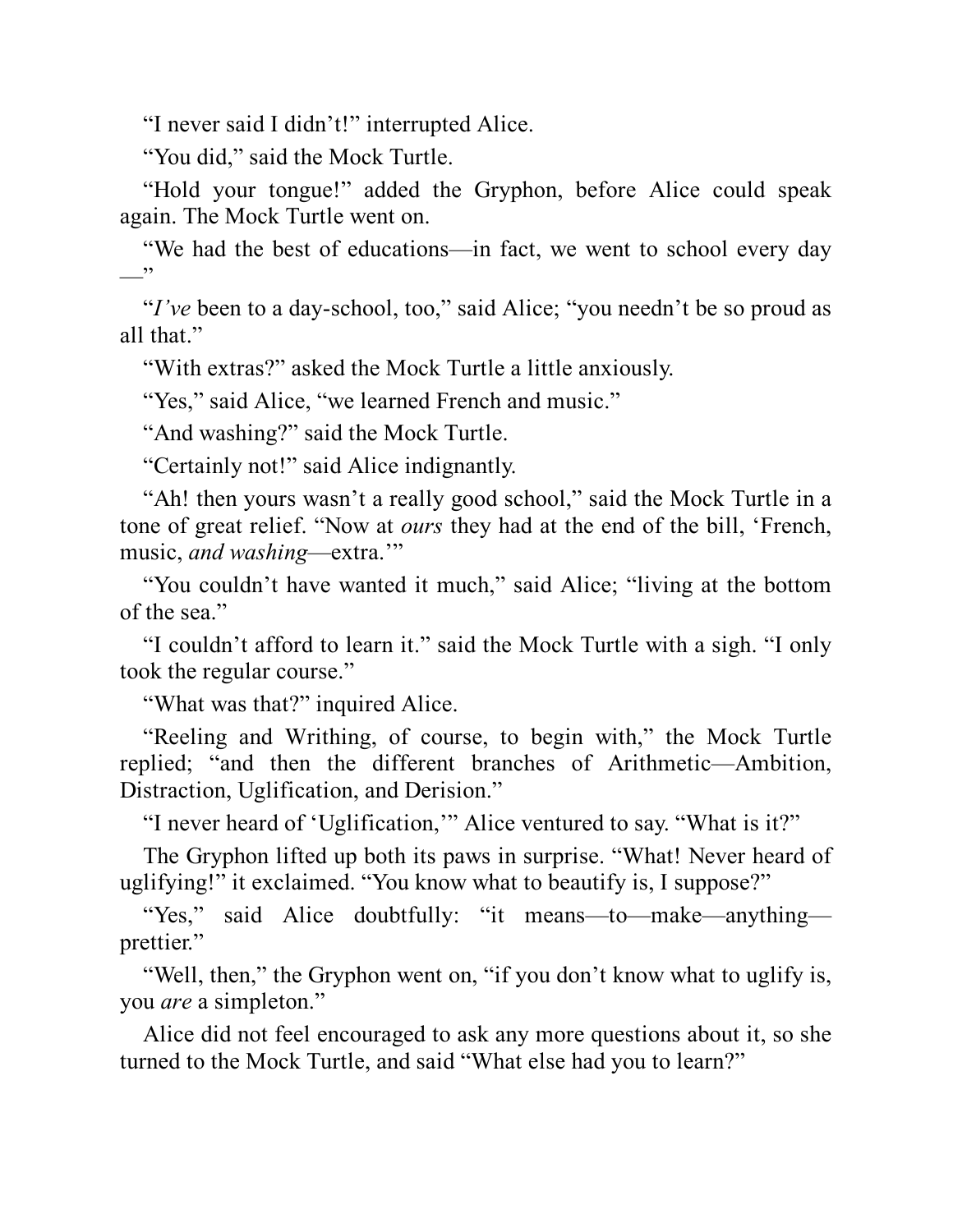"I never said I didn't!" interrupted Alice.

"You did," said the Mock Turtle.

"Hold your tongue!" added the Gryphon, before Alice could speak again. The Mock Turtle went on.

"We had the best of educations—in fact, we went to school every day  $, , ,$ 

"*I've* been to a day-school, too," said Alice; "you needn't be so proud as all that."

"With extras?" asked the Mock Turtle a little anxiously.

"Yes," said Alice, "we learned French and music."

"And washing?" said the Mock Turtle.

"Certainly not!" said Alice indignantly.

"Ah! then yours wasn't a really good school," said the Mock Turtle in a tone of great relief. "Now at *ours* they had at the end of the bill, 'French, music, *and washing*—extra."

"You couldn't have wanted it much," said Alice; "living at the bottom of the sea."

"I couldn't afford to learn it." said the Mock Turtle with a sigh. "I only took the regular course."

"What was that?" inquired Alice.

"Reeling and Writhing, of course, to begin with," the Mock Turtle replied; "and then the different branches of Arithmetic—Ambition, Distraction, Uglification, and Derision."

"I never heard of 'Uglification,'" Alice ventured to say. "What is it?"

The Gryphon lifted up both its paws in surprise. "What! Never heard of uglifying!" it exclaimed. "You know what to beautify is, I suppose?"

"Yes," said Alice doubtfully: "it means—to—make—anything prettier."

"Well, then," the Gryphon went on, "if you don't know what to uglify is, you *are* a simpleton."

Alice did not feel encouraged to ask any more questions about it, so she turned to the Mock Turtle, and said "What else had you to learn?"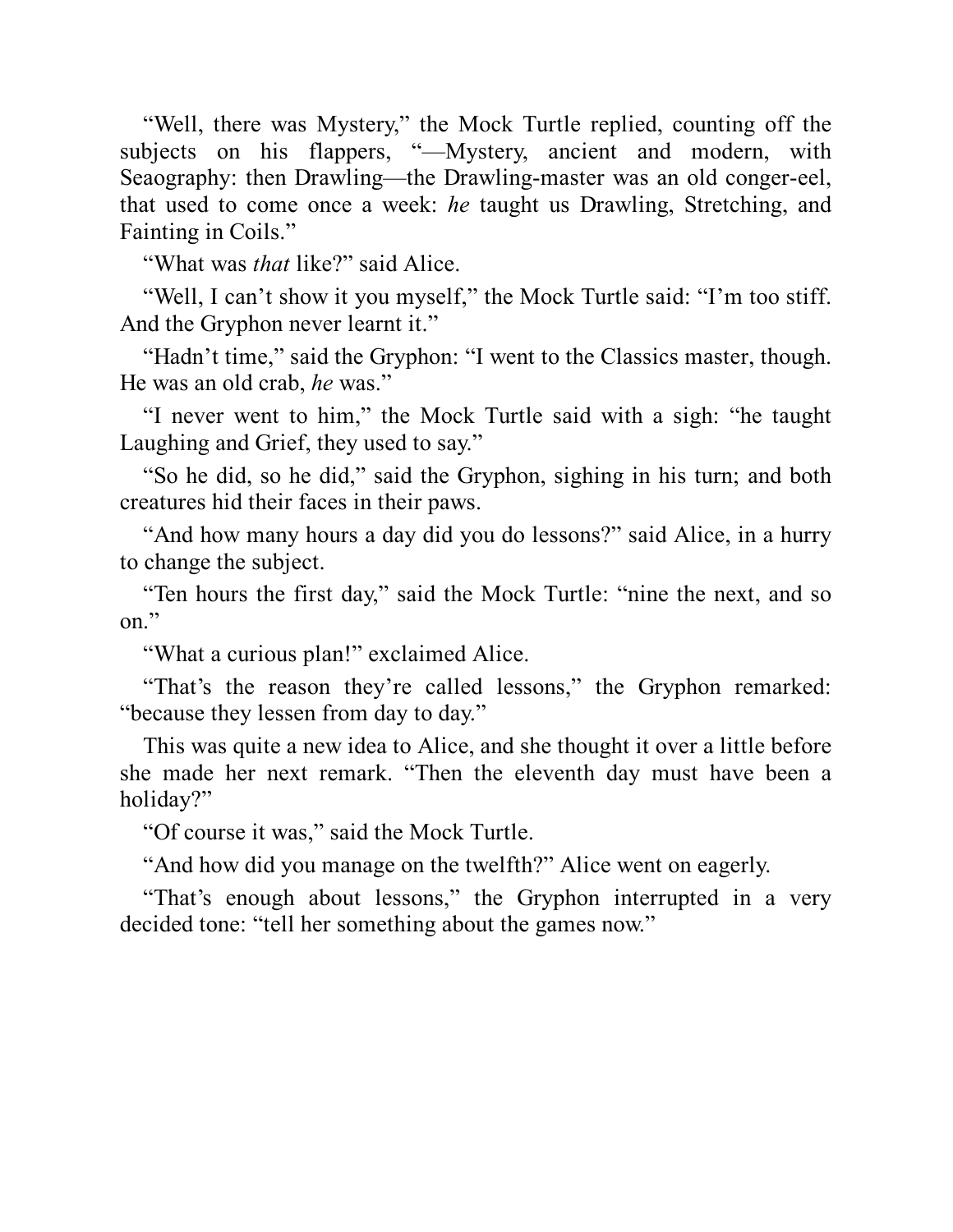"Well, there was Mystery," the Mock Turtle replied, counting off the subjects on his flappers, "—Mystery, ancient and modern, with Seaography: then Drawling—the Drawling-master was an old conger-eel, that used to come once a week: *he* taught us Drawling, Stretching, and Fainting in Coils."

"What was *that* like?" said Alice.

"Well, I can't show it you myself," the Mock Turtle said: "I'm too stiff. And the Gryphon never learnt it."

"Hadn't time," said the Gryphon: "I went to the Classics master, though. He was an old crab, *he* was."

"I never went to him," the Mock Turtle said with a sigh: "he taught Laughing and Grief, they used to say."

"So he did, so he did," said the Gryphon, sighing in his turn; and both creatures hid their faces in their paws.

"And how many hours a day did you do lessons?" said Alice, in a hurry to change the subject.

"Ten hours the first day," said the Mock Turtle: "nine the next, and so on."

"What a curious plan!" exclaimed Alice.

"That's the reason they're called lessons," the Gryphon remarked: "because they lessen from day to day."

This was quite a new idea to Alice, and she thought it over a little before she made her next remark. "Then the eleventh day must have been a holiday?"

"Of course it was," said the Mock Turtle.

"And how did you manage on the twelfth?" Alice went on eagerly.

"That's enough about lessons," the Gryphon interrupted in a very decided tone: "tell her something about the games now."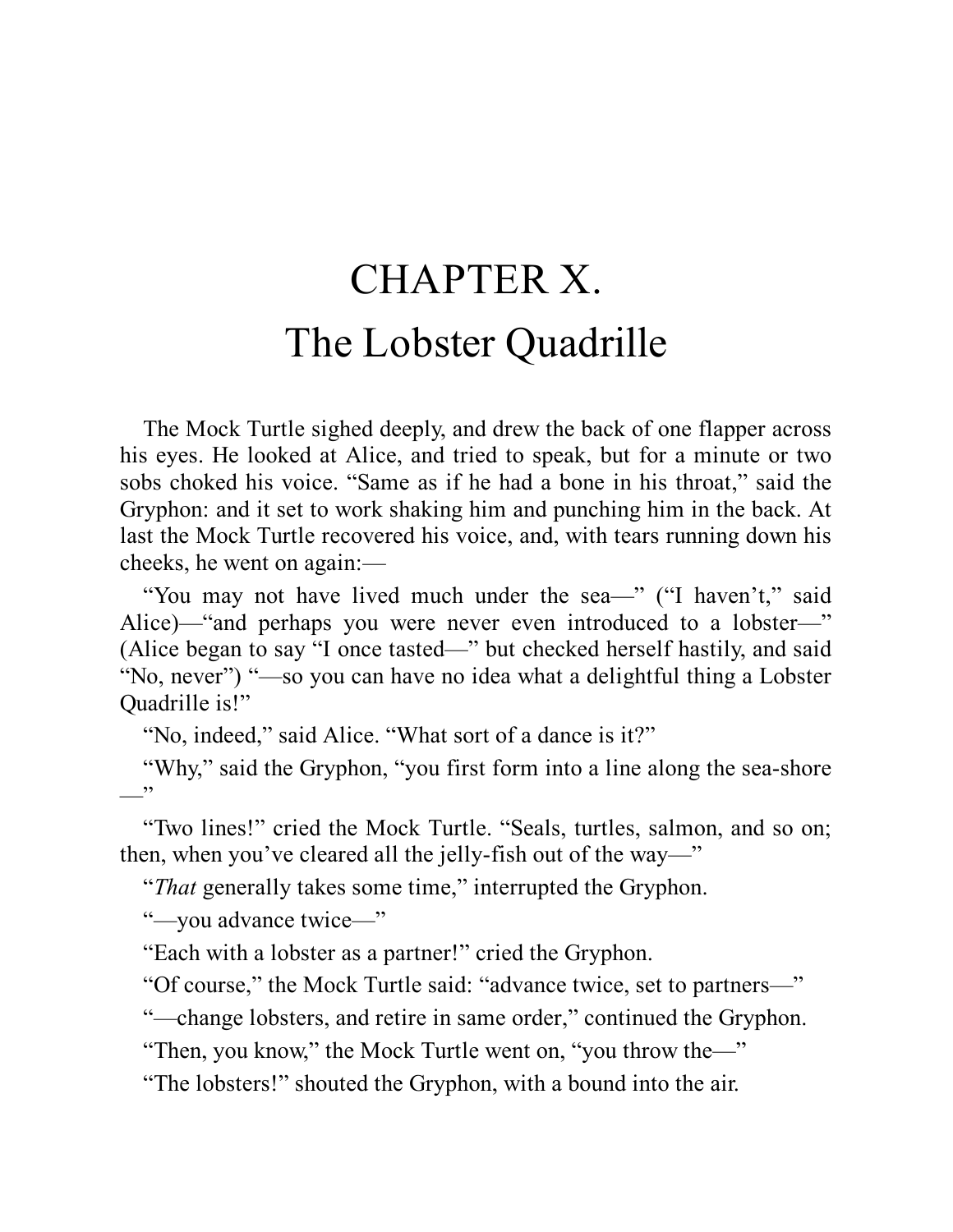#### CHAPTER X. The Lobster Quadrille

The Mock Turtle sighed deeply, and drew the back of one flapper across his eyes. He looked at Alice, and tried to speak, but for a minute or two sobs choked his voice. "Same as if he had a bone in his throat," said the Gryphon: and it set to work shaking him and punching him in the back. At last the Mock Turtle recovered his voice, and, with tears running down his cheeks, he went on again:—

"You may not have lived much under the sea—" ("I haven't," said Alice)—"and perhaps you were never even introduced to a lobster—" (Alice began to say "I once tasted—" but checked herself hastily, and said "No, never") "—so you can have no idea what a delightful thing a Lobster Quadrille is!"

"No, indeed," said Alice. "What sort of a dance is it?"

"Why," said the Gryphon, "you first form into a line along the sea-shore  $\overline{\phantom{a}}$ "

"Two lines!" cried the Mock Turtle. "Seals, turtles, salmon, and so on; then, when you've cleared all the jelly-fish out of the way—"

"*That* generally takes some time," interrupted the Gryphon.

"—you advance twice—"

"Each with a lobster as a partner!" cried the Gryphon.

"Of course," the Mock Turtle said: "advance twice, set to partners—"

"—change lobsters, and retire in same order," continued the Gryphon.

"Then, you know," the Mock Turtle went on, "you throw the—"

"The lobsters!" shouted the Gryphon, with a bound into the air.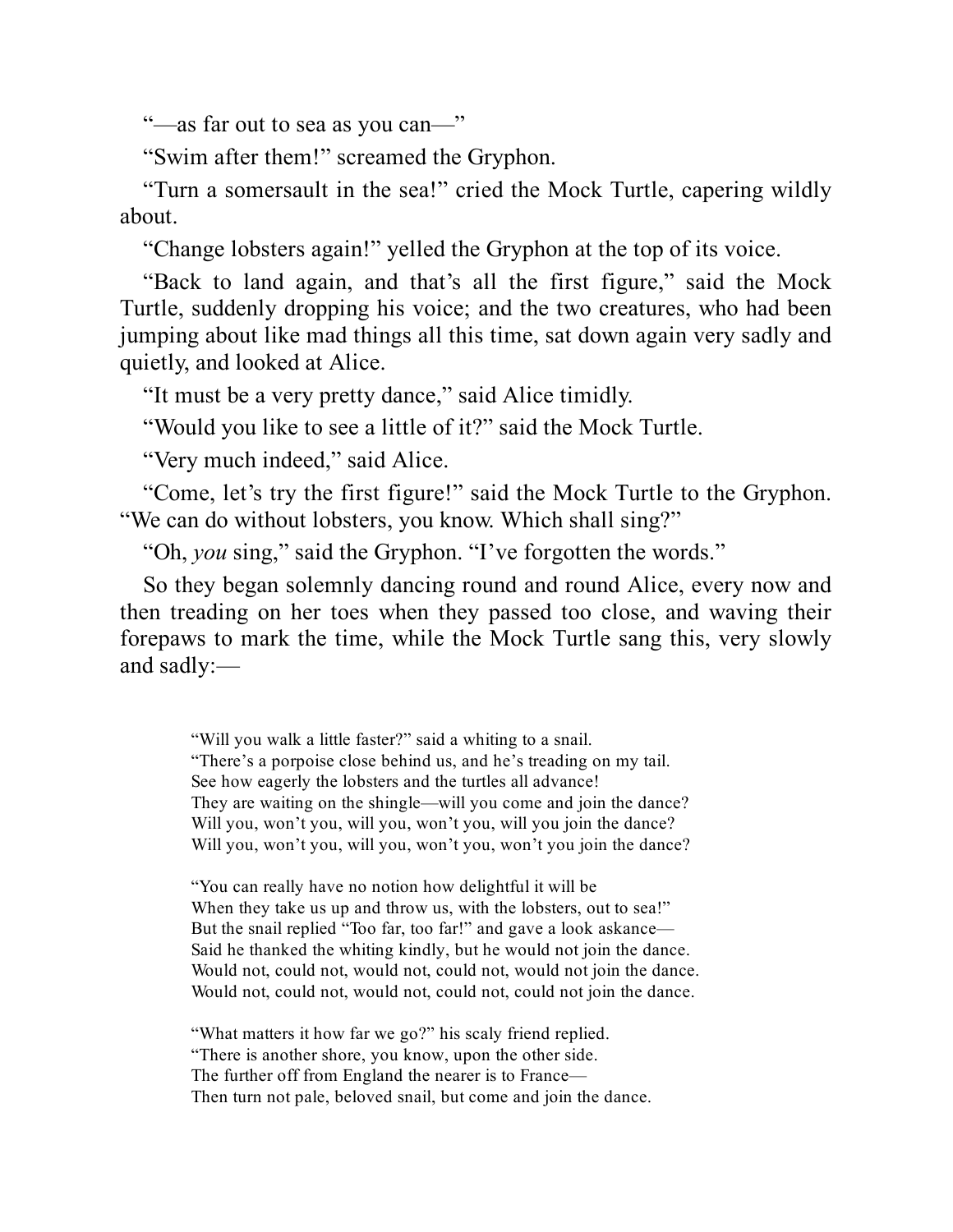"—as far out to sea as you can—"

"Swim after them!" screamed the Gryphon.

"Turn a somersault in the sea!" cried the Mock Turtle, capering wildly about.

"Change lobsters again!" yelled the Gryphon at the top of its voice.

"Back to land again, and that's all the first figure," said the Mock Turtle, suddenly dropping his voice; and the two creatures, who had been jumping about like mad things all this time, sat down again very sadly and quietly, and looked at Alice.

"It must be a very pretty dance," said Alice timidly.

"Would you like to see a little of it?" said the Mock Turtle.

"Very much indeed," said Alice.

"Come, let's try the first figure!" said the Mock Turtle to the Gryphon. "We can do without lobsters, you know. Which shall sing?"

"Oh, *you* sing," said the Gryphon. "I've forgotten the words."

So they began solemnly dancing round and round Alice, every now and then treading on her toes when they passed too close, and waving their forepaws to mark the time, while the Mock Turtle sang this, very slowly and sadly:—

"Will you walk a little faster?" said a whiting to a snail. "There's a porpoise close behind us, and he's treading on my tail. See how eagerly the lobsters and the turtles all advance! They are waiting on the shingle—will you come and join the dance? Will you, won't you, will you, won't you, will you join the dance? Will you, won't you, will you, won't you, won't you join the dance?

"You can really have no notion how delightful it will be When they take us up and throw us, with the lobsters, out to sea!" But the snail replied "Too far, too far!" and gave a look askance— Said he thanked the whiting kindly, but he would not join the dance. Would not, could not, would not, could not, would not join the dance. Would not, could not, would not, could not, could not join the dance.

"What matters it how far we go?" his scaly friend replied. "There is another shore, you know, upon the other side. The further off from England the nearer is to France— Then turn not pale, beloved snail, but come and join the dance.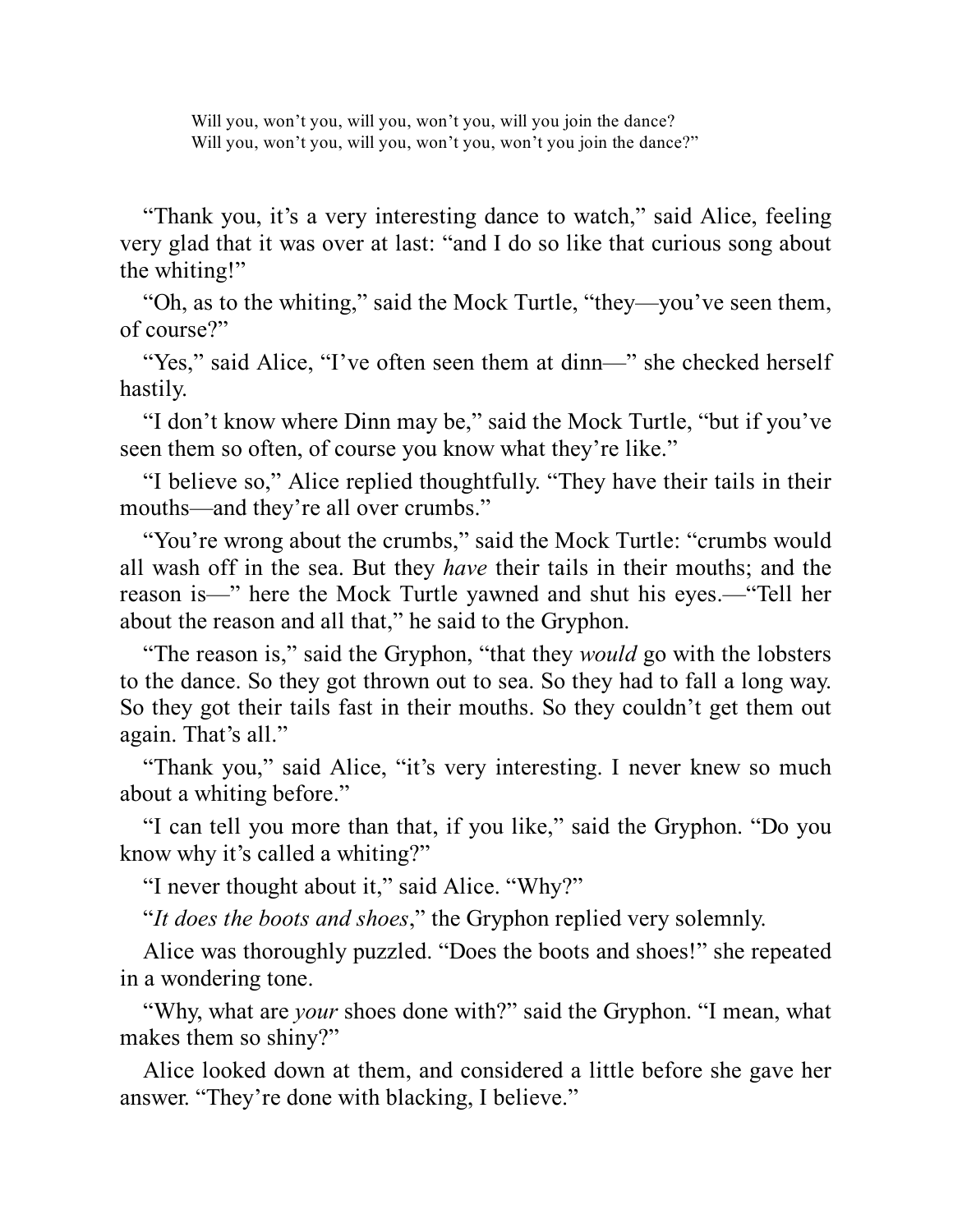Will you, won't you, will you, won't you, will you join the dance? Will you, won't you, will you, won't you, won't you join the dance?"

"Thank you, it's a very interesting dance to watch," said Alice, feeling very glad that it was over at last: "and I do so like that curious song about the whiting!"

"Oh, as to the whiting," said the Mock Turtle, "they—you've seen them, of course?"

"Yes," said Alice, "I've often seen them at dinn-" she checked herself hastily.

"I don't know where Dinn may be," said the Mock Turtle, "but if you've seen them so often, of course you know what they're like."

"I believe so," Alice replied thoughtfully. "They have their tails in their mouths—and they're all over crumbs."

"You're wrong about the crumbs," said the Mock Turtle: "crumbs would all wash off in the sea. But they *have* their tails in their mouths; and the reason is—" here the Mock Turtle yawned and shut his eyes.—"Tell her about the reason and all that," he said to the Gryphon.

"The reason is," said the Gryphon, "that they *would* go with the lobsters to the dance. So they got thrown out to sea. So they had to fall a long way. So they got their tails fast in their mouths. So they couldn't get them out again. That's all."

"Thank you," said Alice, "it's very interesting. I never knew so much about a whiting before."

"I can tell you more than that, if you like," said the Gryphon. "Do you know why it's called a whiting?"

"I never thought about it," said Alice. "Why?"

"*It does the boots and shoes*," the Gryphon replied very solemnly.

Alice was thoroughly puzzled. "Does the boots and shoes!" she repeated in a wondering tone.

"Why, what are *your* shoes done with?" said the Gryphon. "I mean, what makes them so shiny?"

Alice looked down at them, and considered a little before she gave her answer. "They're done with blacking, I believe."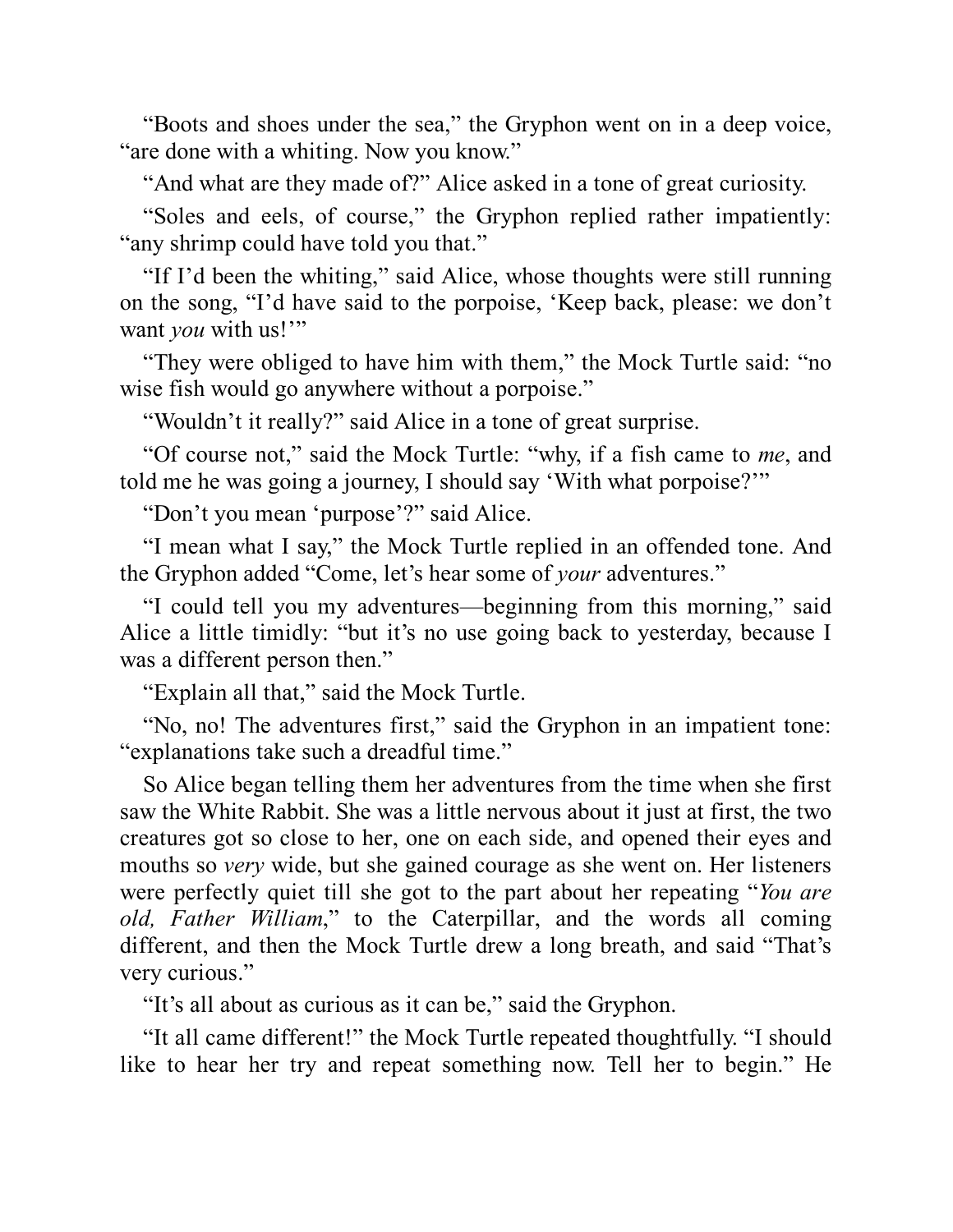"Boots and shoes under the sea," the Gryphon went on in a deep voice, "are done with a whiting. Now you know."

"And what are they made of?" Alice asked in a tone of great curiosity.

"Soles and eels, of course," the Gryphon replied rather impatiently: "any shrimp could have told you that."

"If I'd been the whiting," said Alice, whose thoughts were still running on the song, "I'd have said to the porpoise, 'Keep back, please: we don't want *you* with us!""

"They were obliged to have him with them," the Mock Turtle said: "no wise fish would go anywhere without a porpoise."

"Wouldn't it really?" said Alice in a tone of great surprise.

"Of course not," said the Mock Turtle: "why, if a fish came to *me*, and told me he was going a journey, I should say 'With what porpoise?'"

"Don't you mean 'purpose'?" said Alice.

"I mean what I say," the Mock Turtle replied in an offended tone. And the Gryphon added "Come, let's hear some of *your* adventures."

"I could tell you my adventures—beginning from this morning," said Alice a little timidly: "but it's no use going back to yesterday, because I was a different person then."

"Explain all that," said the Mock Turtle.

"No, no! The adventures first," said the Gryphon in an impatient tone: "explanations take such a dreadful time."

So Alice began telling them her adventures from the time when she first saw the White Rabbit. She was a little nervous about it just at first, the two creatures got so close to her, one on each side, and opened their eyes and mouths so *very* wide, but she gained courage as she went on. Her listeners were perfectly quiet till she got to the part about her repeating "*You are old, Father William*," to the Caterpillar, and the words all coming different, and then the Mock Turtle drew a long breath, and said "That's very curious."

"It's all about as curious as it can be," said the Gryphon.

"It all came different!" the Mock Turtle repeated thoughtfully. "I should like to hear her try and repeat something now. Tell her to begin." He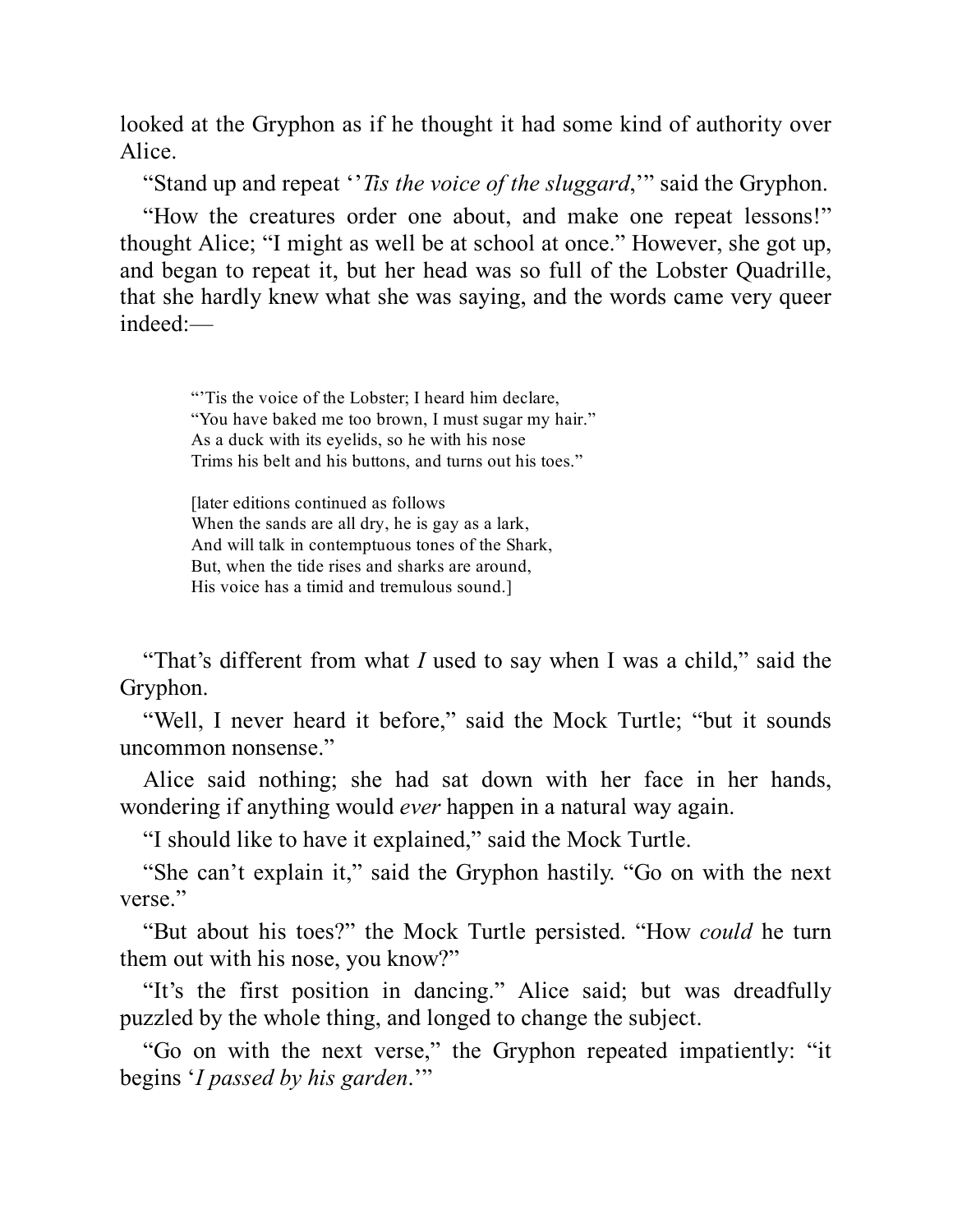looked at the Gryphon as if he thought it had some kind of authority over Alice.

"Stand up and repeat ''*Tis the voice of the sluggard*,'" said the Gryphon.

"How the creatures order one about, and make one repeat lessons!" thought Alice; "I might as well be at school at once." However, she got up, and began to repeat it, but her head was so full of the Lobster Quadrille, that she hardly knew what she was saying, and the words came very queer indeed:—

> "Tis the voice of the Lobster; I heard him declare," "You have baked me too brown, I must sugar my hair." As a duck with its eyelids, so he with his nose Trims his belt and his buttons, and turns out his toes."

[later editions continued as follows When the sands are all dry, he is gay as a lark, And will talk in contemptuous tones of the Shark, But, when the tide rises and sharks are around, His voice has a timid and tremulous sound.]

"That's different from what *I* used to say when I was a child," said the Gryphon.

"Well, I never heard it before," said the Mock Turtle; "but it sounds uncommon nonsense."

Alice said nothing; she had sat down with her face in her hands, wondering if anything would *ever* happen in a natural way again.

"I should like to have it explained," said the Mock Turtle.

"She can't explain it," said the Gryphon hastily. "Go on with the next verse."

"But about his toes?" the Mock Turtle persisted. "How *could* he turn them out with his nose, you know?"

"It's the first position in dancing." Alice said; but was dreadfully puzzled by the whole thing, and longed to change the subject.

"Go on with the next verse," the Gryphon repeated impatiently: "it begins '*I passed by his garden*.'"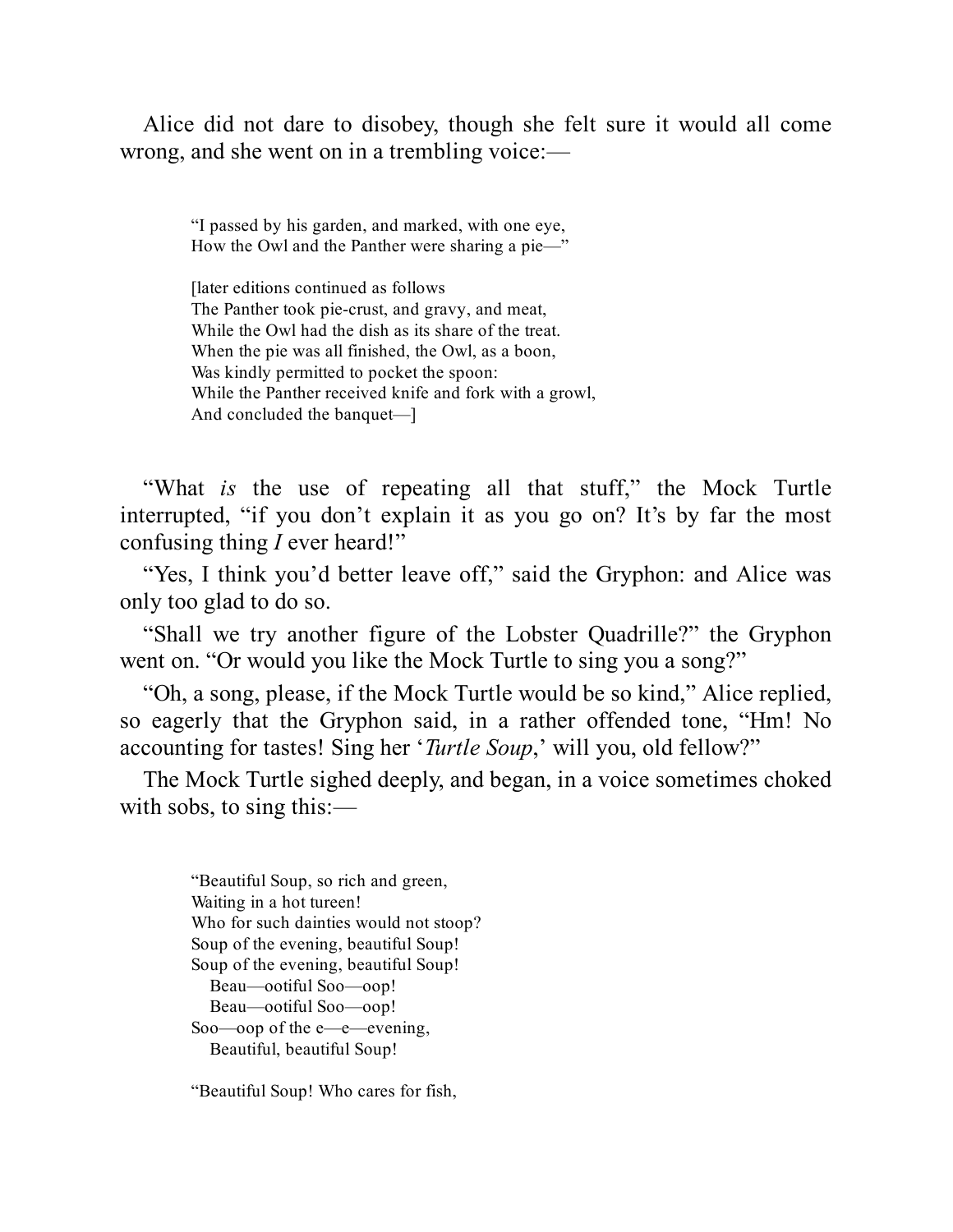Alice did not dare to disobey, though she felt sure it would all come wrong, and she went on in a trembling voice:—

> "I passed by his garden, and marked, with one eye, How the Owl and the Panther were sharing a pie—"

[later editions continued as follows The Panther took pie-crust, and gravy, and meat, While the Owl had the dish as its share of the treat. When the pie was all finished, the Owl, as a boon, Was kindly permitted to pocket the spoon: While the Panther received knife and fork with a growl, And concluded the banquet—]

"What *is* the use of repeating all that stuff," the Mock Turtle interrupted, "if you don't explain it as you go on? It's by far the most confusing thing *I* ever heard!"

"Yes, I think you'd better leave off," said the Gryphon: and Alice was only too glad to do so.

"Shall we try another figure of the Lobster Quadrille?" the Gryphon went on. "Or would you like the Mock Turtle to sing you a song?"

"Oh, a song, please, if the Mock Turtle would be so kind," Alice replied, so eagerly that the Gryphon said, in a rather offended tone, "Hm! No accounting for tastes! Sing her '*Turtle Soup*,' will you, old fellow?"

The Mock Turtle sighed deeply, and began, in a voice sometimes choked with sobs, to sing this:—

> "Beautiful Soup, so rich and green, Waiting in a hot tureen! Who for such dainties would not stoop? Soup of the evening, beautiful Soup! Soup of the evening, beautiful Soup! Beau—ootiful Soo—oop! Beau—ootiful Soo—oop! Soo—oop of the e—e—evening, Beautiful, beautiful Soup!

"Beautiful Soup! Who cares for fish,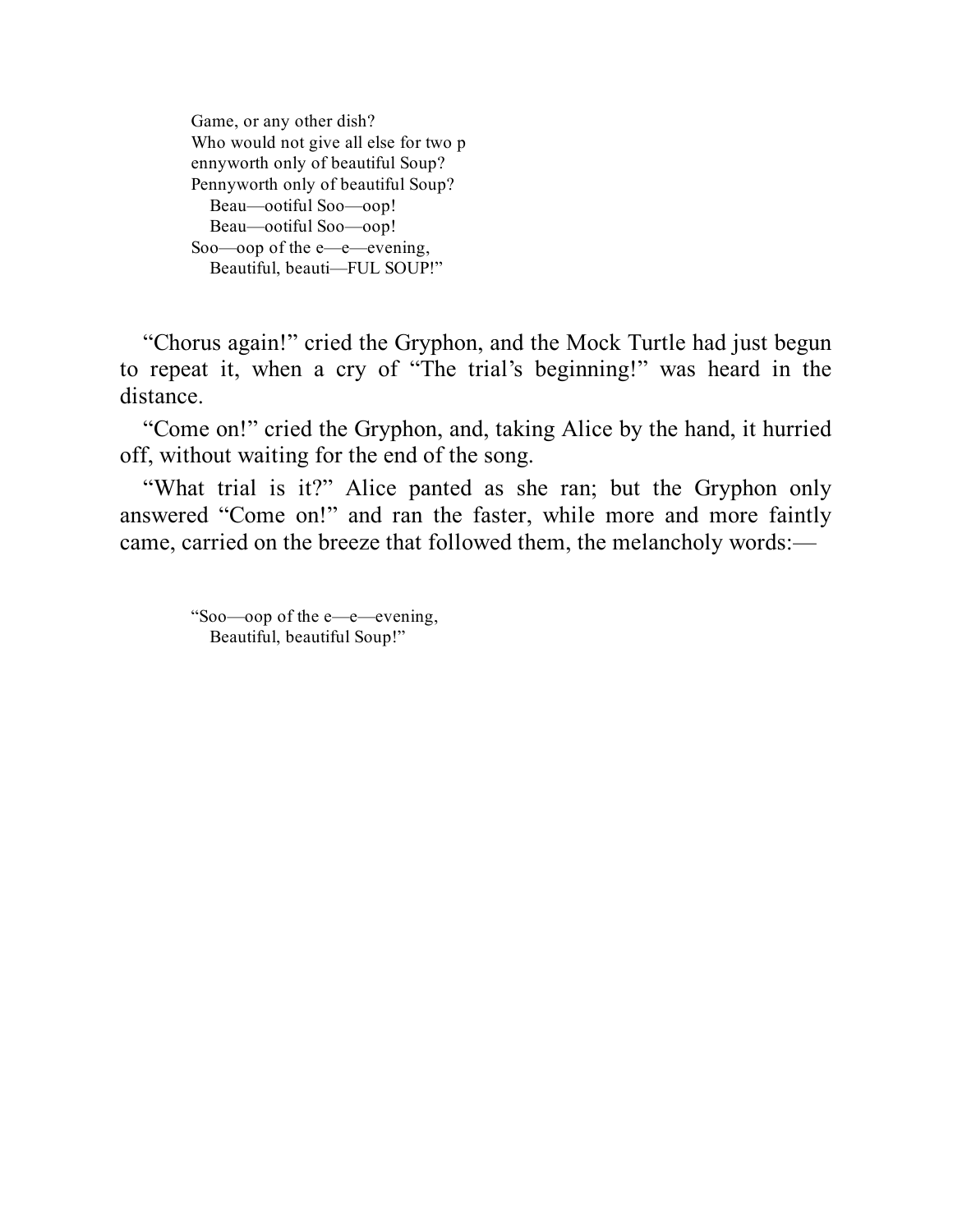Game, or any other dish? Who would not give all else for two p ennyworth only of beautiful Soup? Pennyworth only of beautiful Soup? Beau—ootiful Soo—oop! Beau—ootiful Soo—oop! Soo—oop of the e—e—evening, Beautiful, beauti—FUL SOUP!"

"Chorus again!" cried the Gryphon, and the Mock Turtle had just begun to repeat it, when a cry of "The trial's beginning!" was heard in the distance.

"Come on!" cried the Gryphon, and, taking Alice by the hand, it hurried off, without waiting for the end of the song.

"What trial is it?" Alice panted as she ran; but the Gryphon only answered "Come on!" and ran the faster, while more and more faintly came, carried on the breeze that followed them, the melancholy words:—

> "Soo—oop of the e—e—evening, Beautiful, beautiful Soup!"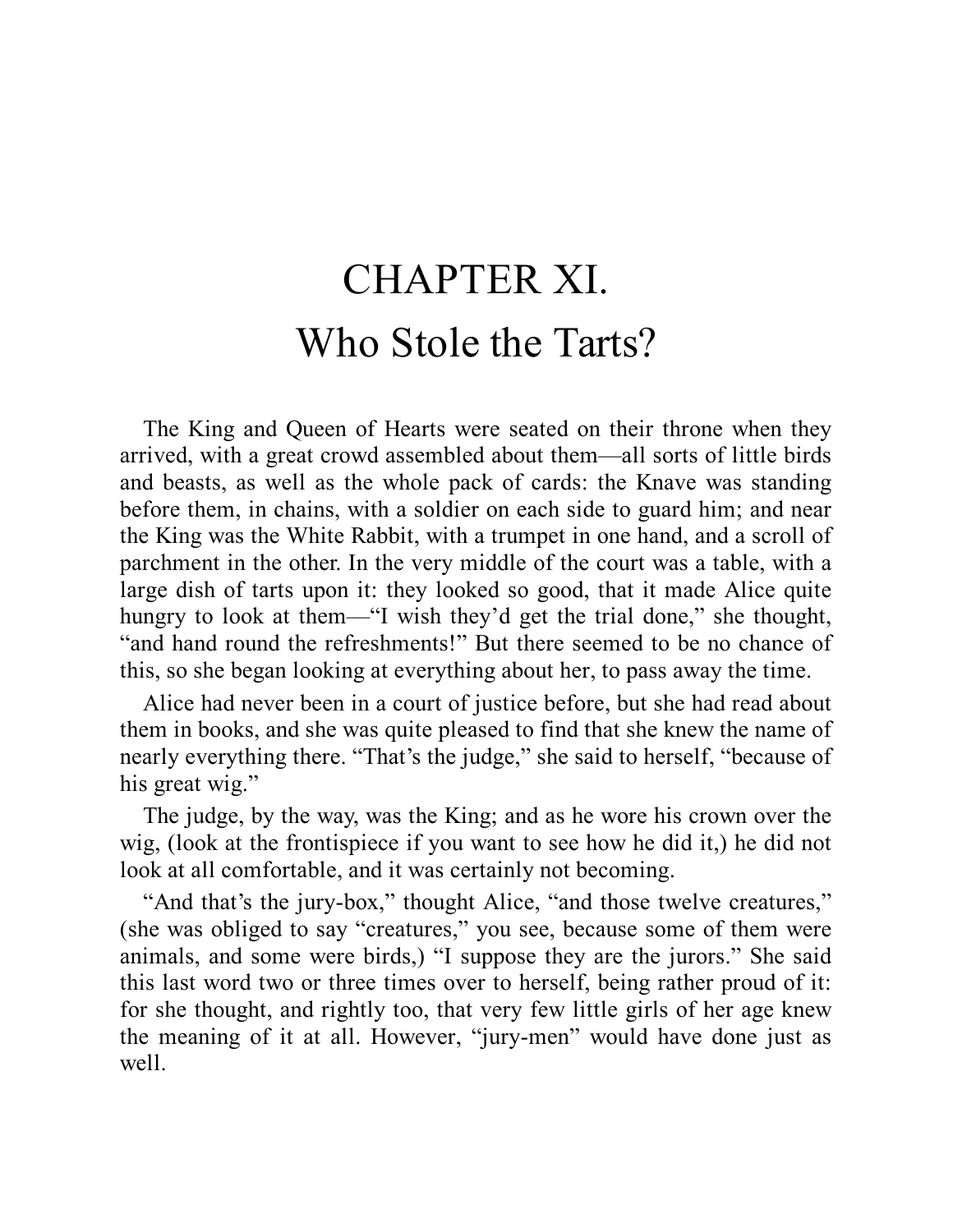## CHAPTER XI. Who Stole the Tarts?

The King and Queen of Hearts were seated on their throne when they arrived, with a great crowd assembled about them—all sorts of little birds and beasts, as well as the whole pack of cards: the Knave was standing before them, in chains, with a soldier on each side to guard him; and near the King was the White Rabbit, with a trumpet in one hand, and a scroll of parchment in the other. In the very middle of the court was a table, with a large dish of tarts upon it: they looked so good, that it made Alice quite hungry to look at them—"I wish they'd get the trial done," she thought, "and hand round the refreshments!" But there seemed to be no chance of this, so she began looking at everything about her, to pass away the time.

Alice had never been in a court of justice before, but she had read about them in books, and she was quite pleased to find that she knew the name of nearly everything there. "That's the judge," she said to herself, "because of his great wig."

The judge, by the way, was the King; and as he wore his crown over the wig, (look at the frontispiece if you want to see how he did it,) he did not look at all comfortable, and it was certainly not becoming.

"And that's the jury-box," thought Alice, "and those twelve creatures," (she was obliged to say "creatures," you see, because some of them were animals, and some were birds,) "I suppose they are the jurors." She said this last word two or three times over to herself, being rather proud of it: for she thought, and rightly too, that very few little girls of her age knew the meaning of it at all. However, "jury-men" would have done just as well.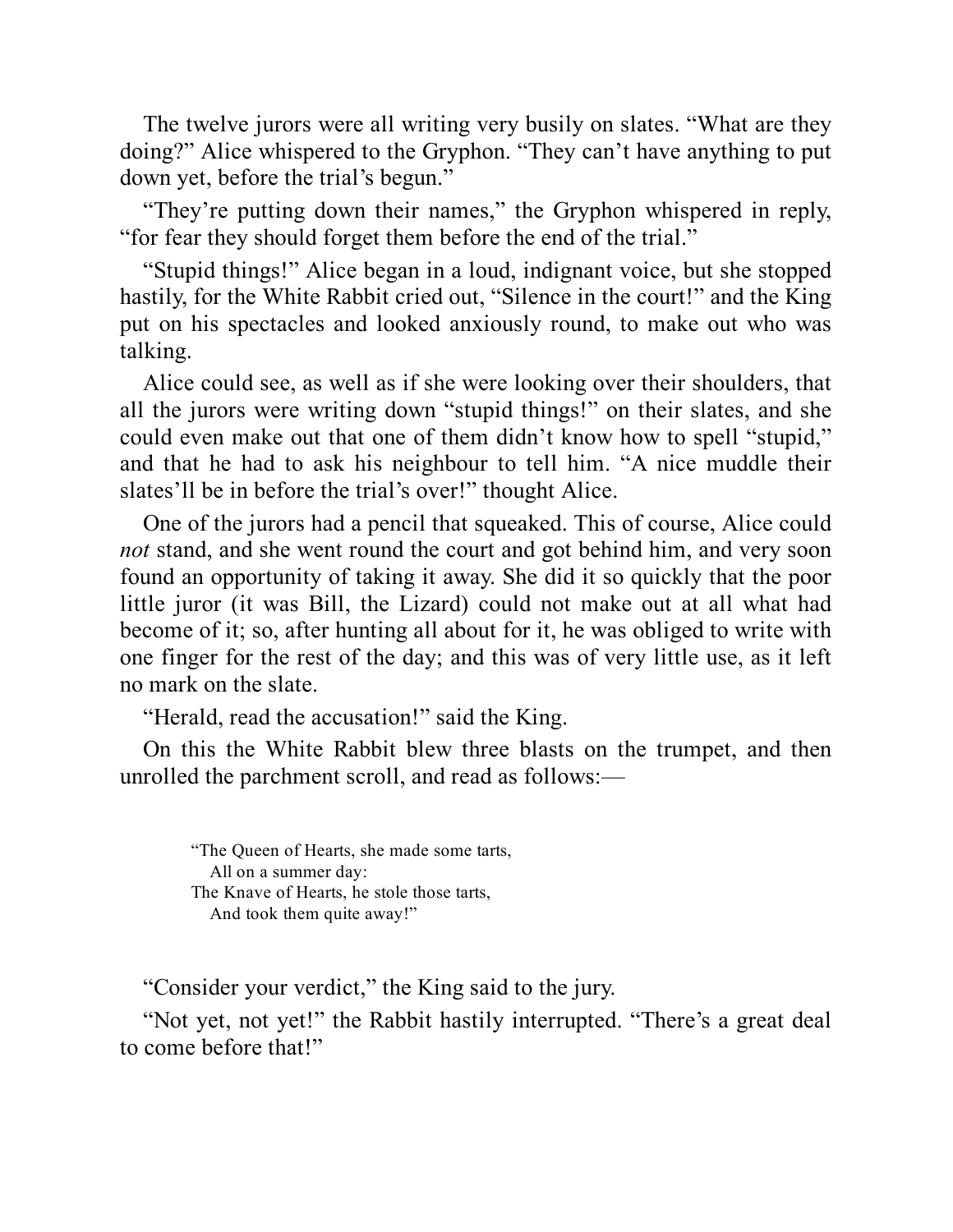The twelve jurors were all writing very busily on slates. "What are they doing?" Alice whispered to the Gryphon. "They can't have anything to put down yet, before the trial's begun."

"They're putting down their names," the Gryphon whispered in reply, "for fear they should forget them before the end of the trial."

"Stupid things!" Alice began in a loud, indignant voice, but she stopped hastily, for the White Rabbit cried out, "Silence in the court!" and the King put on his spectacles and looked anxiously round, to make out who was talking.

Alice could see, as well as if she were looking over their shoulders, that all the jurors were writing down "stupid things!" on their slates, and she could even make out that one of them didn't know how to spell "stupid," and that he had to ask his neighbour to tell him. "A nice muddle their slates'll be in before the trial's over!" thought Alice.

One of the jurors had a pencil that squeaked. This of course, Alice could *not* stand, and she went round the court and got behind him, and very soon found an opportunity of taking it away. She did it so quickly that the poor little juror (it was Bill, the Lizard) could not make out at all what had become of it; so, after hunting all about for it, he was obliged to write with one finger for the rest of the day; and this was of very little use, as it left no mark on the slate.

"Herald, read the accusation!" said the King.

On this the White Rabbit blew three blasts on the trumpet, and then unrolled the parchment scroll, and read as follows:—

> "The Queen of Hearts, she made some tarts, All on a summer day: The Knave of Hearts, he stole those tarts, And took them quite away!"

"Consider your verdict," the King said to the jury.

"Not yet, not yet!" the Rabbit hastily interrupted. "There's a great deal to come before that!"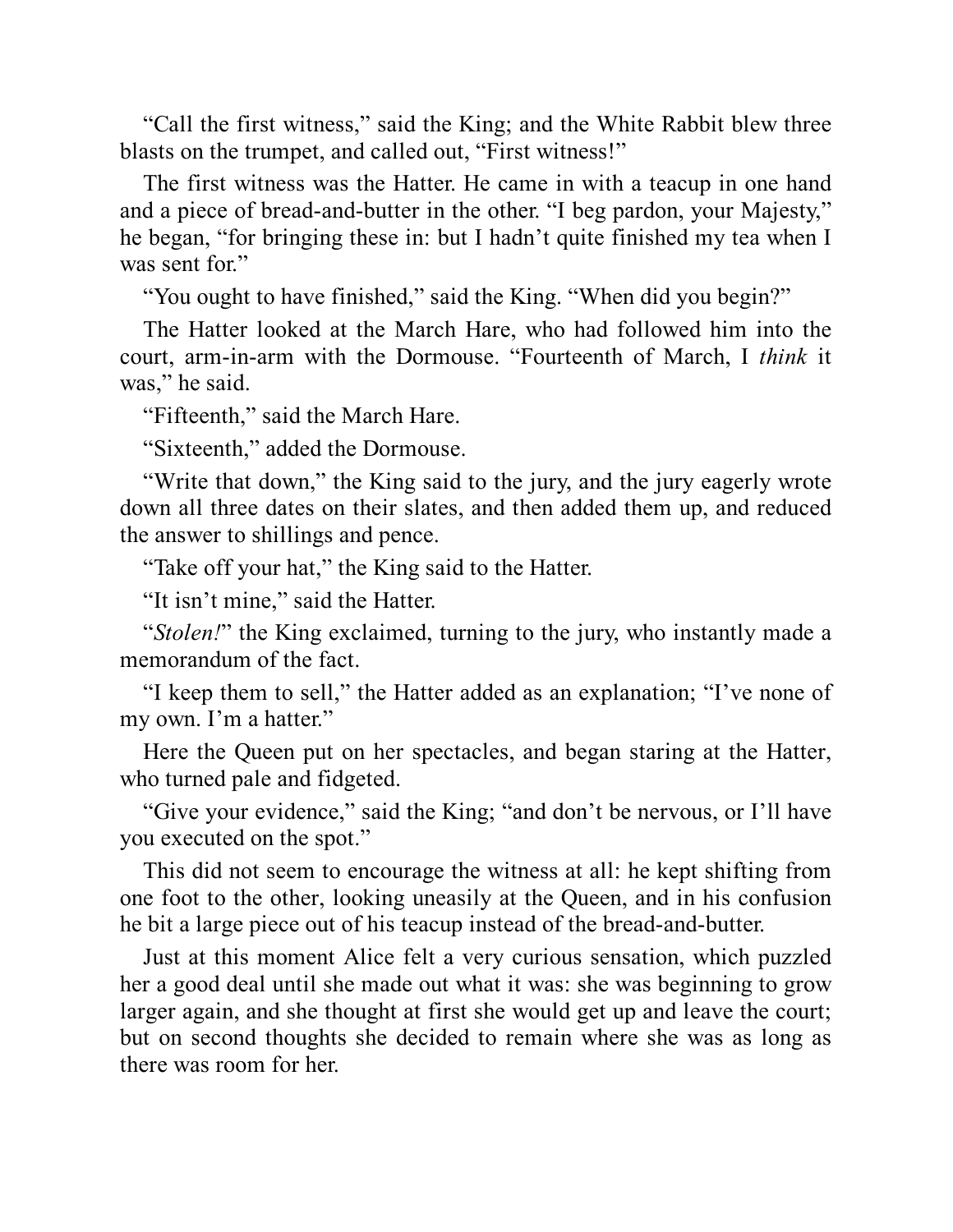"Call the first witness," said the King; and the White Rabbit blew three blasts on the trumpet, and called out, "First witness!"

The first witness was the Hatter. He came in with a teacup in one hand and a piece of bread-and-butter in the other. "I beg pardon, your Majesty," he began, "for bringing these in: but I hadn't quite finished my tea when I was sent for."

"You ought to have finished," said the King. "When did you begin?"

The Hatter looked at the March Hare, who had followed him into the court, arm-in-arm with the Dormouse. "Fourteenth of March, I *think* it was," he said.

"Fifteenth," said the March Hare.

"Sixteenth," added the Dormouse.

"Write that down," the King said to the jury, and the jury eagerly wrote down all three dates on their slates, and then added them up, and reduced the answer to shillings and pence.

"Take off your hat," the King said to the Hatter.

"It isn't mine," said the Hatter.

"*Stolen!*" the King exclaimed, turning to the jury, who instantly made a memorandum of the fact.

"I keep them to sell," the Hatter added as an explanation; "I've none of my own. I'm a hatter."

Here the Queen put on her spectacles, and began staring at the Hatter, who turned pale and fidgeted.

"Give your evidence," said the King; "and don't be nervous, or I'll have you executed on the spot."

This did not seem to encourage the witness at all: he kept shifting from one foot to the other, looking uneasily at the Queen, and in his confusion he bit a large piece out of his teacup instead of the bread-and-butter.

Just at this moment Alice felt a very curious sensation, which puzzled her a good deal until she made out what it was: she was beginning to grow larger again, and she thought at first she would get up and leave the court; but on second thoughts she decided to remain where she was as long as there was room for her.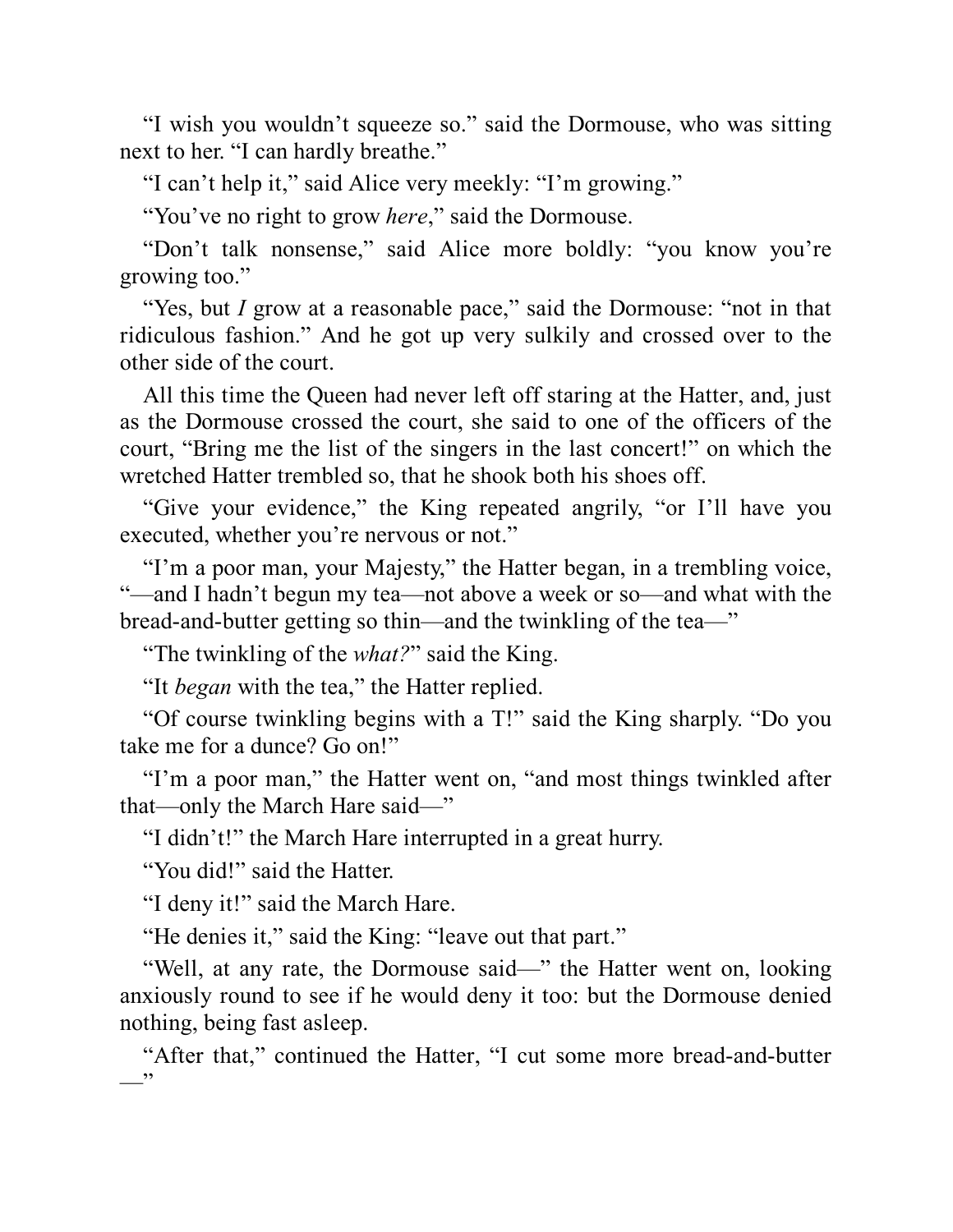"I wish you wouldn't squeeze so." said the Dormouse, who was sitting next to her. "I can hardly breathe."

"I can't help it," said Alice very meekly: "I'm growing."

"You've no right to grow *here*," said the Dormouse.

"Don't talk nonsense," said Alice more boldly: "you know you're growing too."

"Yes, but *I* grow at a reasonable pace," said the Dormouse: "not in that ridiculous fashion." And he got up very sulkily and crossed over to the other side of the court.

All this time the Queen had never left off staring at the Hatter, and, just as the Dormouse crossed the court, she said to one of the officers of the court, "Bring me the list of the singers in the last concert!" on which the wretched Hatter trembled so, that he shook both his shoes off.

"Give your evidence," the King repeated angrily, "or I'll have you executed, whether you're nervous or not."

"I'm a poor man, your Majesty," the Hatter began, in a trembling voice, "—and I hadn't begun my tea—not above a week or so—and what with the bread-and-butter getting so thin—and the twinkling of the tea—"

"The twinkling of the *what?*" said the King.

"It *began* with the tea," the Hatter replied.

"Of course twinkling begins with a T!" said the King sharply. "Do you take me for a dunce? Go on!"

"I'm a poor man," the Hatter went on, "and most things twinkled after that—only the March Hare said—"

"I didn't!" the March Hare interrupted in a great hurry.

"You did!" said the Hatter.

"I deny it!" said the March Hare.

"He denies it," said the King: "leave out that part."

"Well, at any rate, the Dormouse said—" the Hatter went on, looking anxiously round to see if he would deny it too: but the Dormouse denied nothing, being fast asleep.

"After that," continued the Hatter, "I cut some more bread-and-butter  $\overline{\phantom{0}}$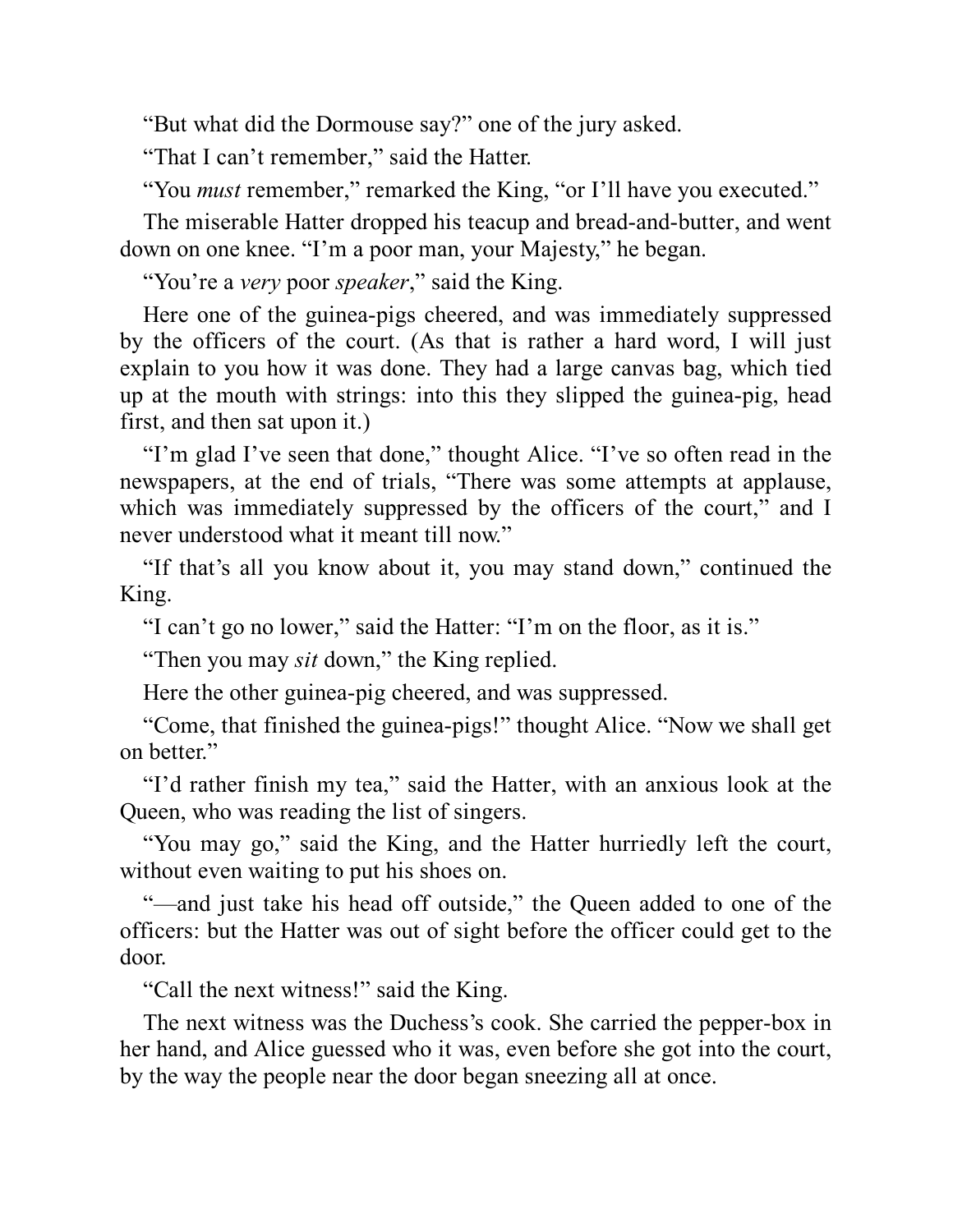"But what did the Dormouse say?" one of the jury asked.

"That I can't remember," said the Hatter.

"You *must* remember," remarked the King, "or I'll have you executed."

The miserable Hatter dropped his teacup and bread-and-butter, and went down on one knee. "I'm a poor man, your Majesty," he began.

"You're a *very* poor *speaker*," said the King.

Here one of the guinea-pigs cheered, and was immediately suppressed by the officers of the court. (As that is rather a hard word, I will just explain to you how it was done. They had a large canvas bag, which tied up at the mouth with strings: into this they slipped the guinea-pig, head first, and then sat upon it.)

"I'm glad I've seen that done," thought Alice. "I've so often read in the newspapers, at the end of trials, "There was some attempts at applause, which was immediately suppressed by the officers of the court," and I never understood what it meant till now."

"If that's all you know about it, you may stand down," continued the King.

"I can't go no lower," said the Hatter: "I'm on the floor, as it is."

"Then you may *sit* down," the King replied.

Here the other guinea-pig cheered, and was suppressed.

"Come, that finished the guinea-pigs!" thought Alice. "Now we shall get on better."

"I'd rather finish my tea," said the Hatter, with an anxious look at the Queen, who was reading the list of singers.

"You may go," said the King, and the Hatter hurriedly left the court, without even waiting to put his shoes on.

"—and just take his head off outside," the Queen added to one of the officers: but the Hatter was out of sight before the officer could get to the door.

"Call the next witness!" said the King.

The next witness was the Duchess's cook. She carried the pepper-box in her hand, and Alice guessed who it was, even before she got into the court, by the way the people near the door began sneezing all at once.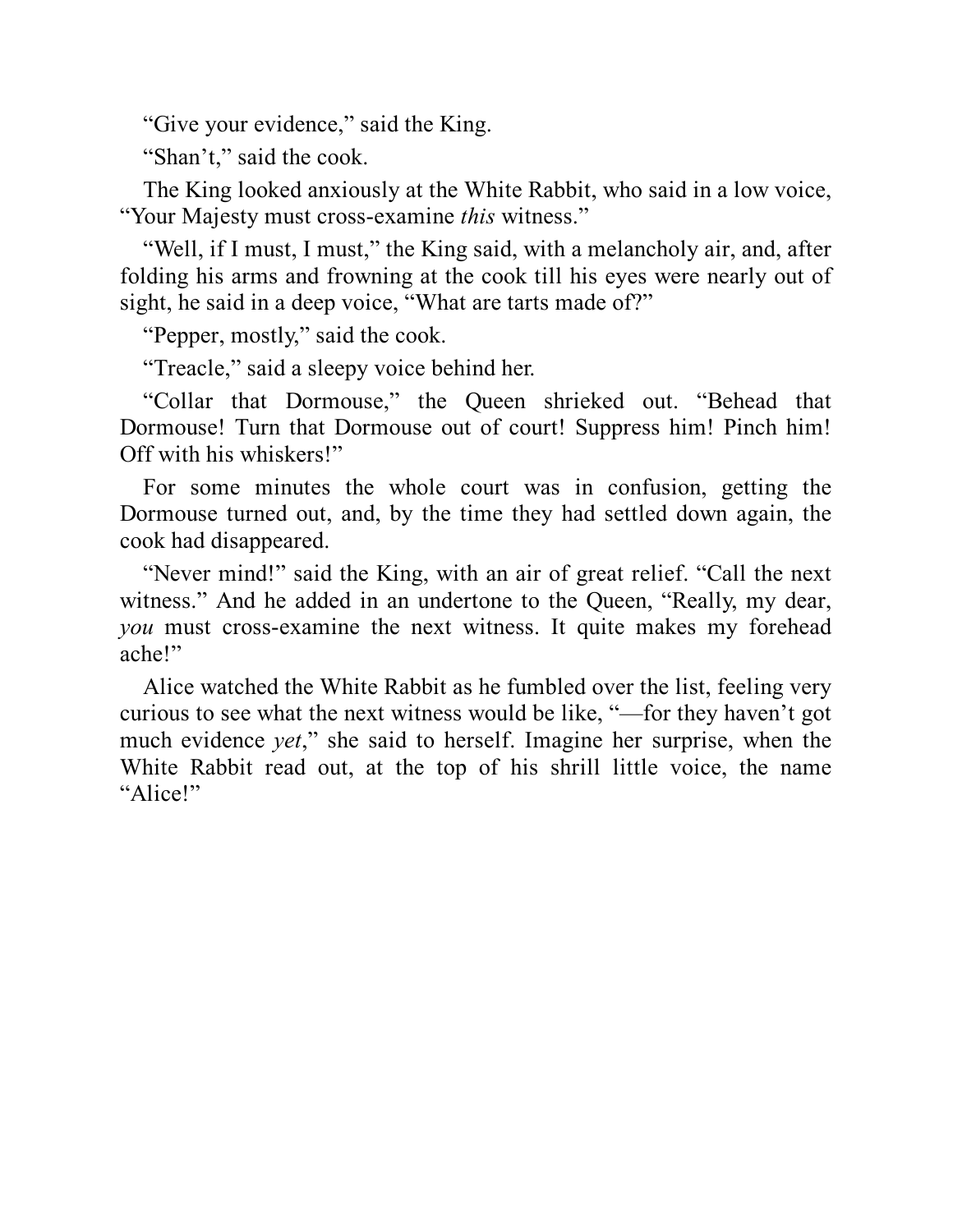"Give your evidence," said the King.

"Shan't," said the cook.

The King looked anxiously at the White Rabbit, who said in a low voice, "Your Majesty must cross-examine *this* witness."

"Well, if I must, I must," the King said, with a melancholy air, and, after folding his arms and frowning at the cook till his eyes were nearly out of sight, he said in a deep voice, "What are tarts made of?"

"Pepper, mostly," said the cook.

"Treacle," said a sleepy voice behind her.

"Collar that Dormouse," the Queen shrieked out. "Behead that Dormouse! Turn that Dormouse out of court! Suppress him! Pinch him! Off with his whiskers!"

For some minutes the whole court was in confusion, getting the Dormouse turned out, and, by the time they had settled down again, the cook had disappeared.

"Never mind!" said the King, with an air of great relief. "Call the next witness." And he added in an undertone to the Queen, "Really, my dear, *you* must cross-examine the next witness. It quite makes my forehead ache!"

Alice watched the White Rabbit as he fumbled over the list, feeling very curious to see what the next witness would be like, "—for they haven't got much evidence *yet*," she said to herself. Imagine her surprise, when the White Rabbit read out, at the top of his shrill little voice, the name "Alice!"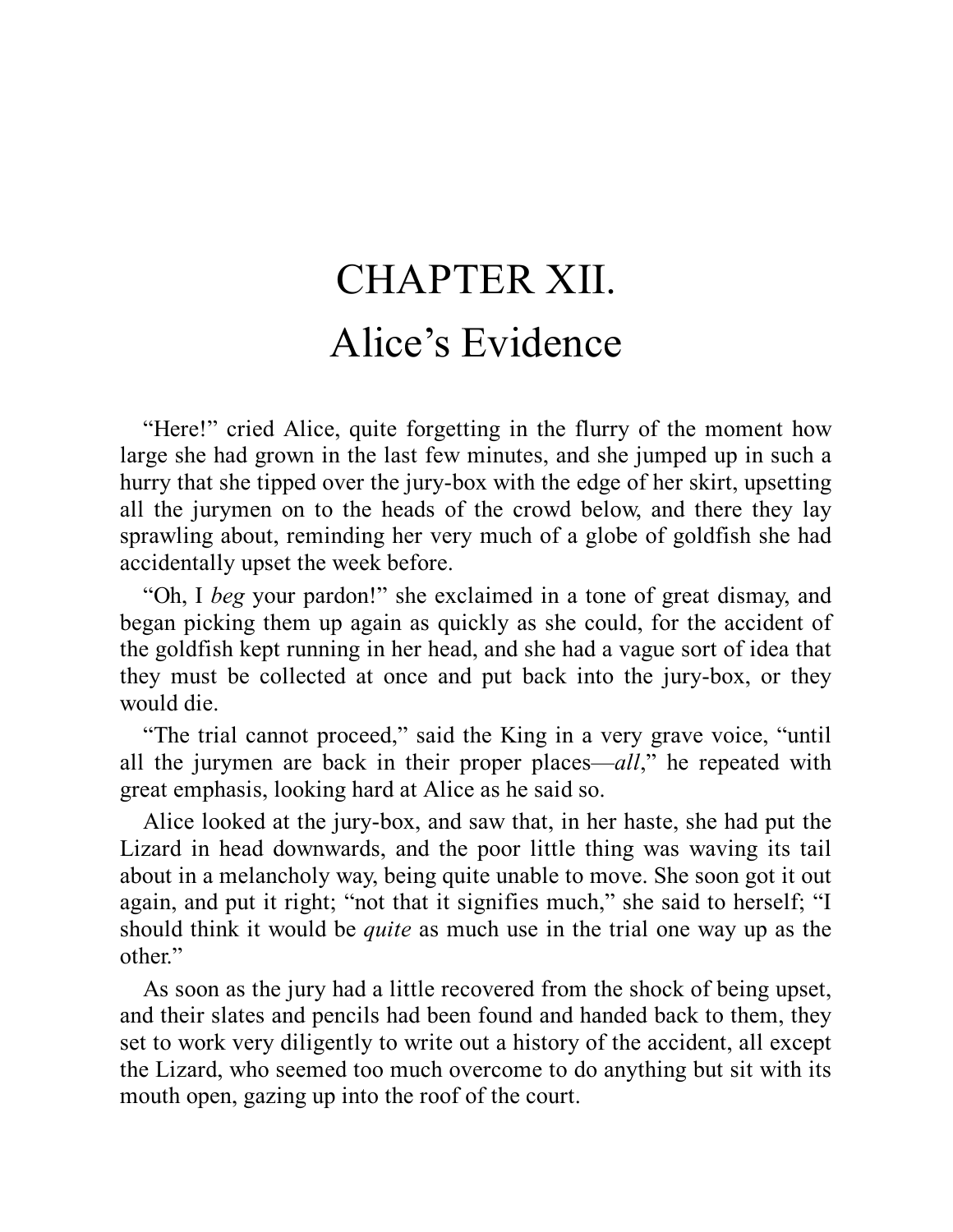## CHAPTER XII. Alice's Evidence

"Here!" cried Alice, quite forgetting in the flurry of the moment how large she had grown in the last few minutes, and she jumped up in such a hurry that she tipped over the jury-box with the edge of her skirt, upsetting all the jurymen on to the heads of the crowd below, and there they lay sprawling about, reminding her very much of a globe of goldfish she had accidentally upset the week before.

"Oh, I *beg* your pardon!" she exclaimed in a tone of great dismay, and began picking them up again as quickly as she could, for the accident of the goldfish kept running in her head, and she had a vague sort of idea that they must be collected at once and put back into the jury-box, or they would die.

"The trial cannot proceed," said the King in a very grave voice, "until all the jurymen are back in their proper places—*all*," he repeated with great emphasis, looking hard at Alice as he said so.

Alice looked at the jury-box, and saw that, in her haste, she had put the Lizard in head downwards, and the poor little thing was waving its tail about in a melancholy way, being quite unable to move. She soon got it out again, and put it right; "not that it signifies much," she said to herself; "I should think it would be *quite* as much use in the trial one way up as the other."

As soon as the jury had a little recovered from the shock of being upset, and their slates and pencils had been found and handed back to them, they set to work very diligently to write out a history of the accident, all except the Lizard, who seemed too much overcome to do anything but sit with its mouth open, gazing up into the roof of the court.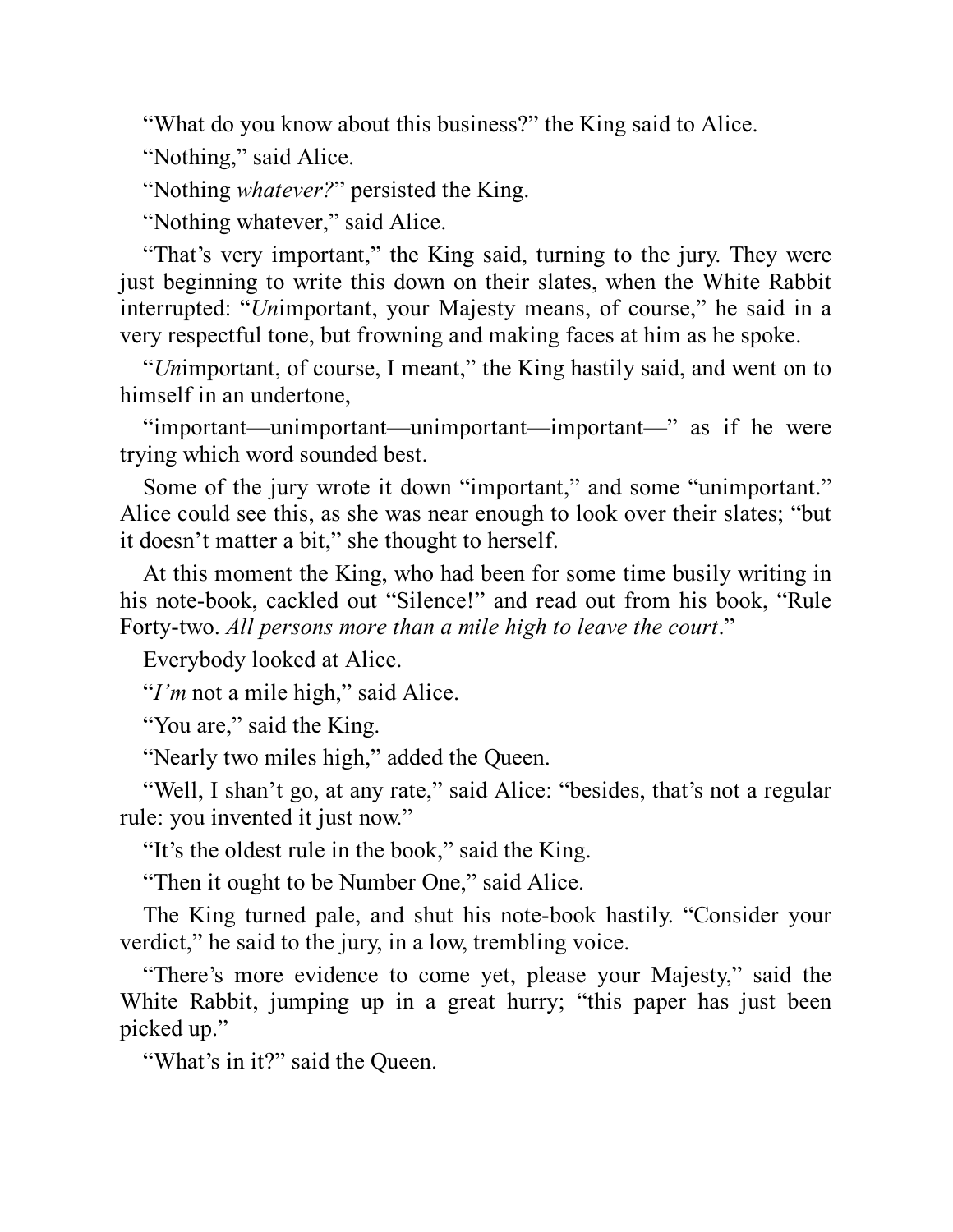"What do you know about this business?" the King said to Alice.

"Nothing," said Alice.

"Nothing *whatever?*" persisted the King.

"Nothing whatever," said Alice.

"That's very important," the King said, turning to the jury. They were just beginning to write this down on their slates, when the White Rabbit interrupted: "*Un*important, your Majesty means, of course," he said in a very respectful tone, but frowning and making faces at him as he spoke.

"*Un*important, of course, I meant," the King hastily said, and went on to himself in an undertone,

"important—unimportant—unimportant—important—" as if he were trying which word sounded best.

Some of the jury wrote it down "important," and some "unimportant." Alice could see this, as she was near enough to look over their slates; "but it doesn't matter a bit," she thought to herself.

At this moment the King, who had been for some time busily writing in his note-book, cackled out "Silence!" and read out from his book, "Rule Forty-two. *All persons more than a mile high to leave the court*."

Everybody looked at Alice.

"*I'm* not a mile high," said Alice.

"You are," said the King.

"Nearly two miles high," added the Queen.

"Well, I shan't go, at any rate," said Alice: "besides, that's not a regular rule: you invented it just now."

"It's the oldest rule in the book," said the King.

"Then it ought to be Number One," said Alice.

The King turned pale, and shut his note-book hastily. "Consider your verdict," he said to the jury, in a low, trembling voice.

"There's more evidence to come yet, please your Majesty," said the White Rabbit, jumping up in a great hurry; "this paper has just been picked up."

"What's in it?" said the Queen.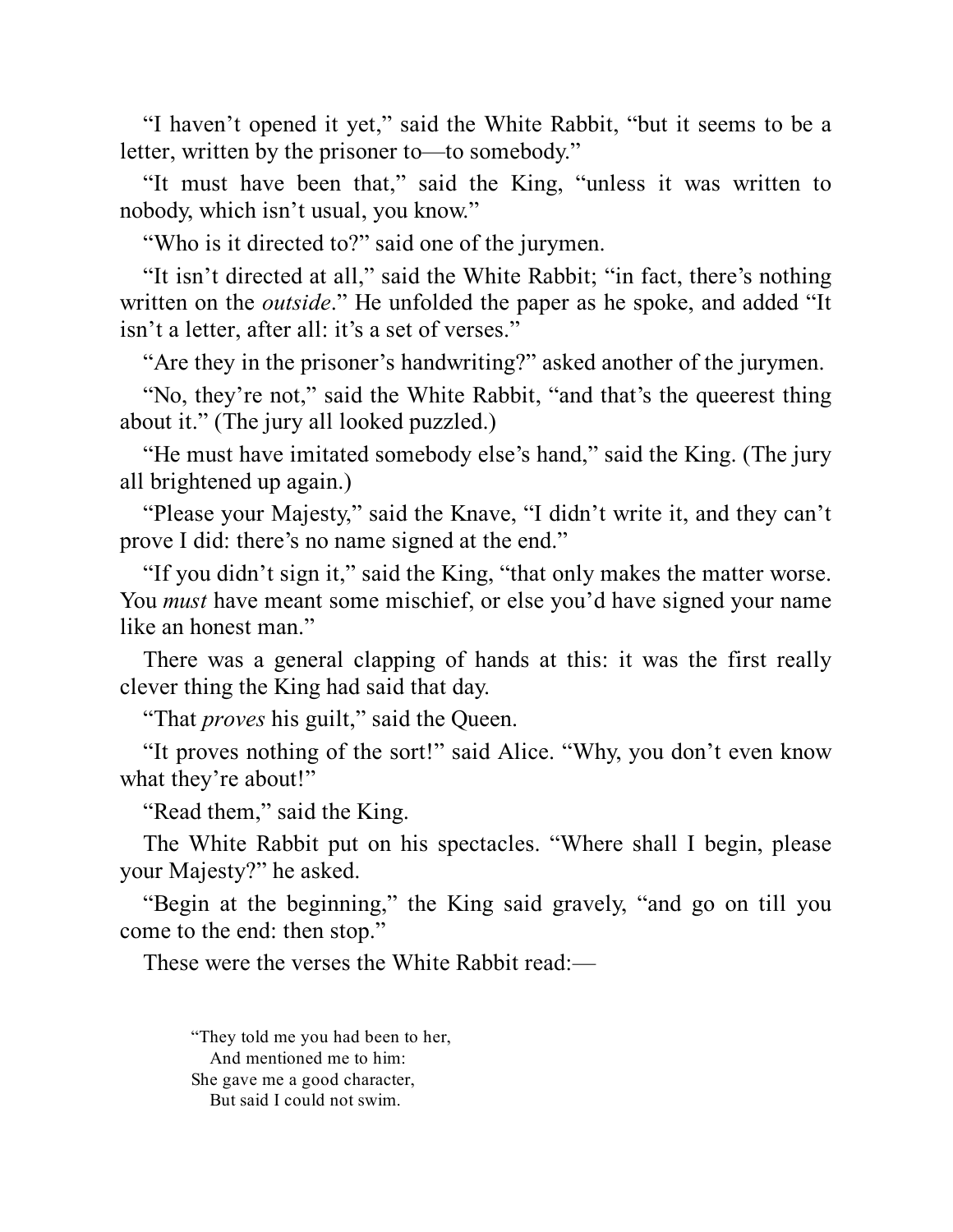"I haven't opened it yet," said the White Rabbit, "but it seems to be a letter, written by the prisoner to—to somebody."

"It must have been that," said the King, "unless it was written to nobody, which isn't usual, you know."

"Who is it directed to?" said one of the jurymen.

"It isn't directed at all," said the White Rabbit; "in fact, there's nothing written on the *outside*." He unfolded the paper as he spoke, and added "It isn't a letter, after all: it's a set of verses."

"Are they in the prisoner's handwriting?" asked another of the jurymen.

"No, they're not," said the White Rabbit, "and that's the queerest thing about it." (The jury all looked puzzled.)

"He must have imitated somebody else's hand," said the King. (The jury all brightened up again.)

"Please your Majesty," said the Knave, "I didn't write it, and they can't prove I did: there's no name signed at the end."

"If you didn't sign it," said the King, "that only makes the matter worse. You *must* have meant some mischief, or else you'd have signed your name like an honest man."

There was a general clapping of hands at this: it was the first really clever thing the King had said that day.

"That *proves* his guilt," said the Queen.

"It proves nothing of the sort!" said Alice. "Why, you don't even know what they're about!"

"Read them," said the King.

The White Rabbit put on his spectacles. "Where shall I begin, please your Majesty?" he asked.

"Begin at the beginning," the King said gravely, "and go on till you come to the end: then stop."

These were the verses the White Rabbit read:—

"They told me you had been to her, And mentioned me to him: She gave me a good character, But said I could not swim.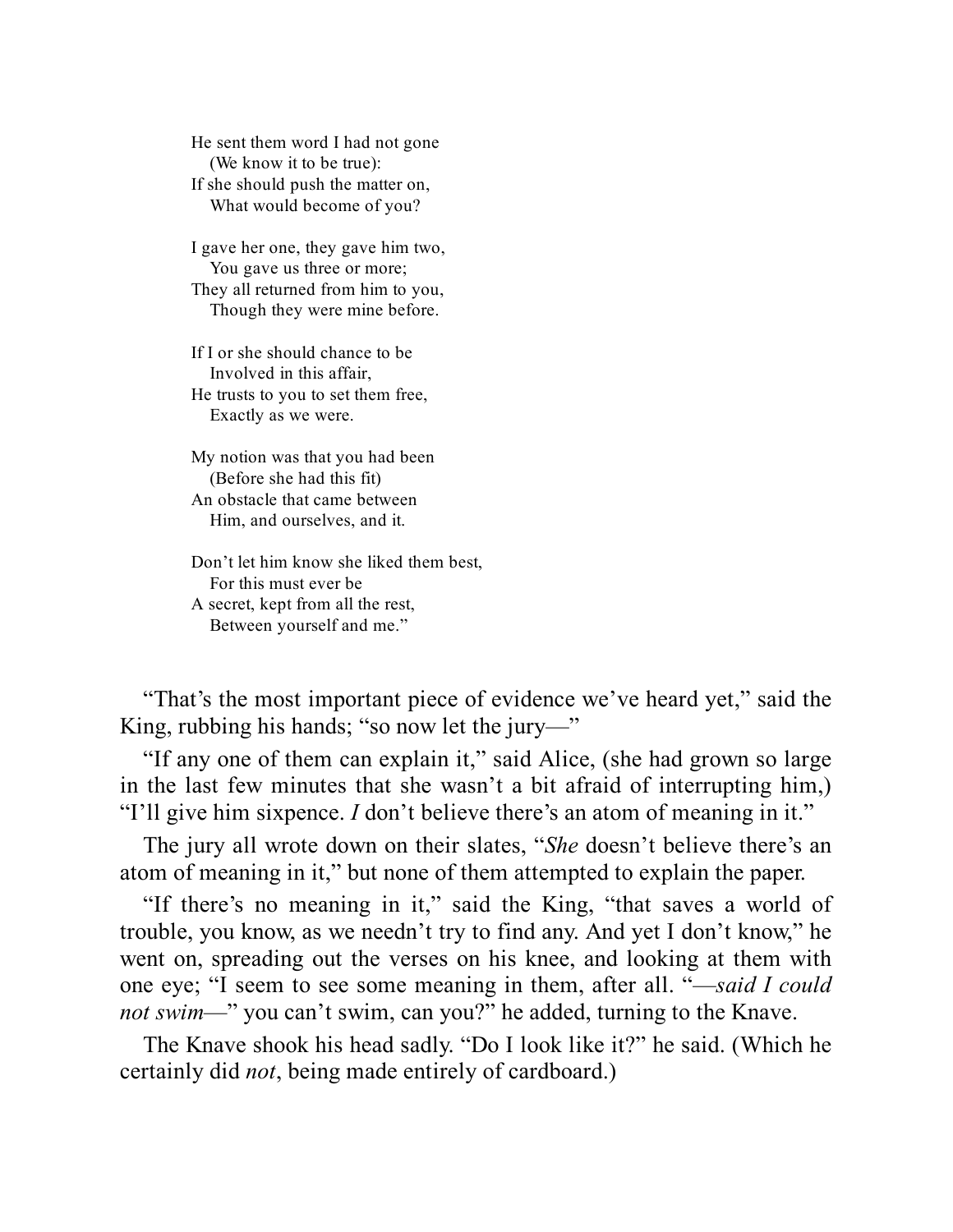He sent them word I had not gone (We know it to be true): If she should push the matter on, What would become of you?

I gave her one, they gave him two, You gave us three or more; They all returned from him to you, Though they were mine before.

If I or she should chance to be Involved in this affair, He trusts to you to set them free, Exactly as we were.

My notion was that you had been (Before she had this fit) An obstacle that came between Him, and ourselves, and it.

Don't let him know she liked them best, For this must ever be A secret, kept from all the rest, Between yourself and me."

"That's the most important piece of evidence we've heard yet," said the King, rubbing his hands; "so now let the jury—"

"If any one of them can explain it," said Alice, (she had grown so large in the last few minutes that she wasn't a bit afraid of interrupting him,) "I'll give him sixpence. *I* don't believe there's an atom of meaning in it."

The jury all wrote down on their slates, "*She* doesn't believe there's an atom of meaning in it," but none of them attempted to explain the paper.

"If there's no meaning in it," said the King, "that saves a world of trouble, you know, as we needn't try to find any. And yet I don't know," he went on, spreading out the verses on his knee, and looking at them with one eye; "I seem to see some meaning in them, after all. "—*said I could not swim*—" you can't swim, can you?" he added, turning to the Knave.

The Knave shook his head sadly. "Do I look like it?" he said. (Which he certainly did *not*, being made entirely of cardboard.)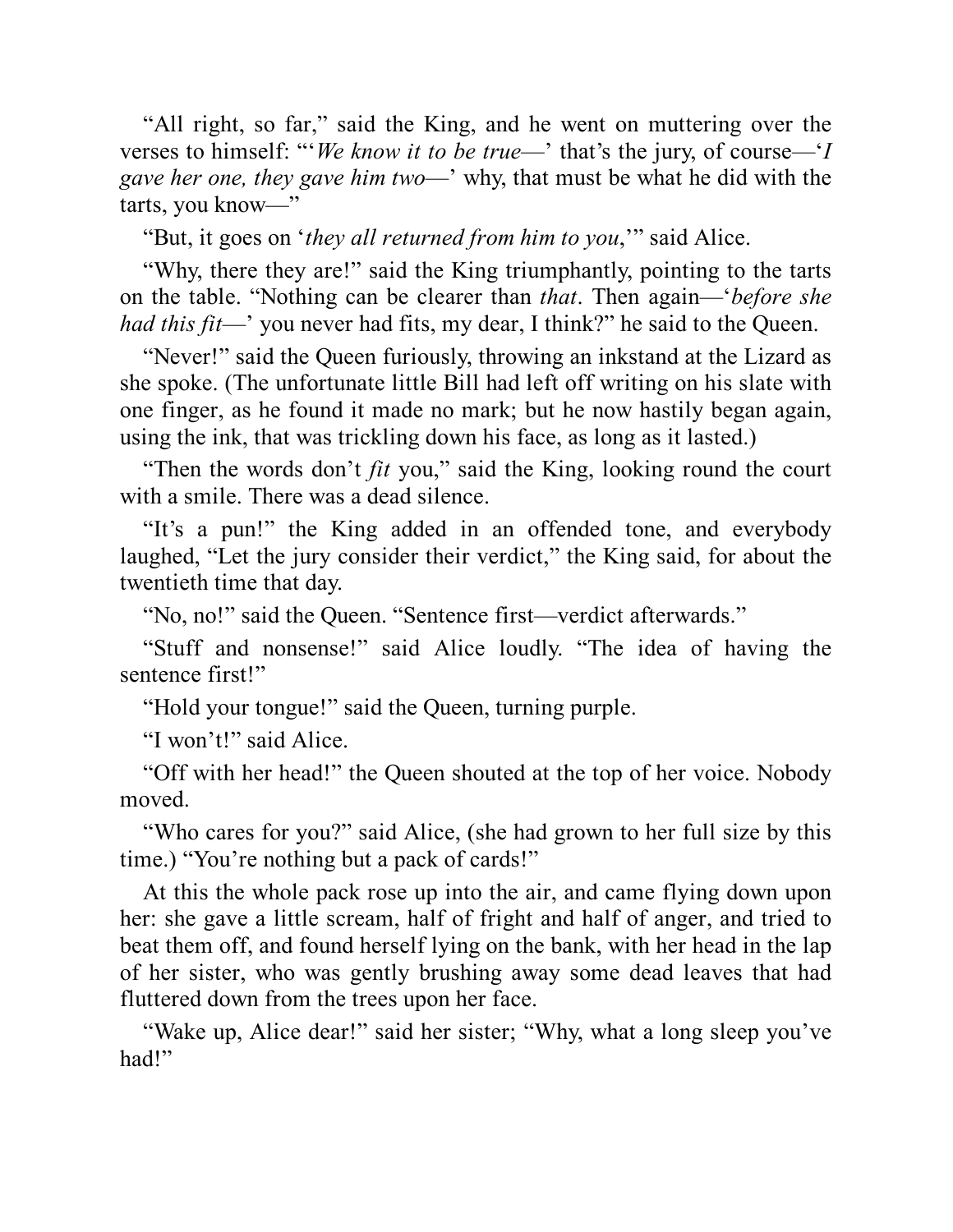"All right, so far," said the King, and he went on muttering over the verses to himself: "'*We know it to be true*—' that's the jury, of course—'*I gave her one, they gave him two*—' why, that must be what he did with the tarts, you know—"

"But, it goes on '*they all returned from him to you*,'" said Alice.

"Why, there they are!" said the King triumphantly, pointing to the tarts on the table. "Nothing can be clearer than *that*. Then again—'*before she had this fit*—' you never had fits, my dear, I think?" he said to the Queen.

"Never!" said the Queen furiously, throwing an inkstand at the Lizard as she spoke. (The unfortunate little Bill had left off writing on his slate with one finger, as he found it made no mark; but he now hastily began again, using the ink, that was trickling down his face, as long as it lasted.)

"Then the words don't *fit* you," said the King, looking round the court with a smile. There was a dead silence.

"It's a pun!" the King added in an offended tone, and everybody laughed, "Let the jury consider their verdict," the King said, for about the twentieth time that day.

"No, no!" said the Queen. "Sentence first—verdict afterwards."

"Stuff and nonsense!" said Alice loudly. "The idea of having the sentence first!"

"Hold your tongue!" said the Queen, turning purple.

"I won't!" said Alice.

"Off with her head!" the Queen shouted at the top of her voice. Nobody moved.

"Who cares for you?" said Alice, (she had grown to her full size by this time.) "You're nothing but a pack of cards!"

At this the whole pack rose up into the air, and came flying down upon her: she gave a little scream, half of fright and half of anger, and tried to beat them off, and found herself lying on the bank, with her head in the lap of her sister, who was gently brushing away some dead leaves that had fluttered down from the trees upon her face.

"Wake up, Alice dear!" said her sister; "Why, what a long sleep you've had!"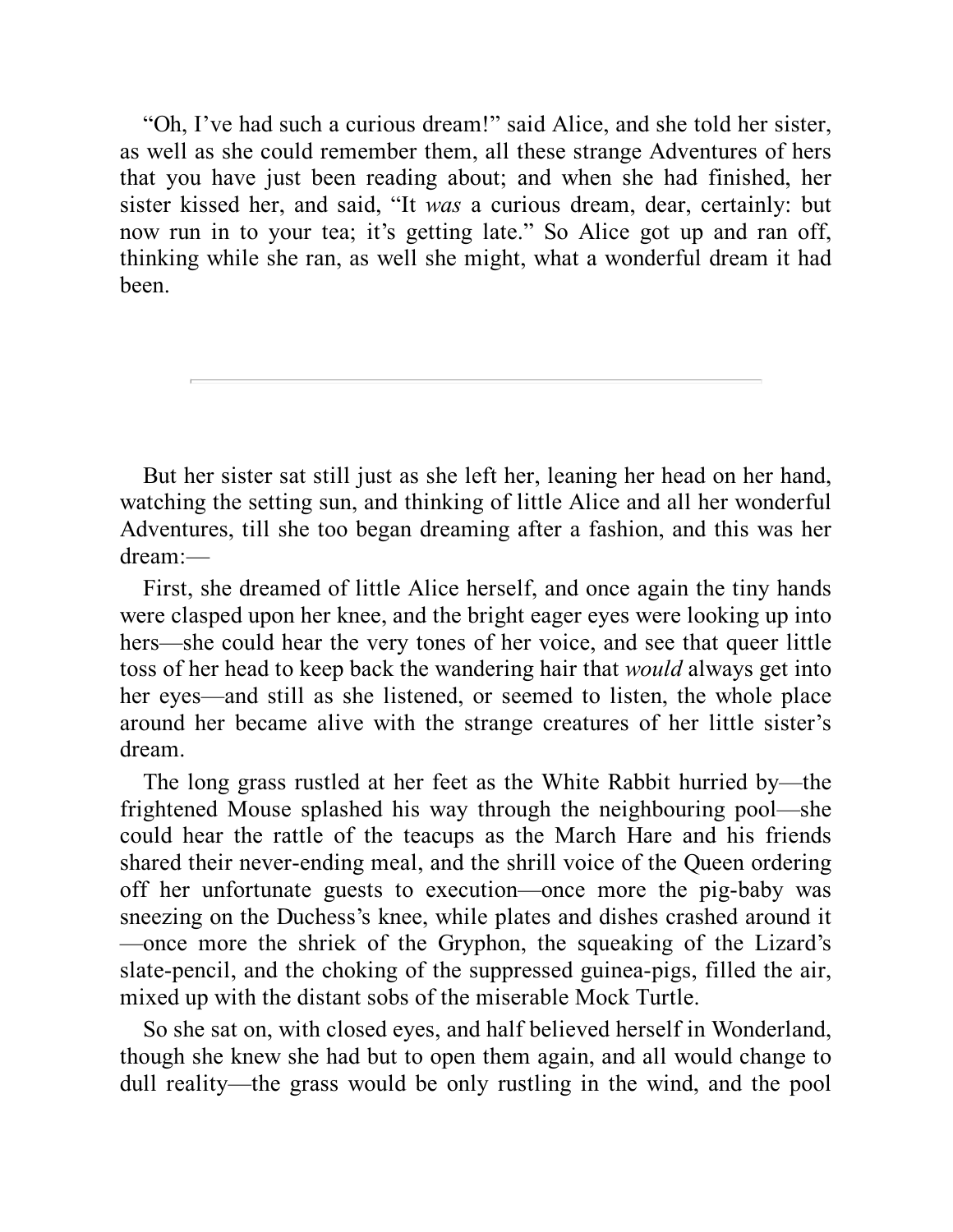"Oh, I've had such a curious dream!" said Alice, and she told her sister, as well as she could remember them, all these strange Adventures of hers that you have just been reading about; and when she had finished, her sister kissed her, and said, "It *was* a curious dream, dear, certainly: but now run in to your tea; it's getting late." So Alice got up and ran off, thinking while she ran, as well she might, what a wonderful dream it had been.

But her sister sat still just as she left her, leaning her head on her hand, watching the setting sun, and thinking of little Alice and all her wonderful Adventures, till she too began dreaming after a fashion, and this was her dream:—

First, she dreamed of little Alice herself, and once again the tiny hands were clasped upon her knee, and the bright eager eyes were looking up into hers—she could hear the very tones of her voice, and see that queer little toss of her head to keep back the wandering hair that *would* always get into her eyes—and still as she listened, or seemed to listen, the whole place around her became alive with the strange creatures of her little sister's dream.

The long grass rustled at her feet as the White Rabbit hurried by—the frightened Mouse splashed his way through the neighbouring pool—she could hear the rattle of the teacups as the March Hare and his friends shared their never-ending meal, and the shrill voice of the Queen ordering off her unfortunate guests to execution—once more the pig-baby was sneezing on the Duchess's knee, while plates and dishes crashed around it —once more the shriek of the Gryphon, the squeaking of the Lizard's slate-pencil, and the choking of the suppressed guinea-pigs, filled the air, mixed up with the distant sobs of the miserable Mock Turtle.

So she sat on, with closed eyes, and half believed herself in Wonderland, though she knew she had but to open them again, and all would change to dull reality—the grass would be only rustling in the wind, and the pool